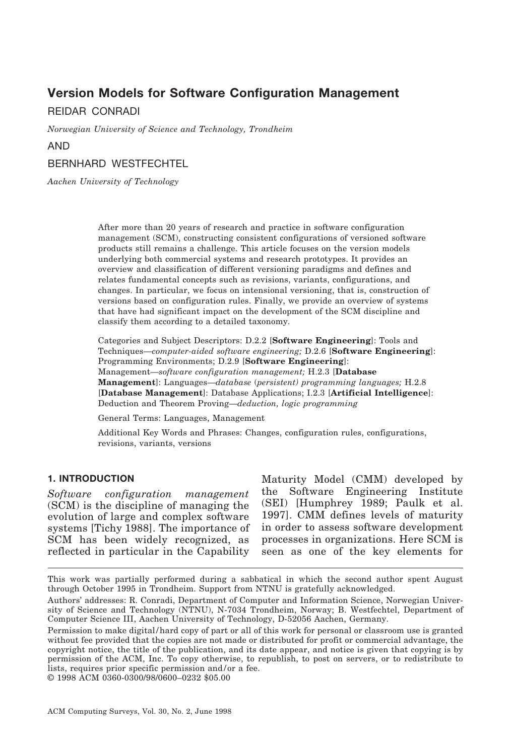# **Version Models for Software Configuration Management**

REIDAR CONRADI

*Norwegian University of Science and Technology, Trondheim*

## AND

## BERNHARD WESTFECHTEL

*Aachen University of Technology*

After more than 20 years of research and practice in software configuration management (SCM), constructing consistent configurations of versioned software products still remains a challenge. This article focuses on the version models underlying both commercial systems and research prototypes. It provides an overview and classification of different versioning paradigms and defines and relates fundamental concepts such as revisions, variants, configurations, and changes. In particular, we focus on intensional versioning, that is, construction of versions based on configuration rules. Finally, we provide an overview of systems that have had significant impact on the development of the SCM discipline and classify them according to a detailed taxonomy.

Categories and Subject Descriptors: D.2.2 [**Software Engineering**]: Tools and Techniques—*computer-aided software engineering;* D.2.6 [**Software Engineering**]: Programming Environments; D.2.9 [**Software Engineering**]:

Management—*software configuration management;* H.2.3 [**Database Management**]: Languages—*database* (*persistent) programming languages;* H.2.8 [**Database Management**]: Database Applications; I.2.3 [**Artificial Intelligence**]: Deduction and Theorem Proving—*deduction, logic programming*

General Terms: Languages, Management

Additional Key Words and Phrases: Changes, configuration rules, configurations, revisions, variants, versions

## **1. INTRODUCTION**

*Software configuration management* (SCM) is the discipline of managing the evolution of large and complex software systems [Tichy 1988]. The importance of SCM has been widely recognized, as reflected in particular in the Capability Maturity Model (CMM) developed by the Software Engineering Institute (SEI) [Humphrey 1989; Paulk et al. 1997]. CMM defines levels of maturity in order to assess software development processes in organizations. Here SCM is seen as one of the key elements for

This work was partially performed during a sabbatical in which the second author spent August through October 1995 in Trondheim. Support from NTNU is gratefully acknowledged.

Authors' addresses: R. Conradi, Department of Computer and Information Science, Norwegian University of Science and Technology (NTNU), N-7034 Trondheim, Norway; B. Westfechtel, Department of Computer Science III, Aachen University of Technology, D-52056 Aachen, Germany.

Permission to make digital/hard copy of part or all of this work for personal or classroom use is granted without fee provided that the copies are not made or distributed for profit or commercial advantage, the copyright notice, the title of the publication, and its date appear, and notice is given that copying is by permission of the ACM, Inc. To copy otherwise, to republish, to post on servers, or to redistribute to lists, requires prior specific permission and/or a fee.

<sup>© 1998</sup> ACM 0360-0300/98/0600–0232 \$05.00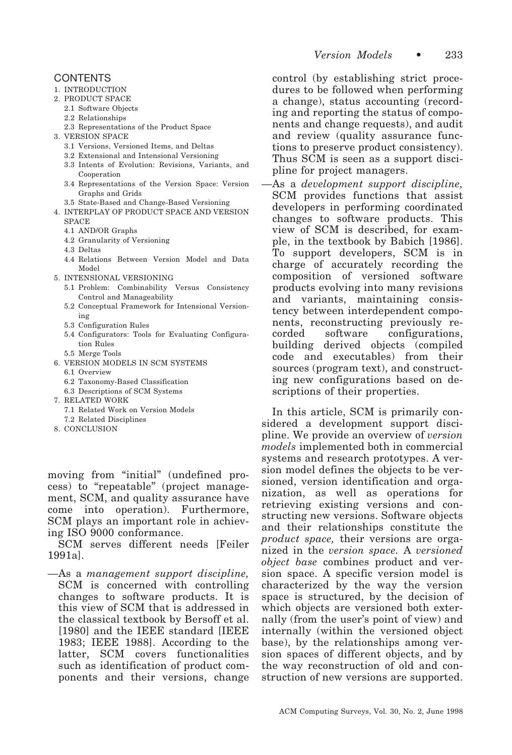#### **CONTENTS**

- 1. INTRODUCTION
- 2. PRODUCT SPACE
	- 2.1 Software Objects
	- 2.2 Relationships
	- 2.3 Representations of the Product Space
- 3. VERSION SPACE
	- 3.1 Versions, Versioned Items, and Deltas
	- 3.2 Extensional and Intensional Versioning
	- 3.3 Intents of Evolution: Revisions, Variants, and Cooperation
	- 3.4 Representations of the Version Space: Version Graphs and Grids
	- 3.5 State-Based and Change-Based Versioning
- 4. INTERPLAY OF PRODUCT SPACE AND VERSION SPACE
	- 4.1 AND/OR Graphs
	- 4.2 Granularity of Versioning
	- 4.3 Deltas
	- 4.4 Relations Between Version Model and Data Model
- 5. INTENSIONAL VERSIONING
	- 5.1 Problem: Combinability Versus Consistency Control and Manageability
	- 5.2 Conceptual Framework for Intensional Versioning
	- 5.3 Configuration Rules
	- 5.4 Configurators: Tools for Evaluating Configuration Rules
	- 5.5 Merge Tools
- 6. VERSION MODELS IN SCM SYSTEMS
	- 6.1 Overview
	- 6.2 Taxonomy-Based Classification
	- 6.3 Descriptions of SCM Systems
- 7. RELATED WORK
	- 7.1 Related Work on Version Models
- 7.2 Related Disciplines
- 8. CONCLUSION

moving from "initial" (undefined process) to "repeatable" (project management, SCM, and quality assurance have come into operation). Furthermore, SCM plays an important role in achieving ISO 9000 conformance.

SCM serves different needs [Feiler 1991a].

—As a *management support discipline,* SCM is concerned with controlling changes to software products. It is this view of SCM that is addressed in the classical textbook by Bersoff et al. [1980] and the IEEE standard [IEEE 1983; IEEE 1988]. According to the latter, SCM covers functionalities such as identification of product components and their versions, change control (by establishing strict procedures to be followed when performing a change), status accounting (recording and reporting the status of components and change requests), and audit and review (quality assurance functions to preserve product consistency). Thus SCM is seen as a support discipline for project managers.

—As a *development support discipline,* SCM provides functions that assist developers in performing coordinated changes to software products. This view of SCM is described, for example, in the textbook by Babich [1986]. To support developers, SCM is in charge of accurately recording the composition of versioned software products evolving into many revisions and variants, maintaining consistency between interdependent components, reconstructing previously recorded software configurations, building derived objects (compiled code and executables) from their sources (program text), and constructing new configurations based on descriptions of their properties.

In this article, SCM is primarily considered a development support discipline. We provide an overview of *version models* implemented both in commercial systems and research prototypes. A version model defines the objects to be versioned, version identification and organization, as well as operations for retrieving existing versions and constructing new versions. Software objects and their relationships constitute the *product space,* their versions are organized in the *version space.* A *versioned object base* combines product and version space. A specific version model is characterized by the way the version space is structured, by the decision of which objects are versioned both externally (from the user's point of view) and internally (within the versioned object base), by the relationships among version spaces of different objects, and by the way reconstruction of old and construction of new versions are supported.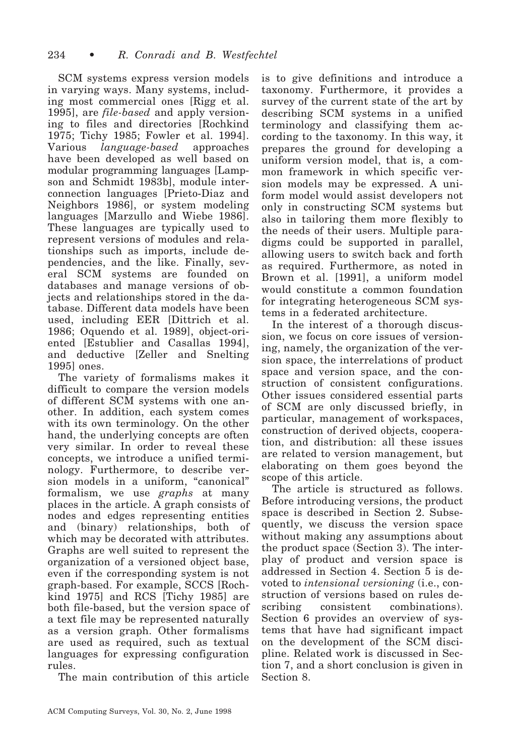SCM systems express version models in varying ways. Many systems, including most commercial ones [Rigg et al. 1995], are *file-based* and apply versioning to files and directories [Rochkind 1975; Tichy 1985; Fowler et al. 1994]. Various *language-based* approaches have been developed as well based on modular programming languages [Lampson and Schmidt 1983b], module interconnection languages [Prieto-Diaz and Neighbors 1986], or system modeling languages [Marzullo and Wiebe 1986]. These languages are typically used to represent versions of modules and relationships such as imports, include dependencies, and the like. Finally, several SCM systems are founded on databases and manage versions of objects and relationships stored in the database. Different data models have been used, including EER [Dittrich et al. 1986; Oquendo et al. 1989], object-oriented [Estublier and Casallas 1994], and deductive [Zeller and Snelting 1995] ones.

The variety of formalisms makes it difficult to compare the version models of different SCM systems with one another. In addition, each system comes with its own terminology. On the other hand, the underlying concepts are often very similar. In order to reveal these concepts, we introduce a unified terminology. Furthermore, to describe version models in a uniform, "canonical" formalism, we use *graphs* at many places in the article. A graph consists of nodes and edges representing entities and (binary) relationships, both of which may be decorated with attributes. Graphs are well suited to represent the organization of a versioned object base, even if the corresponding system is not graph-based. For example, SCCS [Rochkind 1975] and RCS [Tichy 1985] are both file-based, but the version space of a text file may be represented naturally as a version graph. Other formalisms are used as required, such as textual languages for expressing configuration rules.

The main contribution of this article

is to give definitions and introduce a taxonomy. Furthermore, it provides a survey of the current state of the art by describing SCM systems in a unified terminology and classifying them according to the taxonomy. In this way, it prepares the ground for developing a uniform version model, that is, a common framework in which specific version models may be expressed. A uniform model would assist developers not only in constructing SCM systems but also in tailoring them more flexibly to the needs of their users. Multiple paradigms could be supported in parallel, allowing users to switch back and forth as required. Furthermore, as noted in Brown et al. [1991], a uniform model would constitute a common foundation for integrating heterogeneous SCM systems in a federated architecture.

In the interest of a thorough discussion, we focus on core issues of versioning, namely, the organization of the version space, the interrelations of product space and version space, and the construction of consistent configurations. Other issues considered essential parts of SCM are only discussed briefly, in particular, management of workspaces, construction of derived objects, cooperation, and distribution: all these issues are related to version management, but elaborating on them goes beyond the scope of this article.

The article is structured as follows. Before introducing versions, the product space is described in Section 2. Subsequently, we discuss the version space without making any assumptions about the product space (Section 3). The interplay of product and version space is addressed in Section 4. Section 5 is devoted to *intensional versioning* (i.e., construction of versions based on rules describing consistent combinations). Section 6 provides an overview of systems that have had significant impact on the development of the SCM discipline. Related work is discussed in Section 7, and a short conclusion is given in Section 8.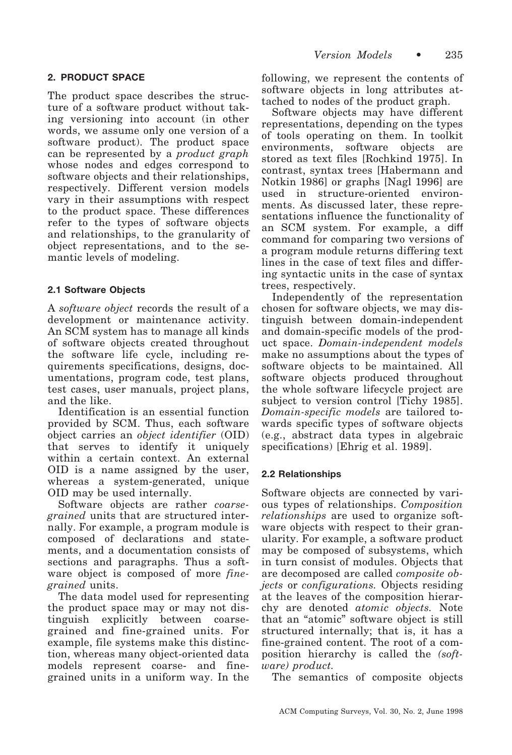## **2. PRODUCT SPACE**

The product space describes the structure of a software product without taking versioning into account (in other words, we assume only one version of a software product). The product space can be represented by a *product graph* whose nodes and edges correspond to software objects and their relationships, respectively. Different version models vary in their assumptions with respect to the product space. These differences refer to the types of software objects and relationships, to the granularity of object representations, and to the semantic levels of modeling.

## **2.1 Software Objects**

A *software object* records the result of a development or maintenance activity. An SCM system has to manage all kinds of software objects created throughout the software life cycle, including requirements specifications, designs, documentations, program code, test plans, test cases, user manuals, project plans, and the like.

Identification is an essential function provided by SCM. Thus, each software object carries an *object identifier* (OID) that serves to identify it uniquely within a certain context. An external OID is a name assigned by the user, whereas a system-generated, unique OID may be used internally.

Software objects are rather *coarsegrained* units that are structured internally. For example, a program module is composed of declarations and statements, and a documentation consists of sections and paragraphs. Thus a software object is composed of more *finegrained* units.

The data model used for representing the product space may or may not distinguish explicitly between coarsegrained and fine-grained units. For example, file systems make this distinction, whereas many object-oriented data models represent coarse- and finegrained units in a uniform way. In the

following, we represent the contents of software objects in long attributes attached to nodes of the product graph.

Software objects may have different representations, depending on the types of tools operating on them. In toolkit environments, software objects are stored as text files [Rochkind 1975]. In contrast, syntax trees [Habermann and Notkin 1986] or graphs [Nagl 1996] are used in structure-oriented environments. As discussed later, these representations influence the functionality of an SCM system. For example, a diff command for comparing two versions of a program module returns differing text lines in the case of text files and differing syntactic units in the case of syntax trees, respectively.

Independently of the representation chosen for software objects, we may distinguish between domain-independent and domain-specific models of the product space. *Domain-independent models* make no assumptions about the types of software objects to be maintained. All software objects produced throughout the whole software lifecycle project are subject to version control [Tichy 1985]. *Domain-specific models* are tailored towards specific types of software objects (e.g., abstract data types in algebraic specifications) [Ehrig et al. 1989].

## **2.2 Relationships**

Software objects are connected by various types of relationships. *Composition relationships* are used to organize software objects with respect to their granularity. For example, a software product may be composed of subsystems, which in turn consist of modules. Objects that are decomposed are called *composite objects* or *configurations.* Objects residing at the leaves of the composition hierarchy are denoted *atomic objects.* Note that an "atomic" software object is still structured internally; that is, it has a fine-grained content. The root of a composition hierarchy is called the *(software) product.*

The semantics of composite objects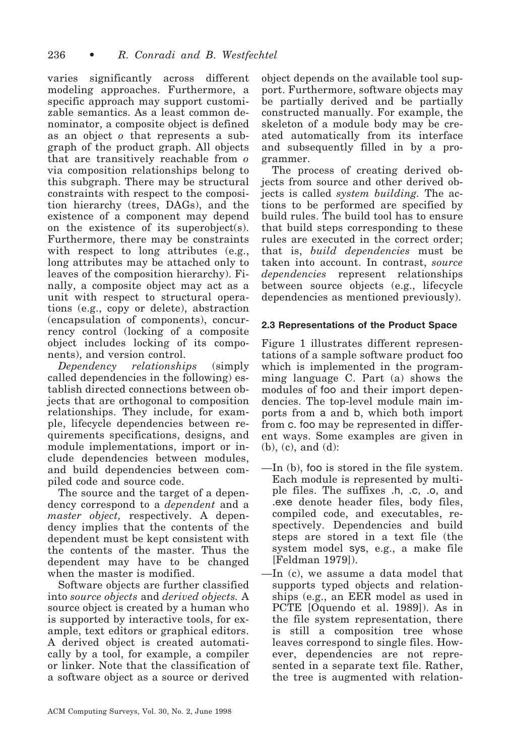varies significantly across different modeling approaches. Furthermore, a specific approach may support customizable semantics. As a least common denominator, a composite object is defined as an object *o* that represents a subgraph of the product graph. All objects that are transitively reachable from *o* via composition relationships belong to this subgraph. There may be structural constraints with respect to the composition hierarchy (trees, DAGs), and the existence of a component may depend on the existence of its superobject(s). Furthermore, there may be constraints with respect to long attributes (e.g., long attributes may be attached only to leaves of the composition hierarchy). Finally, a composite object may act as a unit with respect to structural operations (e.g., copy or delete), abstraction (encapsulation of components), concurrency control (locking of a composite object includes locking of its components), and version control.

*Dependency relationships* (simply called dependencies in the following) establish directed connections between objects that are orthogonal to composition relationships. They include, for example, lifecycle dependencies between requirements specifications, designs, and module implementations, import or include dependencies between modules, and build dependencies between compiled code and source code.

The source and the target of a dependency correspond to a *dependent* and a *master object,* respectively. A dependency implies that the contents of the dependent must be kept consistent with the contents of the master. Thus the dependent may have to be changed when the master is modified.

Software objects are further classified into *source objects* and *derived objects.* A source object is created by a human who is supported by interactive tools, for example, text editors or graphical editors. A derived object is created automatically by a tool, for example, a compiler or linker. Note that the classification of a software object as a source or derived

object depends on the available tool support. Furthermore, software objects may be partially derived and be partially constructed manually. For example, the skeleton of a module body may be created automatically from its interface and subsequently filled in by a programmer.

The process of creating derived objects from source and other derived objects is called *system building.* The actions to be performed are specified by build rules. The build tool has to ensure that build steps corresponding to these rules are executed in the correct order; that is, *build dependencies* must be taken into account. In contrast, *source dependencies* represent relationships between source objects (e.g., lifecycle dependencies as mentioned previously).

## **2.3 Representations of the Product Space**

Figure 1 illustrates different representations of a sample software product foo which is implemented in the programming language C. Part (a) shows the modules of foo and their import dependencies. The top-level module main imports from a and b, which both import from c. foo may be represented in different ways. Some examples are given in (b), (c), and (d):

- —In (b), foo is stored in the file system. Each module is represented by multiple files. The suffixes .h, .c, .o, and .exe denote header files, body files, compiled code, and executables, respectively. Dependencies and build steps are stored in a text file (the system model sys, e.g., a make file [Feldman 1979]).
- —In (c), we assume a data model that supports typed objects and relationships (e.g., an EER model as used in PCTE [Oquendo et al. 1989]). As in the file system representation, there is still a composition tree whose leaves correspond to single files. However, dependencies are not represented in a separate text file. Rather, the tree is augmented with relation-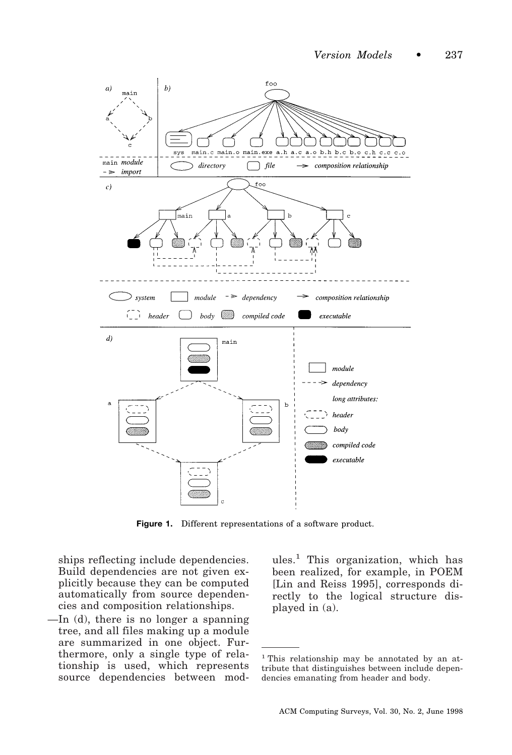

**Figure 1.** Different representations of a software product.

ships reflecting include dependencies. Build dependencies are not given explicitly because they can be computed automatically from source dependencies and composition relationships.

—In (d), there is no longer a spanning tree, and all files making up a module are summarized in one object. Furthermore, only a single type of relationship is used, which represents source dependencies between modules.<sup>1</sup> This organization, which has been realized, for example, in POEM [Lin and Reiss 1995], corresponds directly to the logical structure displayed in (a).

<sup>&</sup>lt;sup>1</sup> This relationship may be annotated by an attribute that distinguishes between include dependencies emanating from header and body.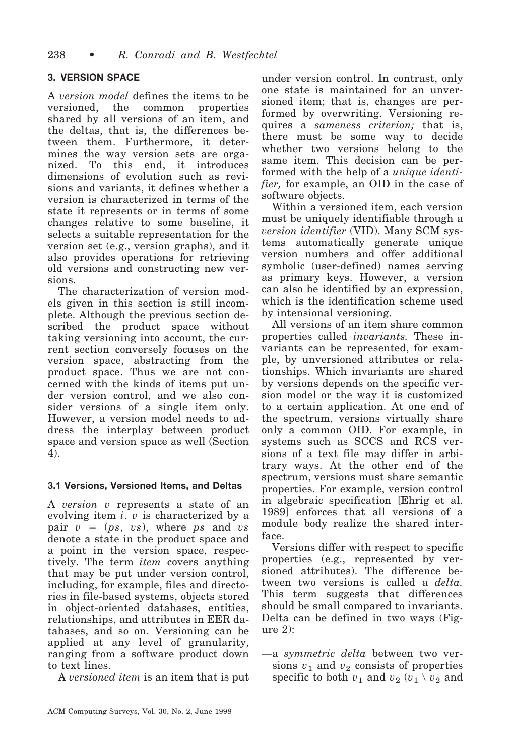## **3. VERSION SPACE**

A *version model* defines the items to be versioned, the common properties shared by all versions of an item, and the deltas, that is, the differences between them. Furthermore, it determines the way version sets are organized. To this end, it introduces dimensions of evolution such as revisions and variants, it defines whether a version is characterized in terms of the state it represents or in terms of some changes relative to some baseline, it selects a suitable representation for the version set (e.g., version graphs), and it also provides operations for retrieving old versions and constructing new versions.

The characterization of version models given in this section is still incomplete. Although the previous section described the product space without taking versioning into account, the current section conversely focuses on the version space, abstracting from the product space. Thus we are not concerned with the kinds of items put under version control, and we also consider versions of a single item only. However, a version model needs to address the interplay between product space and version space as well (Section 4).

## **3.1 Versions, Versioned Items, and Deltas**

A *version v* represents a state of an evolving item *i*. *v* is characterized by a pair  $v = (ps, vs),$  where  $ps$  and  $vs$ denote a state in the product space and a point in the version space, respectively. The term *item* covers anything that may be put under version control, including, for example, files and directories in file-based systems, objects stored in object-oriented databases, entities, relationships, and attributes in EER databases, and so on. Versioning can be applied at any level of granularity, ranging from a software product down to text lines.

A *versioned item* is an item that is put

under version control. In contrast, only one state is maintained for an unversioned item; that is, changes are performed by overwriting. Versioning requires a *sameness criterion;* that is, there must be some way to decide whether two versions belong to the same item. This decision can be performed with the help of a *unique identifier,* for example, an OID in the case of software objects.

Within a versioned item, each version must be uniquely identifiable through a *version identifier* (VID). Many SCM systems automatically generate unique version numbers and offer additional symbolic (user-defined) names serving as primary keys. However, a version can also be identified by an expression, which is the identification scheme used by intensional versioning.

All versions of an item share common properties called *invariants.* These invariants can be represented, for example, by unversioned attributes or relationships. Which invariants are shared by versions depends on the specific version model or the way it is customized to a certain application. At one end of the spectrum, versions virtually share only a common OID. For example, in systems such as SCCS and RCS versions of a text file may differ in arbitrary ways. At the other end of the spectrum, versions must share semantic properties. For example, version control in algebraic specification [Ehrig et al. 1989] enforces that all versions of a module body realize the shared interface.

Versions differ with respect to specific properties (e.g., represented by versioned attributes). The difference between two versions is called a *delta.* This term suggests that differences should be small compared to invariants. Delta can be defined in two ways (Figure 2):

—a *symmetric delta* between two versions  $v_1$  and  $v_2$  consists of properties specific to both  $v_1$  and  $v_2$  ( $v_1 \setminus v_2$  and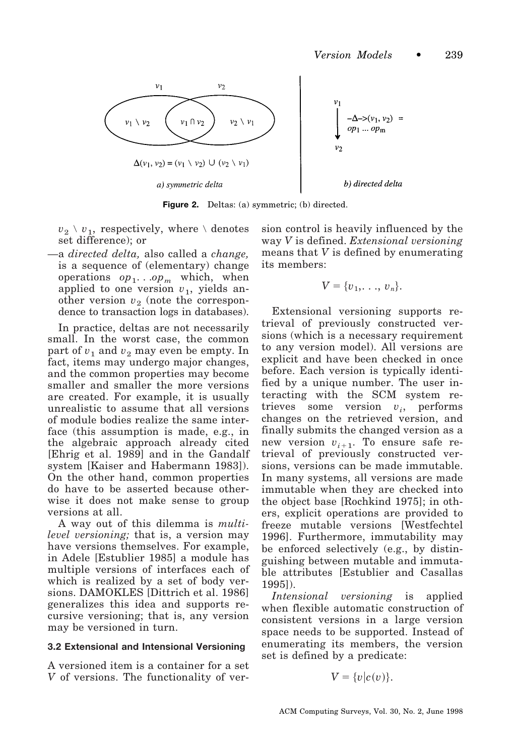

Figure 2. Deltas: (a) symmetric; (b) directed.

 $v_2 \, \setminus v_1$ , respectively, where  $\setminus$  denotes set difference); or

—a *directed delta,* also called a *change,* is a sequence of (elementary) change operations  $op_1 \ldots op_m$  which, when applied to one version  $v_1$ , yields another version  $v_2$  (note the correspondence to transaction logs in databases).

In practice, deltas are not necessarily small. In the worst case, the common part of  $v_1$  and  $v_2$  may even be empty. In fact, items may undergo major changes, and the common properties may become smaller and smaller the more versions are created. For example, it is usually unrealistic to assume that all versions of module bodies realize the same interface (this assumption is made, e.g., in the algebraic approach already cited [Ehrig et al. 1989] and in the Gandalf system [Kaiser and Habermann 1983]). On the other hand, common properties do have to be asserted because otherwise it does not make sense to group versions at all.

A way out of this dilemma is *multilevel versioning;* that is, a version may have versions themselves. For example, in Adele [Estublier 1985] a module has multiple versions of interfaces each of which is realized by a set of body versions. DAMOKLES [Dittrich et al. 1986] generalizes this idea and supports recursive versioning; that is, any version may be versioned in turn.

#### **3.2 Extensional and Intensional Versioning**

A versioned item is a container for a set *V* of versions. The functionality of version control is heavily influenced by the way *V* is defined. *Extensional versioning* means that *V* is defined by enumerating its members:

$$
V = \{v_1, \ldots, v_n\}.
$$

Extensional versioning supports retrieval of previously constructed versions (which is a necessary requirement to any version model). All versions are explicit and have been checked in once before. Each version is typically identified by a unique number. The user interacting with the SCM system retrieves some version *vi*, performs changes on the retrieved version, and finally submits the changed version as a new version  $v_{i+1}$ . To ensure safe retrieval of previously constructed versions, versions can be made immutable. In many systems, all versions are made immutable when they are checked into the object base [Rochkind 1975]; in others, explicit operations are provided to freeze mutable versions [Westfechtel 1996]. Furthermore, immutability may be enforced selectively (e.g., by distinguishing between mutable and immutable attributes [Estublier and Casallas 1995]).

*Intensional versioning* is applied when flexible automatic construction of consistent versions in a large version space needs to be supported. Instead of enumerating its members, the version set is defined by a predicate:

$$
V = \{v|c(v)\}.
$$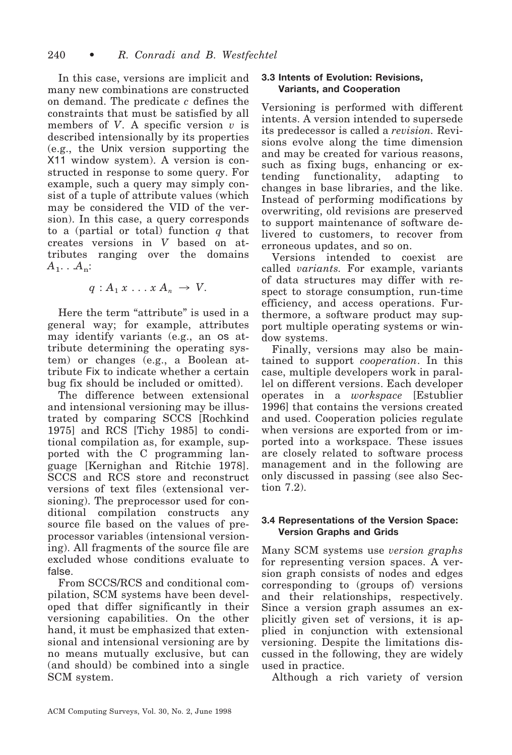In this case, versions are implicit and many new combinations are constructed on demand. The predicate *c* defines the constraints that must be satisfied by all members of *V*. A specific version *v* is described intensionally by its properties (e.g., the Unix version supporting the X11 window system). A version is constructed in response to some query. For example, such a query may simply consist of a tuple of attribute values (which may be considered the VID of the version). In this case, a query corresponds to a (partial or total) function *q* that creates versions in *V* based on attributes ranging over the domains  $A_1 \ldots A_n$ :

$$
q: A_1 x \ldots x A_n \rightarrow V.
$$

Here the term "attribute" is used in a general way; for example, attributes may identify variants (e.g., an os attribute determining the operating system) or changes (e.g., a Boolean attribute Fix to indicate whether a certain bug fix should be included or omitted).

The difference between extensional and intensional versioning may be illustrated by comparing SCCS [Rochkind 1975] and RCS [Tichy 1985] to conditional compilation as, for example, supported with the C programming language [Kernighan and Ritchie 1978]. SCCS and RCS store and reconstruct versions of text files (extensional versioning). The preprocessor used for conditional compilation constructs any source file based on the values of preprocessor variables (intensional versioning). All fragments of the source file are excluded whose conditions evaluate to false.

From SCCS/RCS and conditional compilation, SCM systems have been developed that differ significantly in their versioning capabilities. On the other hand, it must be emphasized that extensional and intensional versioning are by no means mutually exclusive, but can (and should) be combined into a single SCM system.

#### **3.3 Intents of Evolution: Revisions, Variants, and Cooperation**

Versioning is performed with different intents. A version intended to supersede its predecessor is called a *revision.* Revisions evolve along the time dimension and may be created for various reasons, such as fixing bugs, enhancing or extending functionality, adapting to changes in base libraries, and the like. Instead of performing modifications by overwriting, old revisions are preserved to support maintenance of software delivered to customers, to recover from erroneous updates, and so on.

Versions intended to coexist are called *variants.* For example, variants of data structures may differ with respect to storage consumption, run-time efficiency, and access operations. Furthermore, a software product may support multiple operating systems or window systems.

Finally, versions may also be maintained to support *cooperation*. In this case, multiple developers work in parallel on different versions. Each developer operates in a *workspace* [Estublier 1996] that contains the versions created and used. Cooperation policies regulate when versions are exported from or imported into a workspace. These issues are closely related to software process management and in the following are only discussed in passing (see also Section 7.2).

### **3.4 Representations of the Version Space: Version Graphs and Grids**

Many SCM systems use *version graphs* for representing version spaces. A version graph consists of nodes and edges corresponding to (groups of) versions and their relationships, respectively. Since a version graph assumes an explicitly given set of versions, it is applied in conjunction with extensional versioning. Despite the limitations discussed in the following, they are widely used in practice.

Although a rich variety of version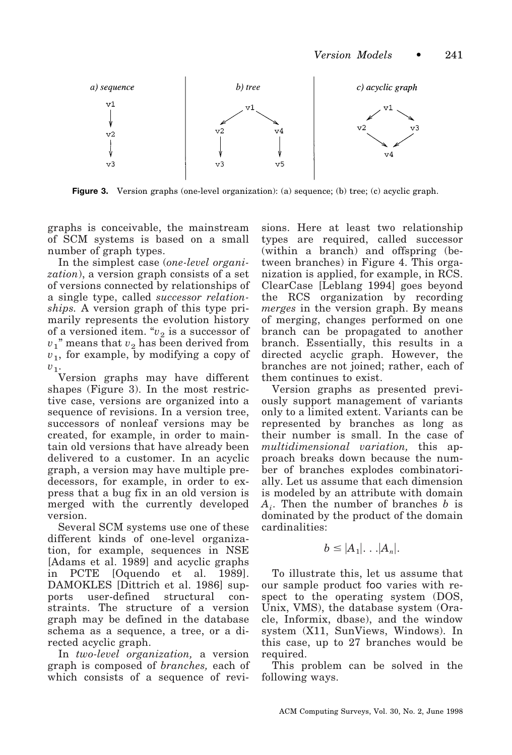

**Figure 3.** Version graphs (one-level organization): (a) sequence; (b) tree; (c) acyclic graph.

graphs is conceivable, the mainstream of SCM systems is based on a small number of graph types.

In the simplest case (*one-level organization*), a version graph consists of a set of versions connected by relationships of a single type, called *successor relationships.* A version graph of this type primarily represents the evolution history of a versioned item. " $v_2$  is a successor of  $v_1$ " means that  $v_2$  has been derived from  $v_1$ , for example, by modifying a copy of  $v_1$ .

Version graphs may have different shapes (Figure 3). In the most restrictive case, versions are organized into a sequence of revisions. In a version tree, successors of nonleaf versions may be created, for example, in order to maintain old versions that have already been delivered to a customer. In an acyclic graph, a version may have multiple predecessors, for example, in order to express that a bug fix in an old version is merged with the currently developed version.

Several SCM systems use one of these different kinds of one-level organization, for example, sequences in NSE [Adams et al. 1989] and acyclic graphs in PCTE [Oquendo et al. 1989]. DAMOKLES [Dittrich et al. 1986] supports user-defined structural constraints. The structure of a version graph may be defined in the database schema as a sequence, a tree, or a directed acyclic graph.

In *two-level organization,* a version graph is composed of *branches,* each of which consists of a sequence of revisions. Here at least two relationship types are required, called successor (within a branch) and offspring (between branches) in Figure 4. This organization is applied, for example, in RCS. ClearCase [Leblang 1994] goes beyond the RCS organization by recording *merges* in the version graph. By means of merging, changes performed on one branch can be propagated to another branch. Essentially, this results in a directed acyclic graph. However, the branches are not joined; rather, each of them continues to exist.

Version graphs as presented previously support management of variants only to a limited extent. Variants can be represented by branches as long as their number is small. In the case of *multidimensional variation,* this approach breaks down because the number of branches explodes combinatorially. Let us assume that each dimension is modeled by an attribute with domain *Ai*. Then the number of branches *b* is dominated by the product of the domain cardinalities:

$$
b\leq |A_1| \ldots |A_n|.
$$

To illustrate this, let us assume that our sample product foo varies with respect to the operating system (DOS, Unix, VMS), the database system (Oracle, Informix, dbase), and the window system (X11, SunViews, Windows). In this case, up to 27 branches would be required.

This problem can be solved in the following ways.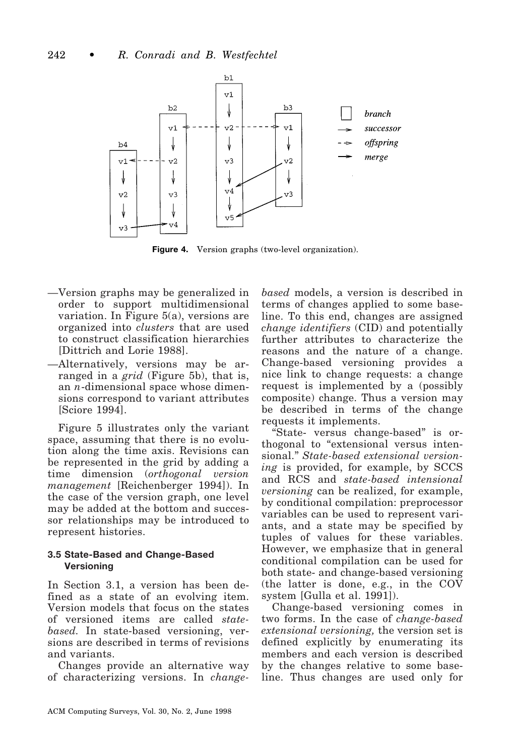

**Figure 4.** Version graphs (two-level organization).

- —Version graphs may be generalized in order to support multidimensional variation. In Figure 5(a), versions are organized into *clusters* that are used to construct classification hierarchies [Dittrich and Lorie 1988].
- —Alternatively, versions may be arranged in a *grid* (Figure 5b), that is, an *n*-dimensional space whose dimensions correspond to variant attributes [Sciore 1994].

Figure 5 illustrates only the variant space, assuming that there is no evolution along the time axis. Revisions can be represented in the grid by adding a time dimension (*orthogonal version management* [Reichenberger 1994]). In the case of the version graph, one level may be added at the bottom and successor relationships may be introduced to represent histories.

### **3.5 State-Based and Change-Based Versioning**

In Section 3.1, a version has been defined as a state of an evolving item. Version models that focus on the states of versioned items are called *statebased.* In state-based versioning, versions are described in terms of revisions and variants.

Changes provide an alternative way of characterizing versions. In *change-* *based* models, a version is described in terms of changes applied to some baseline. To this end, changes are assigned *change identifiers* (CID) and potentially further attributes to characterize the reasons and the nature of a change. Change-based versioning provides a nice link to change requests: a change request is implemented by a (possibly composite) change. Thus a version may be described in terms of the change requests it implements.

"State- versus change-based" is orthogonal to "extensional versus intensional." *State-based extensional versioning* is provided, for example, by SCCS and RCS and *state-based intensional versioning* can be realized, for example, by conditional compilation: preprocessor variables can be used to represent variants, and a state may be specified by tuples of values for these variables. However, we emphasize that in general conditional compilation can be used for both state- and change-based versioning (the latter is done, e.g., in the COV system [Gulla et al. 1991]).

Change-based versioning comes in two forms. In the case of *change-based extensional versioning,* the version set is defined explicitly by enumerating its members and each version is described by the changes relative to some baseline. Thus changes are used only for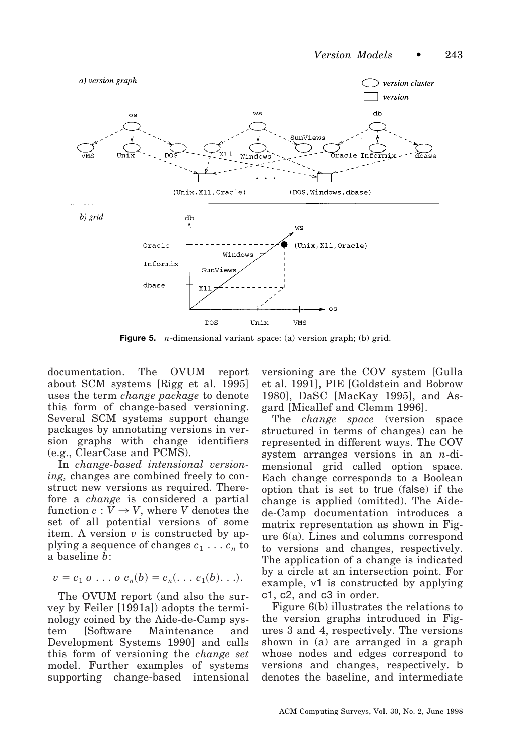

**Figure 5.** *n*-dimensional variant space: (a) version graph; (b) grid.

documentation. The OVUM report about SCM systems [Rigg et al. 1995] uses the term *change package* to denote this form of change-based versioning. Several SCM systems support change packages by annotating versions in version graphs with change identifiers (e.g., ClearCase and PCMS).

In *change-based intensional versioning,* changes are combined freely to construct new versions as required. Therefore a *change* is considered a partial function  $c: V \rightarrow V$ , where *V* denotes the set of all potential versions of some item. A version *v* is constructed by applying a sequence of changes  $c_1 \ldots c_n$  to a baseline *b*:

$$
v = c_1 \circ \ldots \circ c_n(b) = c_n(\ldots c_1(b)\ldots).
$$

The OVUM report (and also the survey by Feiler [1991a]) adopts the terminology coined by the Aide-de-Camp system [Software Maintenance and Development Systems 1990] and calls this form of versioning the *change set* model. Further examples of systems supporting change-based intensional versioning are the COV system [Gulla et al. 1991], PIE [Goldstein and Bobrow 1980], DaSC [MacKay 1995], and Asgard [Micallef and Clemm 1996].

The *change space* (version space structured in terms of changes) can be represented in different ways. The COV system arranges versions in an *n*-dimensional grid called option space. Each change corresponds to a Boolean option that is set to true (false) if the change is applied (omitted). The Aidede-Camp documentation introduces a matrix representation as shown in Figure 6(a). Lines and columns correspond to versions and changes, respectively. The application of a change is indicated by a circle at an intersection point. For example, v1 is constructed by applying c1, c2, and c3 in order.

Figure 6(b) illustrates the relations to the version graphs introduced in Figures 3 and 4, respectively. The versions shown in (a) are arranged in a graph whose nodes and edges correspond to versions and changes, respectively. b denotes the baseline, and intermediate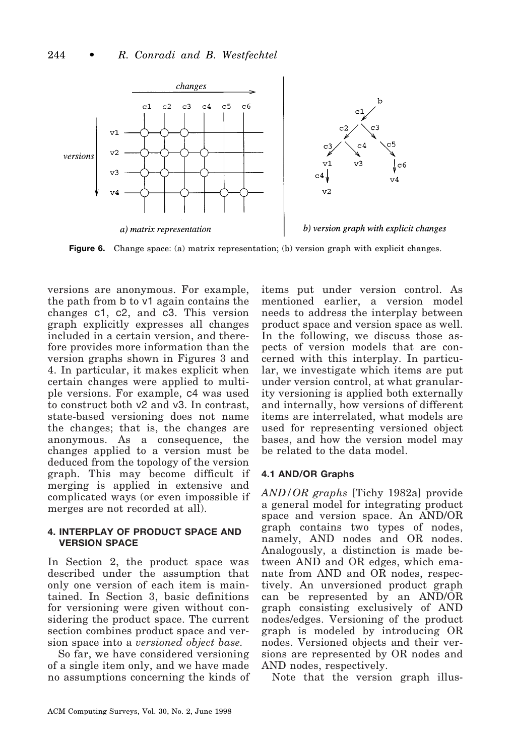

**Figure 6.** Change space: (a) matrix representation; (b) version graph with explicit changes.

versions are anonymous. For example, the path from b to v1 again contains the changes c1, c2, and c3. This version graph explicitly expresses all changes included in a certain version, and therefore provides more information than the version graphs shown in Figures 3 and 4. In particular, it makes explicit when certain changes were applied to multiple versions. For example, c4 was used to construct both v2 and v3. In contrast, state-based versioning does not name the changes; that is, the changes are anonymous. As a consequence, the changes applied to a version must be deduced from the topology of the version graph. This may become difficult if merging is applied in extensive and complicated ways (or even impossible if merges are not recorded at all).

#### **4. INTERPLAY OF PRODUCT SPACE AND VERSION SPACE**

In Section 2, the product space was described under the assumption that only one version of each item is maintained. In Section 3, basic definitions for versioning were given without considering the product space. The current section combines product space and version space into a *versioned object base.*

So far, we have considered versioning of a single item only, and we have made no assumptions concerning the kinds of items put under version control. As mentioned earlier, a version model needs to address the interplay between product space and version space as well. In the following, we discuss those aspects of version models that are concerned with this interplay. In particular, we investigate which items are put under version control, at what granularity versioning is applied both externally and internally, how versions of different items are interrelated, what models are used for representing versioned object bases, and how the version model may be related to the data model.

#### **4.1 AND/OR Graphs**

*AND/OR graphs* [Tichy 1982a] provide a general model for integrating product space and version space. An AND/OR graph contains two types of nodes, namely, AND nodes and OR nodes. Analogously, a distinction is made between AND and OR edges, which emanate from AND and OR nodes, respectively. An unversioned product graph can be represented by an AND/OR graph consisting exclusively of AND nodes/edges. Versioning of the product graph is modeled by introducing OR nodes. Versioned objects and their versions are represented by OR nodes and AND nodes, respectively.

Note that the version graph illus-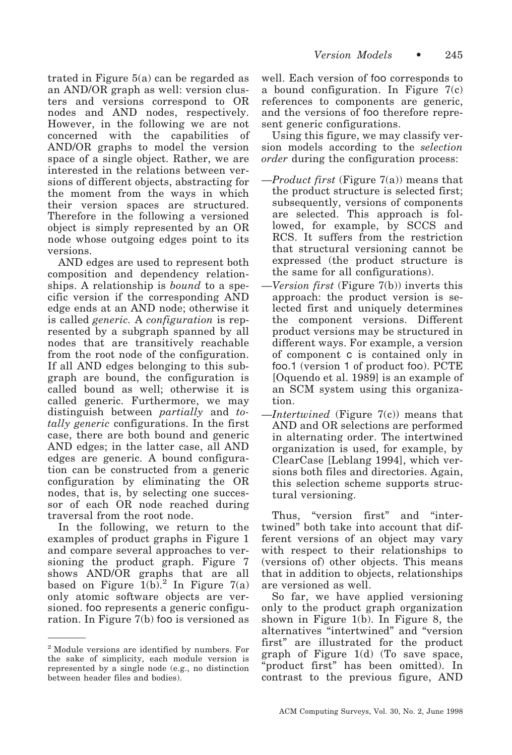trated in Figure 5(a) can be regarded as an AND/OR graph as well: version clusters and versions correspond to OR nodes and AND nodes, respectively. However, in the following we are not concerned with the capabilities of AND/OR graphs to model the version space of a single object. Rather, we are interested in the relations between versions of different objects, abstracting for the moment from the ways in which their version spaces are structured. Therefore in the following a versioned object is simply represented by an OR node whose outgoing edges point to its versions.

AND edges are used to represent both composition and dependency relationships. A relationship is *bound* to a specific version if the corresponding AND edge ends at an AND node; otherwise it is called *generic.* A *configuration* is represented by a subgraph spanned by all nodes that are transitively reachable from the root node of the configuration. If all AND edges belonging to this subgraph are bound, the configuration is called bound as well; otherwise it is called generic. Furthermore, we may distinguish between *partially* and *totally generic* configurations. In the first case, there are both bound and generic AND edges; in the latter case, all AND edges are generic. A bound configuration can be constructed from a generic configuration by eliminating the OR nodes, that is, by selecting one successor of each OR node reached during traversal from the root node.

In the following, we return to the examples of product graphs in Figure 1 and compare several approaches to versioning the product graph. Figure 7 shows AND/OR graphs that are all based on Figure  $1(b)$ .<sup>2</sup> In Figure 7(a) only atomic software objects are versioned. foo represents a generic configuration. In Figure 7(b) foo is versioned as well. Each version of foo corresponds to a bound configuration. In Figure  $7(c)$ references to components are generic, and the versions of foo therefore represent generic configurations.

Using this figure, we may classify version models according to the *selection order* during the configuration process:

- —*Product first* (Figure 7(a)) means that the product structure is selected first; subsequently, versions of components are selected. This approach is followed, for example, by SCCS and RCS. It suffers from the restriction that structural versioning cannot be expressed (the product structure is the same for all configurations).
- —*Version first* (Figure 7(b)) inverts this approach: the product version is selected first and uniquely determines the component versions. Different product versions may be structured in different ways. For example, a version of component c is contained only in foo.1 (version 1 of product foo). PCTE [Oquendo et al. 1989] is an example of an SCM system using this organization.
- —*Intertwined* (Figure 7(c)) means that AND and OR selections are performed in alternating order. The intertwined organization is used, for example, by ClearCase [Leblang 1994], which versions both files and directories. Again, this selection scheme supports structural versioning.

Thus, "version first" and "intertwined" both take into account that different versions of an object may vary with respect to their relationships to (versions of) other objects. This means that in addition to objects, relationships are versioned as well.

So far, we have applied versioning only to the product graph organization shown in Figure 1(b). In Figure 8, the alternatives "intertwined" and "version first" are illustrated for the product graph of Figure 1(d) (To save space, "product first" has been omitted). In contrast to the previous figure, AND

<sup>2</sup> Module versions are identified by numbers. For the sake of simplicity, each module version is represented by a single node (e.g., no distinction between header files and bodies).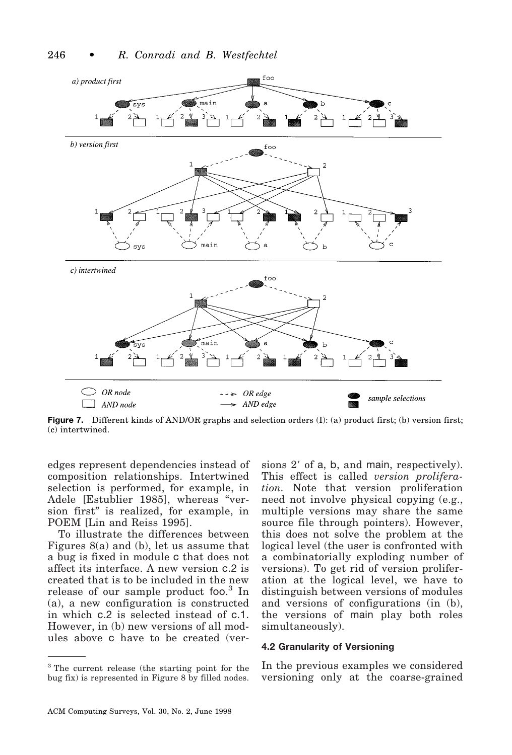

**Figure 7.** Different kinds of AND/OR graphs and selection orders (I): (a) product first; (b) version first; (c) intertwined.

edges represent dependencies instead of composition relationships. Intertwined selection is performed, for example, in Adele [Estublier 1985], whereas "version first" is realized, for example, in POEM [Lin and Reiss 1995].

To illustrate the differences between Figures 8(a) and (b), let us assume that a bug is fixed in module c that does not affect its interface. A new version c.2 is created that is to be included in the new release of our sample product foo. <sup>3</sup> In (a), a new configuration is constructed in which c.2 is selected instead of c.1. However, in (b) new versions of all modules above c have to be created (ver-

<sup>3</sup> The current release (the starting point for the bug fix) is represented in Figure 8 by filled nodes.

sions  $2'$  of a, b, and main, respectively). This effect is called *version proliferation.* Note that version proliferation need not involve physical copying (e.g., multiple versions may share the same source file through pointers). However, this does not solve the problem at the logical level (the user is confronted with a combinatorially exploding number of versions). To get rid of version proliferation at the logical level, we have to distinguish between versions of modules and versions of configurations (in (b), the versions of main play both roles simultaneously).

#### **4.2 Granularity of Versioning**

In the previous examples we considered versioning only at the coarse-grained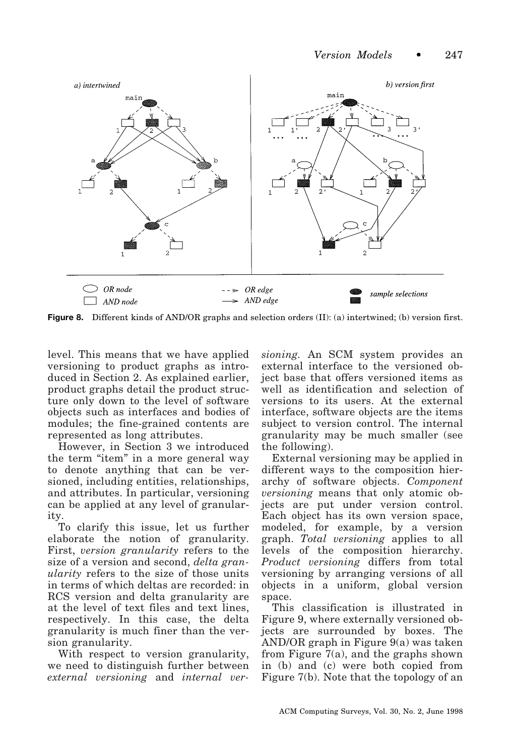

**Figure 8.** Different kinds of AND/OR graphs and selection orders (II): (a) intertwined; (b) version first.

level. This means that we have applied versioning to product graphs as introduced in Section 2. As explained earlier, product graphs detail the product structure only down to the level of software objects such as interfaces and bodies of modules; the fine-grained contents are represented as long attributes.

However, in Section 3 we introduced the term "item" in a more general way to denote anything that can be versioned, including entities, relationships, and attributes. In particular, versioning can be applied at any level of granularity.

To clarify this issue, let us further elaborate the notion of granularity. First, *version granularity* refers to the size of a version and second, *delta granularity* refers to the size of those units in terms of which deltas are recorded: in RCS version and delta granularity are at the level of text files and text lines, respectively. In this case, the delta granularity is much finer than the version granularity.

With respect to version granularity, we need to distinguish further between *external versioning* and *internal ver-* *sioning.* An SCM system provides an external interface to the versioned object base that offers versioned items as well as identification and selection of versions to its users. At the external interface, software objects are the items subject to version control. The internal granularity may be much smaller (see the following).

External versioning may be applied in different ways to the composition hierarchy of software objects. *Component versioning* means that only atomic objects are put under version control. Each object has its own version space, modeled, for example, by a version graph. *Total versioning* applies to all levels of the composition hierarchy. *Product versioning* differs from total versioning by arranging versions of all objects in a uniform, global version space.

This classification is illustrated in Figure 9, where externally versioned objects are surrounded by boxes. The AND/OR graph in Figure 9(a) was taken from Figure 7(a), and the graphs shown in (b) and (c) were both copied from Figure 7(b). Note that the topology of an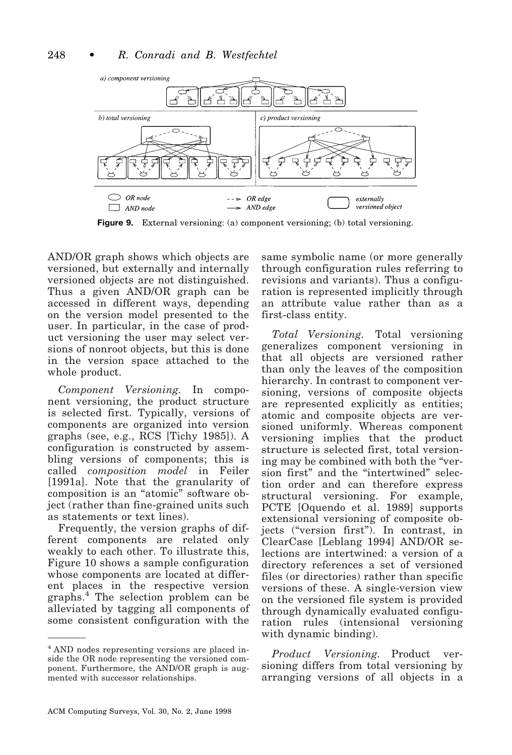

**Figure 9.** External versioning: (a) component versioning; (b) total versioning.

AND/OR graph shows which objects are versioned, but externally and internally versioned objects are not distinguished. Thus a given AND/OR graph can be accessed in different ways, depending on the version model presented to the user. In particular, in the case of product versioning the user may select versions of nonroot objects, but this is done in the version space attached to the whole product.

*Component Versioning.* In component versioning, the product structure is selected first. Typically, versions of components are organized into version graphs (see, e.g., RCS [Tichy 1985]). A configuration is constructed by assembling versions of components; this is called *composition model* in Feiler [1991a]. Note that the granularity of composition is an "atomic" software object (rather than fine-grained units such as statements or text lines).

Frequently, the version graphs of different components are related only weakly to each other. To illustrate this, Figure 10 shows a sample configuration whose components are located at different places in the respective version graphs.<sup>4</sup> The selection problem can be alleviated by tagging all components of some consistent configuration with the

same symbolic name (or more generally through configuration rules referring to revisions and variants). Thus a configuration is represented implicitly through an attribute value rather than as a first-class entity.

*Total Versioning.* Total versioning generalizes component versioning in that all objects are versioned rather than only the leaves of the composition hierarchy. In contrast to component versioning, versions of composite objects are represented explicitly as entities; atomic and composite objects are versioned uniformly. Whereas component versioning implies that the product structure is selected first, total versioning may be combined with both the "version first" and the "intertwined" selection order and can therefore express structural versioning. For example, PCTE [Oquendo et al. 1989] supports extensional versioning of composite objects ("version first"). In contrast, in ClearCase [Leblang 1994] AND/OR selections are intertwined: a version of a directory references a set of versioned files (or directories) rather than specific versions of these. A single-version view on the versioned file system is provided through dynamically evaluated configuration rules (intensional versioning with dynamic binding).

*Product Versioning.* Product versioning differs from total versioning by arranging versions of all objects in a

<sup>4</sup> AND nodes representing versions are placed inside the OR node representing the versioned component. Furthermore, the AND/OR graph is augmented with successor relationships.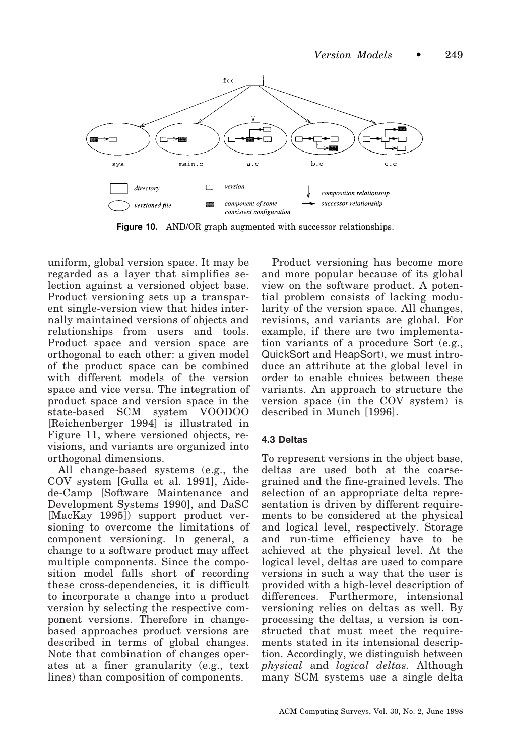

**Figure 10.** AND/OR graph augmented with successor relationships.

uniform, global version space. It may be regarded as a layer that simplifies selection against a versioned object base. Product versioning sets up a transparent single-version view that hides internally maintained versions of objects and relationships from users and tools. Product space and version space are orthogonal to each other: a given model of the product space can be combined with different models of the version space and vice versa. The integration of product space and version space in the state-based SCM system VOODOO [Reichenberger 1994] is illustrated in Figure 11, where versioned objects, revisions, and variants are organized into orthogonal dimensions.

All change-based systems (e.g., the COV system [Gulla et al. 1991], Aidede-Camp [Software Maintenance and Development Systems 1990], and DaSC [MacKay 1995]) support product versioning to overcome the limitations of component versioning. In general, a change to a software product may affect multiple components. Since the composition model falls short of recording these cross-dependencies, it is difficult to incorporate a change into a product version by selecting the respective component versions. Therefore in changebased approaches product versions are described in terms of global changes. Note that combination of changes operates at a finer granularity (e.g., text lines) than composition of components.

Product versioning has become more and more popular because of its global view on the software product. A potential problem consists of lacking modularity of the version space. All changes, revisions, and variants are global. For example, if there are two implementation variants of a procedure Sort (e.g., QuickSort and HeapSort), we must introduce an attribute at the global level in order to enable choices between these variants. An approach to structure the version space (in the COV system) is described in Munch [1996].

#### **4.3 Deltas**

To represent versions in the object base, deltas are used both at the coarsegrained and the fine-grained levels. The selection of an appropriate delta representation is driven by different requirements to be considered at the physical and logical level, respectively. Storage and run-time efficiency have to be achieved at the physical level. At the logical level, deltas are used to compare versions in such a way that the user is provided with a high-level description of differences. Furthermore, intensional versioning relies on deltas as well. By processing the deltas, a version is constructed that must meet the requirements stated in its intensional description. Accordingly, we distinguish between *physical* and *logical deltas.* Although many SCM systems use a single delta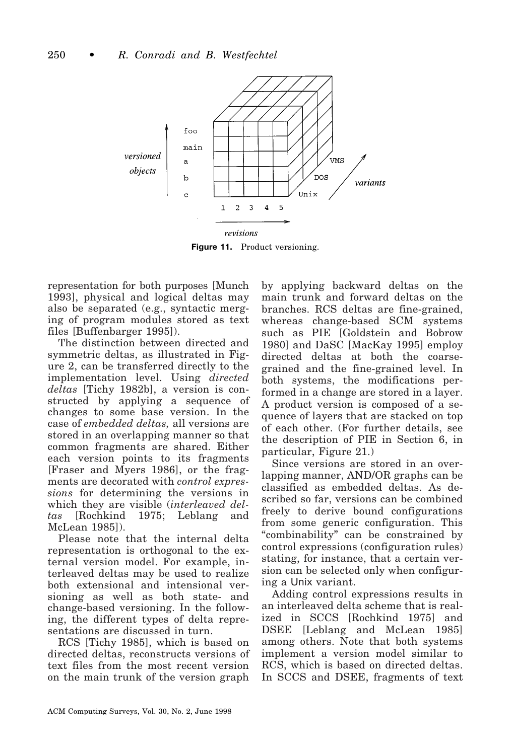

**Figure 11.** Product versioning.

representation for both purposes [Munch 1993], physical and logical deltas may also be separated (e.g., syntactic merging of program modules stored as text files [Buffenbarger 1995]).

The distinction between directed and symmetric deltas, as illustrated in Figure 2, can be transferred directly to the implementation level. Using *directed deltas* [Tichy 1982b], a version is constructed by applying a sequence of changes to some base version. In the case of *embedded deltas,* all versions are stored in an overlapping manner so that common fragments are shared. Either each version points to its fragments [Fraser and Myers 1986], or the fragments are decorated with *control expressions* for determining the versions in which they are visible (*interleaved deltas* [Rochkind 1975; Leblang and McLean 1985]).

Please note that the internal delta representation is orthogonal to the external version model. For example, interleaved deltas may be used to realize both extensional and intensional versioning as well as both state- and change-based versioning. In the following, the different types of delta representations are discussed in turn.

RCS [Tichy 1985], which is based on directed deltas, reconstructs versions of text files from the most recent version on the main trunk of the version graph

by applying backward deltas on the main trunk and forward deltas on the branches. RCS deltas are fine-grained, whereas change-based SCM systems such as PIE [Goldstein and Bobrow 1980] and DaSC [MacKay 1995] employ directed deltas at both the coarsegrained and the fine-grained level. In both systems, the modifications performed in a change are stored in a layer. A product version is composed of a sequence of layers that are stacked on top of each other. (For further details, see the description of PIE in Section 6, in particular, Figure 21.)

Since versions are stored in an overlapping manner, AND/OR graphs can be classified as embedded deltas. As described so far, versions can be combined freely to derive bound configurations from some generic configuration. This "combinability" can be constrained by control expressions (configuration rules) stating, for instance, that a certain version can be selected only when configuring a Unix variant.

Adding control expressions results in an interleaved delta scheme that is realized in SCCS [Rochkind 1975] and DSEE [Leblang and McLean 1985] among others. Note that both systems implement a version model similar to RCS, which is based on directed deltas. In SCCS and DSEE, fragments of text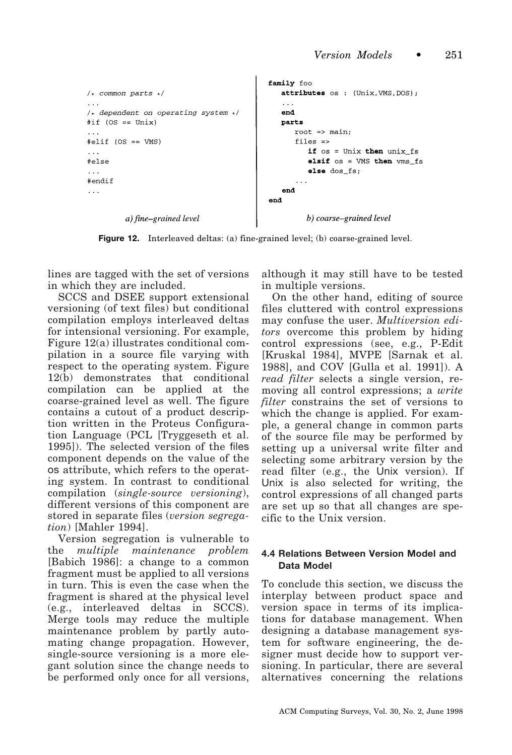```
family foo
\frac{1}{x} common parts \frac{1}{x}attributes os: (Unix, VMS, DOS);
                                                       \ddotsc/* dependent on operating system */end
#if (OS == Unix)narte
                                                          root => main;
\ldots#elif (OS == VMS)
                                                           files \Rightarrowif os = Unix then unix_fs
\sim \sim \simelsif os = VMS then vms_fs
#else
                                                               else dos_fs;
\sim \sim \sim#endif
\ldotsend
                                                   end
          a) fine-grained level
                                                              b) coarse-grained level
```
**Figure 12.** Interleaved deltas: (a) fine-grained level; (b) coarse-grained level.

lines are tagged with the set of versions in which they are included.

SCCS and DSEE support extensional versioning (of text files) but conditional compilation employs interleaved deltas for intensional versioning. For example, Figure 12(a) illustrates conditional compilation in a source file varying with respect to the operating system. Figure 12(b) demonstrates that conditional compilation can be applied at the coarse-grained level as well. The figure contains a cutout of a product description written in the Proteus Configuration Language (PCL [Tryggeseth et al. 1995]). The selected version of the files component depends on the value of the os attribute, which refers to the operating system. In contrast to conditional compilation (*single-source versioning*), different versions of this component are stored in separate files (*version segregation*) [Mahler 1994].

Version segregation is vulnerable to the *multiple maintenance problem* [Babich 1986]: a change to a common fragment must be applied to all versions in turn. This is even the case when the fragment is shared at the physical level (e.g., interleaved deltas in SCCS). Merge tools may reduce the multiple maintenance problem by partly automating change propagation. However, single-source versioning is a more elegant solution since the change needs to be performed only once for all versions, although it may still have to be tested in multiple versions.

On the other hand, editing of source files cluttered with control expressions may confuse the user. *Multiversion editors* overcome this problem by hiding control expressions (see, e.g., P-Edit [Kruskal 1984], MVPE [Sarnak et al. 1988], and COV [Gulla et al. 1991]). A *read filter* selects a single version, removing all control expressions; a *write filter* constrains the set of versions to which the change is applied. For example, a general change in common parts of the source file may be performed by setting up a universal write filter and selecting some arbitrary version by the read filter (e.g., the Unix version). If Unix is also selected for writing, the control expressions of all changed parts are set up so that all changes are specific to the Unix version.

#### **4.4 Relations Between Version Model and Data Model**

To conclude this section, we discuss the interplay between product space and version space in terms of its implications for database management. When designing a database management system for software engineering, the designer must decide how to support versioning. In particular, there are several alternatives concerning the relations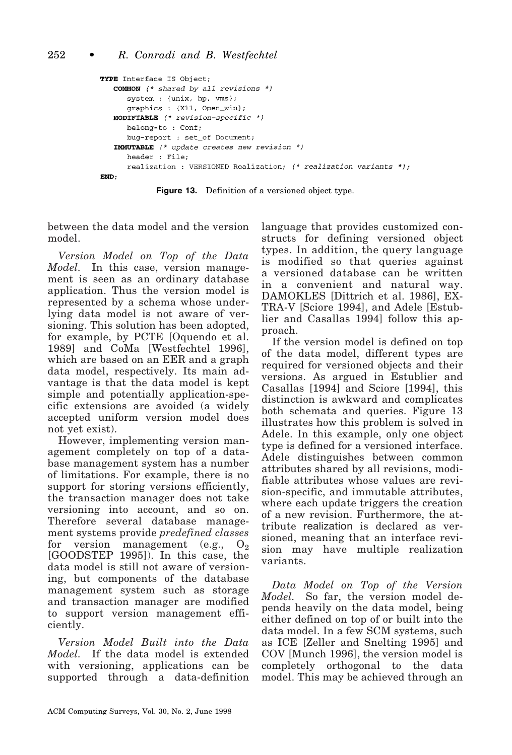```
TYPE Interface IS Object;
   COMMON (* shared by all revisions *)
      system : \{unix, hp, vms\};graphics: {X11, Open_win};
   MODIFIABLE (* revision-specific *)
      belong-to : Conf;
      bug-report : set_of Document;
   IMMUTABLE (* update creates new revision *)header : File;
      realization : VERSIONED Realization; (* realization variants *);
END;
```


between the data model and the version model.

*Version Model on Top of the Data Model.* In this case, version management is seen as an ordinary database application. Thus the version model is represented by a schema whose underlying data model is not aware of versioning. This solution has been adopted, for example, by PCTE [Oquendo et al. 1989] and CoMa [Westfechtel 1996], which are based on an EER and a graph data model, respectively. Its main advantage is that the data model is kept simple and potentially application-specific extensions are avoided (a widely accepted uniform version model does not yet exist).

However, implementing version management completely on top of a database management system has a number of limitations. For example, there is no support for storing versions efficiently, the transaction manager does not take versioning into account, and so on. Therefore several database management systems provide *predefined classes* for version management (e.g.,  $O_2$ ) [GOODSTEP 1995]). In this case, the data model is still not aware of versioning, but components of the database management system such as storage and transaction manager are modified to support version management efficiently.

*Version Model Built into the Data Model.* If the data model is extended with versioning, applications can be supported through a data-definition language that provides customized constructs for defining versioned object types. In addition, the query language is modified so that queries against a versioned database can be written in a convenient and natural way. DAMOKLES [Dittrich et al. 1986], EX-TRA-V [Sciore 1994], and Adele [Estublier and Casallas 1994] follow this approach.

If the version model is defined on top of the data model, different types are required for versioned objects and their versions. As argued in Estublier and Casallas [1994] and Sciore [1994], this distinction is awkward and complicates both schemata and queries. Figure 13 illustrates how this problem is solved in Adele. In this example, only one object type is defined for a versioned interface. Adele distinguishes between common attributes shared by all revisions, modifiable attributes whose values are revision-specific, and immutable attributes, where each update triggers the creation of a new revision. Furthermore, the attribute realization is declared as versioned, meaning that an interface revision may have multiple realization variants.

*Data Model on Top of the Version Model.* So far, the version model depends heavily on the data model, being either defined on top of or built into the data model. In a few SCM systems, such as ICE [Zeller and Snelting 1995] and COV [Munch 1996], the version model is completely orthogonal to the data model. This may be achieved through an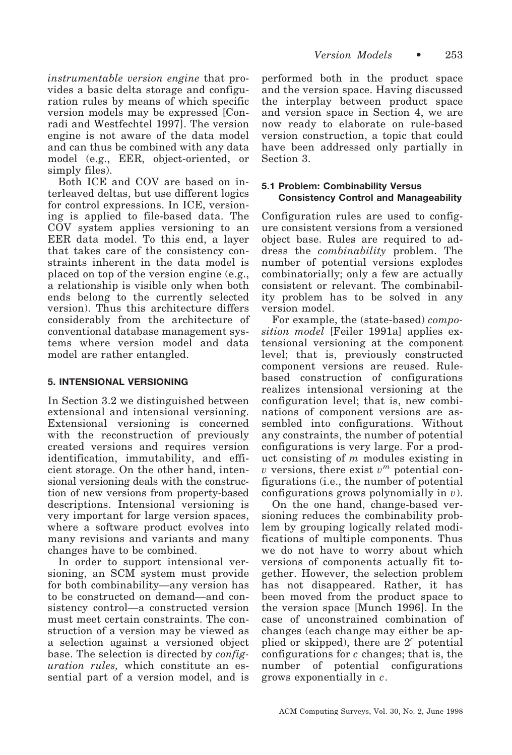*instrumentable version engine* that provides a basic delta storage and configuration rules by means of which specific version models may be expressed [Conradi and Westfechtel 1997]. The version engine is not aware of the data model and can thus be combined with any data model (e.g., EER, object-oriented, or simply files).

Both ICE and COV are based on interleaved deltas, but use different logics for control expressions. In ICE, versioning is applied to file-based data. The COV system applies versioning to an EER data model. To this end, a layer that takes care of the consistency constraints inherent in the data model is placed on top of the version engine (e.g., a relationship is visible only when both ends belong to the currently selected version). Thus this architecture differs considerably from the architecture of conventional database management systems where version model and data model are rather entangled.

#### **5. INTENSIONAL VERSIONING**

In Section 3.2 we distinguished between extensional and intensional versioning. Extensional versioning is concerned with the reconstruction of previously created versions and requires version identification, immutability, and efficient storage. On the other hand, intensional versioning deals with the construction of new versions from property-based descriptions. Intensional versioning is very important for large version spaces, where a software product evolves into many revisions and variants and many changes have to be combined.

In order to support intensional versioning, an SCM system must provide for both combinability—any version has to be constructed on demand—and consistency control—a constructed version must meet certain constraints. The construction of a version may be viewed as a selection against a versioned object base. The selection is directed by *configuration rules,* which constitute an essential part of a version model, and is

performed both in the product space and the version space. Having discussed the interplay between product space and version space in Section 4, we are now ready to elaborate on rule-based version construction, a topic that could have been addressed only partially in Section 3.

### **5.1 Problem: Combinability Versus Consistency Control and Manageability**

Configuration rules are used to configure consistent versions from a versioned object base. Rules are required to address the *combinability* problem. The number of potential versions explodes combinatorially; only a few are actually consistent or relevant. The combinability problem has to be solved in any version model.

For example, the (state-based) *composition model* [Feiler 1991a] applies extensional versioning at the component level; that is, previously constructed component versions are reused. Rulebased construction of configurations realizes intensional versioning at the configuration level; that is, new combinations of component versions are assembled into configurations. Without any constraints, the number of potential configurations is very large. For a product consisting of *m* modules existing in *v* versions, there exist *v<sup>m</sup>* potential configurations (i.e., the number of potential configurations grows polynomially in *v*).

On the one hand, change-based versioning reduces the combinability problem by grouping logically related modifications of multiple components. Thus we do not have to worry about which versions of components actually fit together. However, the selection problem has not disappeared. Rather, it has been moved from the product space to the version space [Munch 1996]. In the case of unconstrained combination of changes (each change may either be applied or skipped), there are 2*<sup>c</sup>* potential configurations for *c* changes; that is, the number of potential configurations grows exponentially in *c*.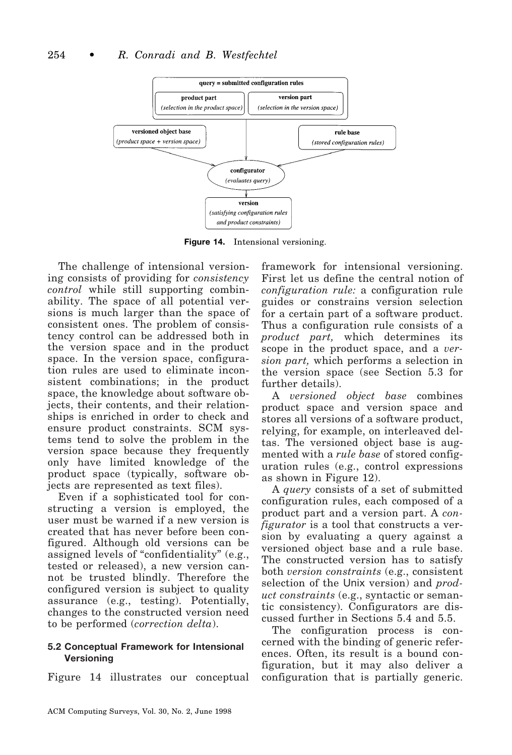

**Figure 14.** Intensional versioning.

The challenge of intensional versioning consists of providing for *consistency control* while still supporting combinability. The space of all potential versions is much larger than the space of consistent ones. The problem of consistency control can be addressed both in the version space and in the product space. In the version space, configuration rules are used to eliminate inconsistent combinations; in the product space, the knowledge about software objects, their contents, and their relationships is enriched in order to check and ensure product constraints. SCM systems tend to solve the problem in the version space because they frequently only have limited knowledge of the product space (typically, software objects are represented as text files).

Even if a sophisticated tool for constructing a version is employed, the user must be warned if a new version is created that has never before been configured. Although old versions can be assigned levels of "confidentiality" (e.g., tested or released), a new version cannot be trusted blindly. Therefore the configured version is subject to quality assurance (e.g., testing). Potentially, changes to the constructed version need to be performed (*correction delta*).

#### **5.2 Conceptual Framework for Intensional Versioning**

Figure 14 illustrates our conceptual

framework for intensional versioning. First let us define the central notion of *configuration rule:* a configuration rule guides or constrains version selection for a certain part of a software product. Thus a configuration rule consists of a *product part,* which determines its scope in the product space, and a *version part,* which performs a selection in the version space (see Section 5.3 for further details).

A *versioned object base* combines product space and version space and stores all versions of a software product, relying, for example, on interleaved deltas. The versioned object base is augmented with a *rule base* of stored configuration rules (e.g., control expressions as shown in Figure 12).

A *query* consists of a set of submitted configuration rules, each composed of a product part and a version part. A *configurator* is a tool that constructs a version by evaluating a query against a versioned object base and a rule base. The constructed version has to satisfy both *version constraints* (e.g., consistent selection of the Unix version) and *product constraints* (e.g., syntactic or semantic consistency). Configurators are discussed further in Sections 5.4 and 5.5.

The configuration process is concerned with the binding of generic references. Often, its result is a bound configuration, but it may also deliver a configuration that is partially generic.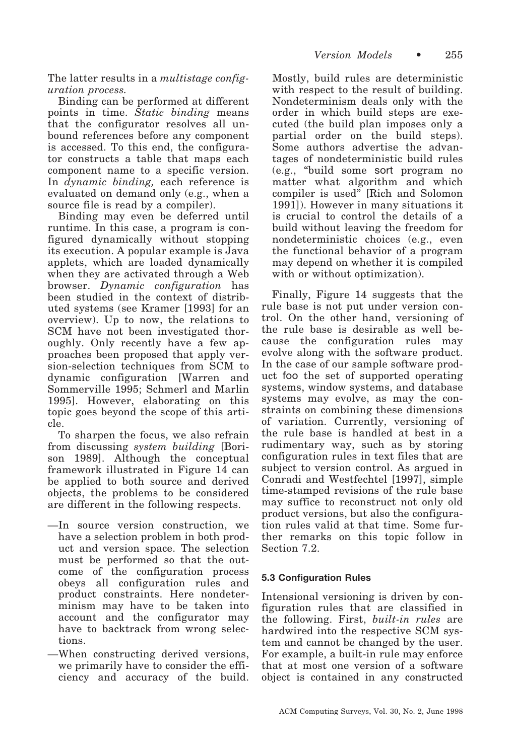The latter results in a *multistage configuration process.*

Binding can be performed at different points in time. *Static binding* means that the configurator resolves all unbound references before any component is accessed. To this end, the configurator constructs a table that maps each component name to a specific version. In *dynamic binding,* each reference is evaluated on demand only (e.g., when a source file is read by a compiler).

Binding may even be deferred until runtime. In this case, a program is configured dynamically without stopping its execution. A popular example is Java applets, which are loaded dynamically when they are activated through a Web browser. *Dynamic configuration* has been studied in the context of distributed systems (see Kramer [1993] for an overview). Up to now, the relations to SCM have not been investigated thoroughly. Only recently have a few approaches been proposed that apply version-selection techniques from SCM to dynamic configuration [Warren and Sommerville 1995; Schmerl and Marlin 1995]. However, elaborating on this topic goes beyond the scope of this article.

To sharpen the focus, we also refrain from discussing *system building* [Borison 1989]. Although the conceptual framework illustrated in Figure 14 can be applied to both source and derived objects, the problems to be considered are different in the following respects.

—In source version construction, we have a selection problem in both product and version space. The selection must be performed so that the outcome of the configuration process obeys all configuration rules and product constraints. Here nondeterminism may have to be taken into account and the configurator may have to backtrack from wrong selections.

—When constructing derived versions, we primarily have to consider the efficiency and accuracy of the build.

Mostly, build rules are deterministic with respect to the result of building. Nondeterminism deals only with the order in which build steps are executed (the build plan imposes only a partial order on the build steps). Some authors advertise the advantages of nondeterministic build rules (e.g., "build some sort program no matter what algorithm and which compiler is used" [Rich and Solomon 1991]). However in many situations it is crucial to control the details of a build without leaving the freedom for nondeterministic choices (e.g., even the functional behavior of a program may depend on whether it is compiled with or without optimization).

Finally, Figure 14 suggests that the rule base is not put under version control. On the other hand, versioning of the rule base is desirable as well because the configuration rules may evolve along with the software product. In the case of our sample software product foo the set of supported operating systems, window systems, and database systems may evolve, as may the constraints on combining these dimensions of variation. Currently, versioning of the rule base is handled at best in a rudimentary way, such as by storing configuration rules in text files that are subject to version control. As argued in Conradi and Westfechtel [1997], simple time-stamped revisions of the rule base may suffice to reconstruct not only old product versions, but also the configuration rules valid at that time. Some further remarks on this topic follow in Section 7.2.

## **5.3 Configuration Rules**

Intensional versioning is driven by configuration rules that are classified in the following. First, *built-in rules* are hardwired into the respective SCM system and cannot be changed by the user. For example, a built-in rule may enforce that at most one version of a software object is contained in any constructed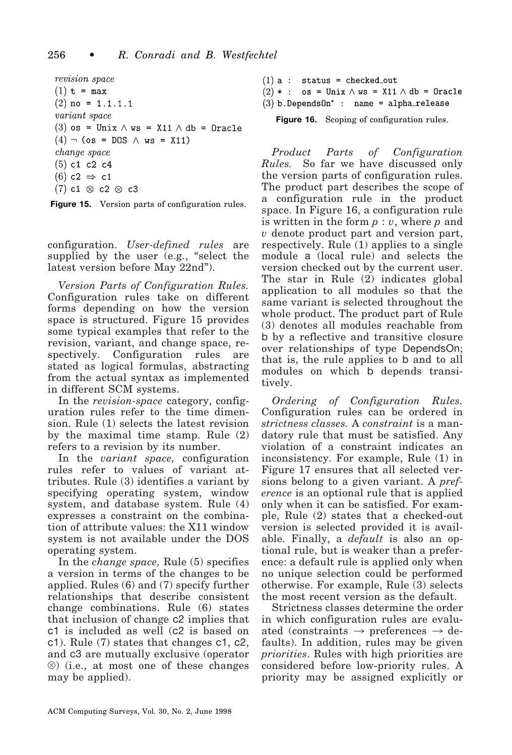revision space  $(1) t = max$  $(2)$  no = 1.1.1.1 variant space (3) os = Unix  $\land$  ws = X11  $\land$  db = Oracle  $(4)$   $\neg$  (os = DOS  $\land$  ws = X11) change space  $(5)$  c1 c2 c4  $(6) c2 \Rightarrow c1$  $(7)$  c1  $\otimes$  c2  $\otimes$  c3



configuration. *User-defined rules* are supplied by the user (e.g., "select the latest version before May 22nd").

*Version Parts of Configuration Rules.* Configuration rules take on different forms depending on how the version space is structured. Figure 15 provides some typical examples that refer to the revision, variant, and change space, respectively. Configuration rules are stated as logical formulas, abstracting from the actual syntax as implemented in different SCM systems.

In the *revision-space* category, configuration rules refer to the time dimension. Rule (1) selects the latest revision by the maximal time stamp. Rule (2) refers to a revision by its number.

In the *variant space,* configuration rules refer to values of variant attributes. Rule (3) identifies a variant by specifying operating system, window system, and database system. Rule (4) expresses a constraint on the combination of attribute values: the X11 window system is not available under the DOS operating system.

In the *change space,* Rule (5) specifies a version in terms of the changes to be applied. Rules (6) and (7) specify further relationships that describe consistent change combinations. Rule (6) states that inclusion of change c2 implies that c1 is included as well (c2 is based on c1). Rule (7) states that changes c1, c2, and c3 are mutually exclusive (operator  $\circledR$ ) (i.e., at most one of these changes may be applied).

- $(1)$  a : status = checked\_out
- os = Unix  $\land$  ws = X11  $\land$  db = Oracle  $(2) * :$
- $(3)$  b. Depends  $0n^*$  : name = alpha\_release
	- **Figure 16.** Scoping of configuration rules.

*Product Parts of Configuration Rules.* So far we have discussed only the version parts of configuration rules. The product part describes the scope of a configuration rule in the product space. In Figure 16, a configuration rule is written in the form *p* : *v*, where *p* and *v* denote product part and version part, respectively. Rule (1) applies to a single module a (local rule) and selects the version checked out by the current user. The star in Rule (2) indicates global application to all modules so that the same variant is selected throughout the whole product. The product part of Rule (3) denotes all modules reachable from b by a reflective and transitive closure over relationships of type DependsOn; that is, the rule applies to b and to all modules on which b depends transitively.

*Ordering of Configuration Rules.* Configuration rules can be ordered in *strictness classes.* A *constraint* is a mandatory rule that must be satisfied. Any violation of a constraint indicates an inconsistency. For example, Rule (1) in Figure 17 ensures that all selected versions belong to a given variant. A *preference* is an optional rule that is applied only when it can be satisfied. For example, Rule (2) states that a checked-out version is selected provided it is available. Finally, a *default* is also an optional rule, but is weaker than a preference: a default rule is applied only when no unique selection could be performed otherwise. For example, Rule (3) selects the most recent version as the default.

Strictness classes determine the order in which configuration rules are evaluated (constraints  $\rightarrow$  preferences  $\rightarrow$  defaults). In addition, rules may be given *priorities*. Rules with high priorities are considered before low-priority rules. A priority may be assigned explicitly or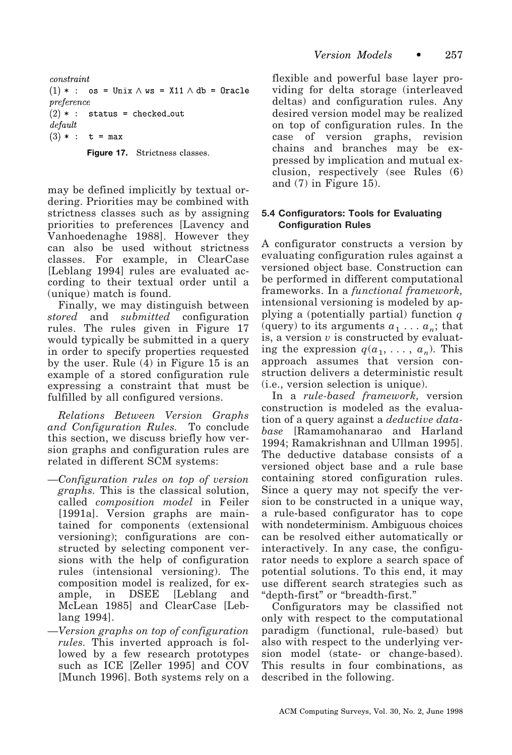```
constant(1) * : os = Unix \wedge ws = X11 \wedge db = Oracle
preference(2) * :status = checked_out
default(3) * : t = max
```
**Figure 17.** Strictness classes.

may be defined implicitly by textual ordering. Priorities may be combined with strictness classes such as by assigning priorities to preferences [Lavency and Vanhoedenaghe 1988]. However they can also be used without strictness classes. For example, in ClearCase [Leblang 1994] rules are evaluated according to their textual order until a (unique) match is found.

Finally, we may distinguish between *stored* and *submitted* configuration rules. The rules given in Figure 17 would typically be submitted in a query in order to specify properties requested by the user. Rule (4) in Figure 15 is an example of a stored configuration rule expressing a constraint that must be fulfilled by all configured versions.

*Relations Between Version Graphs and Configuration Rules.* To conclude this section, we discuss briefly how version graphs and configuration rules are related in different SCM systems:

—*Configuration rules on top of version graphs.* This is the classical solution, called *composition model* in Feiler [1991a]. Version graphs are maintained for components (extensional versioning); configurations are constructed by selecting component versions with the help of configuration rules (intensional versioning). The composition model is realized, for example, in DSEE [Leblang and McLean 1985] and ClearCase [Leblang 1994].

—*Version graphs on top of configuration rules.* This inverted approach is followed by a few research prototypes such as ICE [Zeller 1995] and COV [Munch 1996]. Both systems rely on a flexible and powerful base layer providing for delta storage (interleaved deltas) and configuration rules. Any desired version model may be realized on top of configuration rules. In the case of version graphs, revision chains and branches may be expressed by implication and mutual exclusion, respectively (see Rules (6) and (7) in Figure 15).

## **5.4 Configurators: Tools for Evaluating Configuration Rules**

A configurator constructs a version by evaluating configuration rules against a versioned object base. Construction can be performed in different computational frameworks. In a *functional framework,* intensional versioning is modeled by applying a (potentially partial) function *q* (query) to its arguments  $a_1 \ldots a_n$ ; that is, a version *v* is constructed by evaluating the expression  $q(a_1, \ldots, a_n)$ . This approach assumes that version construction delivers a deterministic result (i.e., version selection is unique).

In a *rule-based framework,* version construction is modeled as the evaluation of a query against a *deductive database* [Ramamohanarao and Harland 1994; Ramakrishnan and Ullman 1995]. The deductive database consists of a versioned object base and a rule base containing stored configuration rules. Since a query may not specify the version to be constructed in a unique way, a rule-based configurator has to cope with nondeterminism. Ambiguous choices can be resolved either automatically or interactively. In any case, the configurator needs to explore a search space of potential solutions. To this end, it may use different search strategies such as "depth-first" or "breadth-first."

Configurators may be classified not only with respect to the computational paradigm (functional, rule-based) but also with respect to the underlying version model (state- or change-based). This results in four combinations, as described in the following.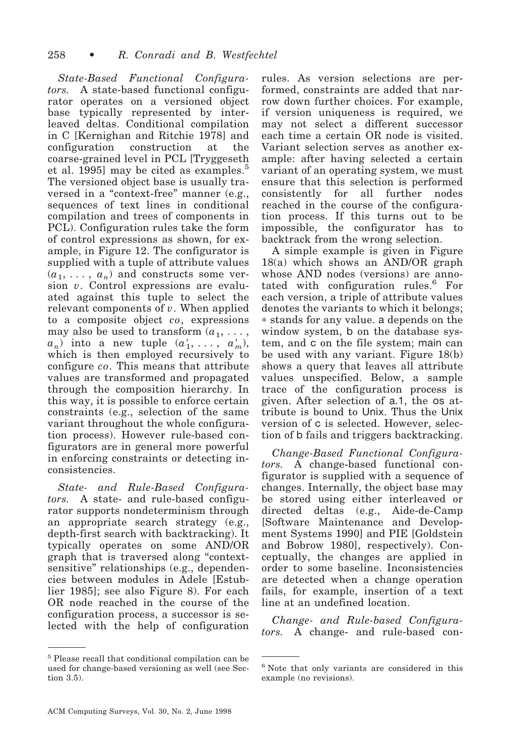*State-Based Functional Configurators.* A state-based functional configurator operates on a versioned object base typically represented by interleaved deltas. Conditional compilation in C [Kernighan and Ritchie 1978] and configuration construction at the coarse-grained level in PCL [Tryggeseth et al. 1995] may be cited as examples.<sup>5</sup> The versioned object base is usually traversed in a "context-free" manner (e.g., sequences of text lines in conditional compilation and trees of components in PCL). Configuration rules take the form of control expressions as shown, for example, in Figure 12. The configurator is supplied with a tuple of attribute values  $(a_1, \ldots, a_n)$  and constructs some version *v*. Control expressions are evaluated against this tuple to select the relevant components of *v*. When applied to a composite object *co*, expressions may also be used to transform  $(a_1, \ldots, a_n)$  $a_n$ ) into a new tuple  $(a'_1, \ldots, a'_m)$ , which is then employed recursively to configure *co*. This means that attribute values are transformed and propagated through the composition hierarchy. In this way, it is possible to enforce certain constraints (e.g., selection of the same variant throughout the whole configuration process). However rule-based configurators are in general more powerful in enforcing constraints or detecting inconsistencies.

*State- and Rule-Based Configurators.* A state- and rule-based configurator supports nondeterminism through an appropriate search strategy (e.g., depth-first search with backtracking). It typically operates on some AND/OR graph that is traversed along "contextsensitive" relationships (e.g., dependencies between modules in Adele [Estublier 1985]; see also Figure 8). For each OR node reached in the course of the configuration process, a successor is selected with the help of configuration

<sup>5</sup> Please recall that conditional compilation can be used for change-based versioning as well (see Section 3.5).

rules. As version selections are performed, constraints are added that narrow down further choices. For example, if version uniqueness is required, we may not select a different successor each time a certain OR node is visited. Variant selection serves as another example: after having selected a certain variant of an operating system, we must ensure that this selection is performed consistently for all further nodes reached in the course of the configuration process. If this turns out to be impossible, the configurator has to backtrack from the wrong selection.

A simple example is given in Figure 18(a) which shows an AND/OR graph whose AND nodes (versions) are annotated with configuration rules.<sup>6</sup> For each version, a triple of attribute values denotes the variants to which it belongs; \* stands for any value. a depends on the window system, b on the database system, and c on the file system; main can be used with any variant. Figure 18(b) shows a query that leaves all attribute values unspecified. Below, a sample trace of the configuration process is given. After selection of a.1, the os attribute is bound to Unix. Thus the Unix version of c is selected. However, selection of b fails and triggers backtracking.

*Change-Based Functional Configurators.* A change-based functional configurator is supplied with a sequence of changes. Internally, the object base may be stored using either interleaved or directed deltas (e.g., Aide-de-Camp [Software Maintenance and Development Systems 1990] and PIE [Goldstein and Bobrow 1980], respectively). Conceptually, the changes are applied in order to some baseline. Inconsistencies are detected when a change operation fails, for example, insertion of a text line at an undefined location.

*Change- and Rule-based Configurators.* A change- and rule-based con-

<sup>&</sup>lt;sup>6</sup> Note that only variants are considered in this example (no revisions).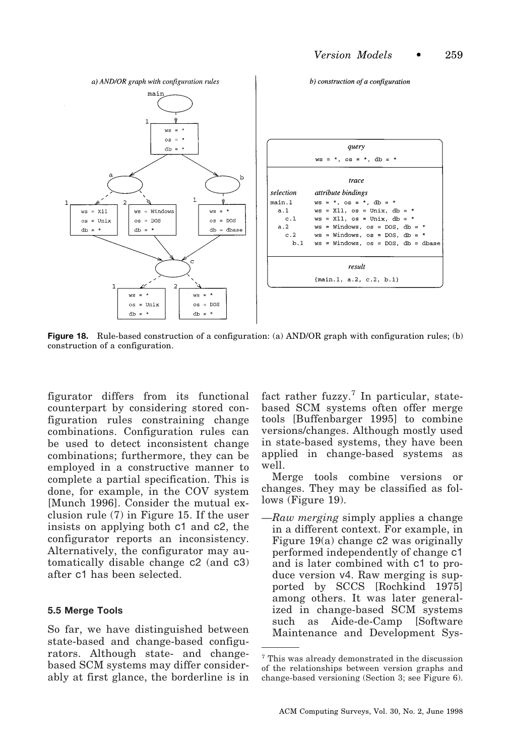

**Figure 18.** Rule-based construction of a configuration: (a) AND/OR graph with configuration rules; (b) construction of a configuration.

figurator differs from its functional counterpart by considering stored configuration rules constraining change combinations. Configuration rules can be used to detect inconsistent change combinations; furthermore, they can be employed in a constructive manner to complete a partial specification. This is done, for example, in the COV system [Munch 1996]. Consider the mutual exclusion rule (7) in Figure 15. If the user insists on applying both c1 and c2, the configurator reports an inconsistency. Alternatively, the configurator may automatically disable change c2 (and c3) after c1 has been selected.

#### **5.5 Merge Tools**

So far, we have distinguished between state-based and change-based configurators. Although state- and changebased SCM systems may differ considerably at first glance, the borderline is in

fact rather fuzzy.<sup>7</sup> In particular, statebased SCM systems often offer merge tools [Buffenbarger 1995] to combine versions/changes. Although mostly used in state-based systems, they have been applied in change-based systems as well.

Merge tools combine versions or changes. They may be classified as follows (Figure 19).

—*Raw merging* simply applies a change in a different context. For example, in Figure 19(a) change c2 was originally performed independently of change c1 and is later combined with c1 to produce version v4. Raw merging is supported by SCCS [Rochkind 1975] among others. It was later generalized in change-based SCM systems such as Aide-de-Camp [Software Maintenance and Development Sys-

<sup>7</sup> This was already demonstrated in the discussion of the relationships between version graphs and change-based versioning (Section 3; see Figure 6).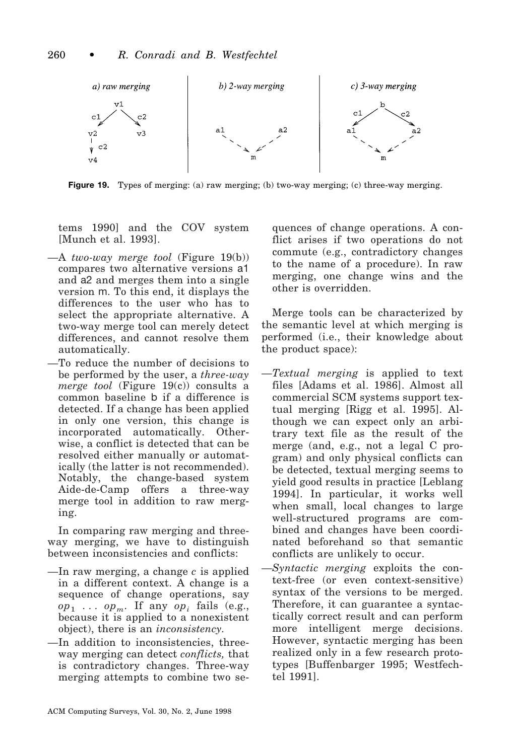

**Figure 19.** Types of merging: (a) raw merging; (b) two-way merging; (c) three-way merging.

tems 1990] and the COV system [Munch et al. 1993].

- —A *two-way merge tool* (Figure 19(b)) compares two alternative versions a1 and a2 and merges them into a single version m. To this end, it displays the differences to the user who has to select the appropriate alternative. A two-way merge tool can merely detect differences, and cannot resolve them automatically.
- —To reduce the number of decisions to be performed by the user, a *three-way merge tool* (Figure 19(c)) consults a common baseline b if a difference is detected. If a change has been applied in only one version, this change is incorporated automatically. Otherwise, a conflict is detected that can be resolved either manually or automatically (the latter is not recommended). Notably, the change-based system Aide-de-Camp offers a three-way merge tool in addition to raw merging.

In comparing raw merging and threeway merging, we have to distinguish between inconsistencies and conflicts:

- —In raw merging, a change *c* is applied in a different context. A change is a sequence of change operations, say  $op_1$  ...  $op_m$ . If any  $op_i$  fails (e.g., because it is applied to a nonexistent object), there is an *inconsistency.*
- —In addition to inconsistencies, threeway merging can detect *conflicts,* that is contradictory changes. Three-way merging attempts to combine two se-

quences of change operations. A conflict arises if two operations do not commute (e.g., contradictory changes to the name of a procedure). In raw merging, one change wins and the other is overridden.

Merge tools can be characterized by the semantic level at which merging is performed (i.e., their knowledge about the product space):

- —*Textual merging* is applied to text files [Adams et al. 1986]. Almost all commercial SCM systems support textual merging [Rigg et al. 1995]. Although we can expect only an arbitrary text file as the result of the merge (and, e.g., not a legal C program) and only physical conflicts can be detected, textual merging seems to yield good results in practice [Leblang 1994]. In particular, it works well when small, local changes to large well-structured programs are combined and changes have been coordinated beforehand so that semantic conflicts are unlikely to occur.
- —*Syntactic merging* exploits the context-free (or even context-sensitive) syntax of the versions to be merged. Therefore, it can guarantee a syntactically correct result and can perform more intelligent merge decisions. However, syntactic merging has been realized only in a few research prototypes [Buffenbarger 1995; Westfechtel 1991].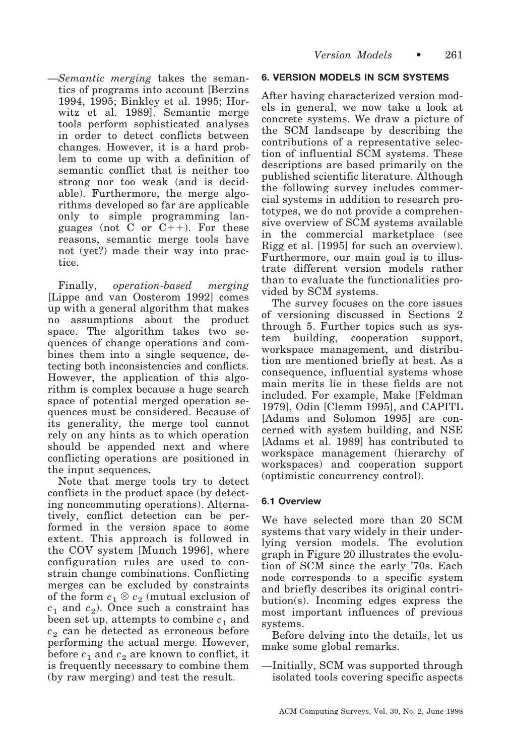—*Semantic merging* takes the semantics of programs into account [Berzins 1994, 1995; Binkley et al. 1995; Horwitz et al. 1989]. Semantic merge tools perform sophisticated analyses in order to detect conflicts between changes. However, it is a hard problem to come up with a definition of semantic conflict that is neither too strong nor too weak (and is decidable). Furthermore, the merge algorithms developed so far are applicable only to simple programming languages (not C or  $C_{++}$ ). For these reasons, semantic merge tools have not (yet?) made their way into practice.

Finally, *operation-based merging* [Lippe and van Oosterom 1992] comes up with a general algorithm that makes no assumptions about the product space. The algorithm takes two sequences of change operations and combines them into a single sequence, detecting both inconsistencies and conflicts. However, the application of this algorithm is complex because a huge search space of potential merged operation sequences must be considered. Because of its generality, the merge tool cannot rely on any hints as to which operation should be appended next and where conflicting operations are positioned in the input sequences.

Note that merge tools try to detect conflicts in the product space (by detecting noncommuting operations). Alternatively, conflict detection can be performed in the version space to some extent. This approach is followed in the COV system [Munch 1996], where configuration rules are used to constrain change combinations. Conflicting merges can be excluded by constraints of the form  $c_1 \otimes c_2$  (mutual exclusion of  $c_1$  and  $c_2$ ). Once such a constraint has been set up, attempts to combine  $c_1$  and *c*<sup>2</sup> can be detected as erroneous before performing the actual merge. However, before  $c_1$  and  $c_2$  are known to conflict, it is frequently necessary to combine them (by raw merging) and test the result.

#### **6. VERSION MODELS IN SCM SYSTEMS**

After having characterized version models in general, we now take a look at concrete systems. We draw a picture of the SCM landscape by describing the contributions of a representative selection of influential SCM systems. These descriptions are based primarily on the published scientific literature. Although the following survey includes commercial systems in addition to research prototypes, we do not provide a comprehensive overview of SCM systems available in the commercial marketplace (see Rigg et al. [1995] for such an overview). Furthermore, our main goal is to illustrate different version models rather than to evaluate the functionalities provided by SCM systems.

The survey focuses on the core issues of versioning discussed in Sections 2 through 5. Further topics such as system building, cooperation support, workspace management, and distribution are mentioned briefly at best. As a consequence, influential systems whose main merits lie in these fields are not included. For example, Make [Feldman 1979], Odin [Clemm 1995], and CAPITL [Adams and Solomon 1995] are concerned with system building, and NSE [Adams et al. 1989] has contributed to workspace management (hierarchy of workspaces) and cooperation support (optimistic concurrency control).

#### **6.1 Overview**

We have selected more than 20 SCM systems that vary widely in their underlying version models. The evolution graph in Figure 20 illustrates the evolution of SCM since the early '70s. Each node corresponds to a specific system and briefly describes its original contribution(s). Incoming edges express the most important influences of previous systems.

Before delving into the details, let us make some global remarks.

—Initially, SCM was supported through isolated tools covering specific aspects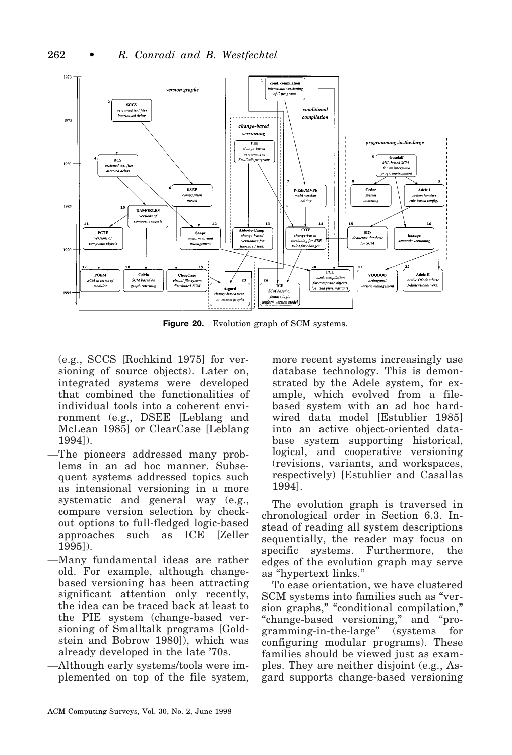

**Figure 20.** Evolution graph of SCM systems.

(e.g., SCCS [Rochkind 1975] for versioning of source objects). Later on, integrated systems were developed that combined the functionalities of individual tools into a coherent environment (e.g., DSEE [Leblang and McLean 1985] or ClearCase [Leblang 1994]).

- —The pioneers addressed many problems in an ad hoc manner. Subsequent systems addressed topics such as intensional versioning in a more systematic and general way (e.g., compare version selection by checkout options to full-fledged logic-based approaches such as ICE [Zeller 1995]).
- —Many fundamental ideas are rather old. For example, although changebased versioning has been attracting significant attention only recently, the idea can be traced back at least to the PIE system (change-based versioning of Smalltalk programs [Goldstein and Bobrow 1980]), which was already developed in the late '70s.
- —Although early systems/tools were implemented on top of the file system,

more recent systems increasingly use database technology. This is demonstrated by the Adele system, for example, which evolved from a filebased system with an ad hoc hardwired data model [Estublier 1985] into an active object-oriented database system supporting historical, logical, and cooperative versioning (revisions, variants, and workspaces, respectively) [Estublier and Casallas 1994].

The evolution graph is traversed in chronological order in Section 6.3. Instead of reading all system descriptions sequentially, the reader may focus on specific systems. Furthermore, the edges of the evolution graph may serve as "hypertext links."

To ease orientation, we have clustered SCM systems into families such as "version graphs," "conditional compilation," "change-based versioning," and "programming-in-the-large" (systems for configuring modular programs). These families should be viewed just as examples. They are neither disjoint (e.g., Asgard supports change-based versioning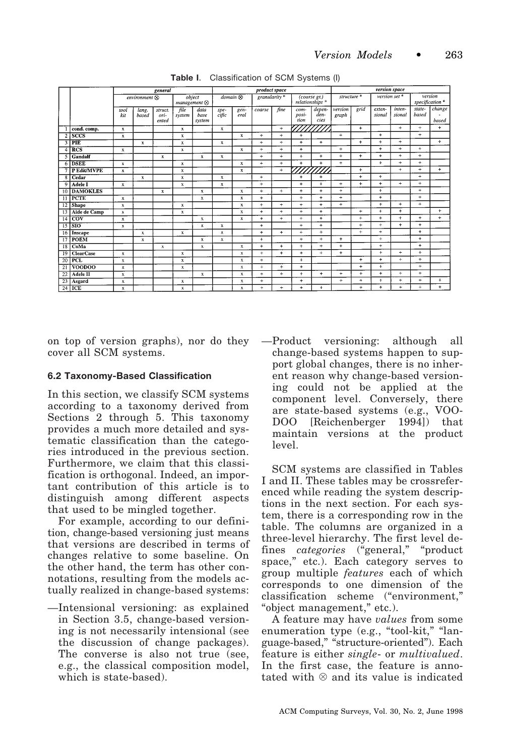|                         |                     |                           |                |                          |                                   |                        |               |              |              |           |                                            |                        | version space    |           |                      |                  |                           |                 |  |
|-------------------------|---------------------|---------------------------|----------------|--------------------------|-----------------------------------|------------------------|---------------|--------------|--------------|-----------|--------------------------------------------|------------------------|------------------|-----------|----------------------|------------------|---------------------------|-----------------|--|
|                         |                     | general                   |                |                          |                                   |                        | product space |              |              |           |                                            |                        |                  |           |                      |                  |                           |                 |  |
|                         |                     | $environment \otimes$     |                |                          | object<br>$m$ anagement $\otimes$ |                        | domain        |              | granularity* |           | (coarse gr.)<br>relationships <sup>*</sup> |                        | structure*       |           | version set $*$      |                  | version<br>specification* |                 |  |
|                         |                     | tool<br>kit               | lang.<br>based | struct.<br>ori-<br>ented | file<br>system                    | data<br>base<br>system | spe-<br>cific | gen-<br>eral | coarse       | fine      | con-<br>posi-<br>tion                      | depen-<br>den-<br>cies | version<br>graph | grid      | exten-<br>sional     | inten-<br>sional | state-<br>based           | change<br>based |  |
|                         | cond. comp.         | x                         |                |                          | x                                 |                        | $\mathbf{x}$  |              |              | $\ddot{}$ |                                            |                        |                  | $\ddot{}$ |                      | $+$              | $+$                       | $\ddot{}$       |  |
| 2                       | <b>SCCS</b>         | X                         |                |                          | $\boldsymbol{x}$                  |                        |               | $\mathbf{x}$ | $+$          | $+$       | $\ddot{}$                                  |                        | $\ddot{}$        |           | $\ddot{}$            |                  | $+$                       |                 |  |
| 3                       | <b>PIE</b>          |                           | $\mathbf{x}$   |                          | $\mathbf x$                       |                        | $\mathbf{x}$  |              | $+$          | $+$       | $\ddot{}$                                  | $\ddot{}$              |                  | $\ddot{}$ | $\ddot{}$            | $\ddot{}$        |                           | $+$             |  |
| 4                       | <b>RCS</b>          | x                         |                |                          | $\boldsymbol{\mathsf{x}}$         |                        |               | $\mathbf{x}$ | ÷            | $+$       | $\ddot{}$                                  |                        | $\ddot{}$        |           | $\ddot{}$            | $\ddot{}$        | $+$                       |                 |  |
| 5                       | Gandalf             |                           |                | x                        |                                   | $\mathbf x$            | $\mathbf{x}$  |              | $+$          | $\ddot{}$ | $\ddot{}$                                  | $+$                    | ÷                | $\ddot{}$ | $\ddot{}$            | $\div$           | $\div$                    |                 |  |
|                         | $6$ DSEE            | $\boldsymbol{\mathsf{x}}$ |                |                          | $\boldsymbol{\mathsf{x}}$         |                        |               | $\mathbf{x}$ | ÷            | $+$       | $\ddot{}$                                  | $\ddot{}$              | $+$              |           | $\ddot{\phantom{1}}$ | $\ddot{}$        | $+$                       |                 |  |
| 7                       | P Edit/MVPE         | x                         |                |                          | $\boldsymbol{\mathsf{x}}$         |                        |               | $\mathbf{x}$ |              | $+$       |                                            |                        |                  | $+$       |                      | $+$              | $\pm$                     | $+$             |  |
| $\overline{\mathbf{g}}$ | Cedar               |                           | $\mathbf{x}$   |                          | $\boldsymbol{\mathsf{x}}$         |                        | $\mathbf{x}$  |              | ÷            |           | $\ddot{}$                                  | $\ddot{}$              |                  | ÷         | $+$                  |                  | $+$                       |                 |  |
| 9                       | Adele I             | x                         |                |                          | $\boldsymbol{\mathsf{x}}$         |                        | X             |              | ÷            |           | $\ddot{}$                                  | $\ddot{}$              | $\div$           | $\ddot{}$ | $\ddot{}$            | $_{+}$           | $+$                       |                 |  |
| 10                      | <b>DAMOKLES</b>     |                           |                | x                        |                                   | x                      |               | $\mathbf{x}$ | $+$          | $+$       | $\ddot{}$                                  | $\ddot{}$              | $\ddot{}$        |           | $\ddot{}$            |                  | $\div$                    |                 |  |
| 11                      | <b>PCTE</b>         | x                         |                |                          |                                   | x                      |               | x            | $+$          |           | $+$                                        | $\ddot{}$              | ÷                |           | $\ddot{}$            |                  | $+$                       |                 |  |
| 12                      | Shape               | $\mathbf{x}$              |                |                          | x                                 |                        |               | $\mathbf{x}$ | $+$          | $\ddot{}$ | $\ddot{}$                                  | $\ddot{}$              | $\div$           |           | ÷                    | $+$              | $+$                       |                 |  |
| 13                      | Aide de Camp        | x                         |                |                          | x                                 |                        |               | $\mathbf{x}$ | $\ddot{}$    | $+$       | $+$                                        | $\ddot{}$              |                  | $+$       | $\ddot{}$            | $\ddot{+}$       |                           | $+$             |  |
| $\overline{14}$         | cov                 | x                         |                |                          |                                   | $\mathbf{x}$           |               | $\mathbf{x}$ | $\ddot{}$    | $\ddot{}$ | $+$                                        | $+$                    |                  | $+$       | ÷                    | $+$              | $+$                       | $\ddot{}$       |  |
| 15                      | <b>SIO</b>          | x                         |                |                          |                                   | $\boldsymbol{x}$       | $\mathbf{x}$  |              | $\ddot{}$    |           | $+$                                        | $\ddot{}$              |                  | $\ddot{}$ | $+$                  | $\ddot{+}$       | $+$                       |                 |  |
| 16                      | Inscape             |                           | x              |                          | x                                 |                        | $\bf x$       |              | $+$          | $\ddot{}$ | $+$                                        | $+$                    |                  | $+$       | ÷                    |                  | $+$                       |                 |  |
| -17                     | <b>POEM</b>         |                           | x              |                          |                                   | $\mathbf x$            | $\mathbf{x}$  |              | $\ddot{}$    |           | $+$                                        | ÷                      | $+$              |           | $^{+}$               |                  | $\ddot{}$                 |                 |  |
| 18                      | CoMa                |                           |                | $\mathbf x$              |                                   | $\mathbf{x}$           |               | $\mathbf{x}$ | $+$          | $\ddot{}$ | $+$                                        | $\ddot{}$              | ÷                |           | $\ddot{}$            |                  | $+$                       |                 |  |
| $\overline{19}$         | <b>ClearCase</b>    | $\mathbf{x}$              |                |                          | $\mathbf x$                       |                        |               | $\mathbf{x}$ | $+$          | $\ddot{}$ | $\ddot{}$                                  | $+$                    | $\ddot{}$        |           | ÷                    | $+$              | $+$                       |                 |  |
| 20                      | PCL                 | $\mathbf{x}$              |                |                          | $\mathbf x$                       |                        |               | $\mathbf{x}$ | $+$          |           | $+$                                        |                        |                  | $\ddot{}$ | $\ddot{}$            | $+$              | $+$                       |                 |  |
| 21                      | <b>VOODOO</b>       | x                         |                |                          | $\boldsymbol{\mathsf{x}}$         |                        |               | $\mathbf{x}$ | $+$          | $\ddot{}$ | $\ddot{}$                                  |                        |                  | $\ddot{}$ | $\ddot{}$            |                  | $+$                       |                 |  |
| 22                      | Adele <sub>II</sub> | x                         |                |                          |                                   | $\mathbf{x}$           |               | $\mathbf{x}$ | $\ddot{}$    | $+$       | $\ddot{}$                                  | $\ddot{}$              | $+$              | $+$       | $\ddotmark$          | $+$              | $+$                       |                 |  |
| 23                      | Asgard              | x                         |                |                          | $\boldsymbol{\mathsf{x}}$         |                        |               | X            | $\ddot{}$    |           | $+$                                        |                        | ÷                | 4         | $+$                  | $\ddot{}$        | ÷                         | $+$             |  |
| 24                      | ICE                 | x                         |                |                          | $\mathbf x$                       |                        |               | $\mathbf{x}$ | $+$          | $+$       | $\ddot{}$                                  | ÷                      |                  | $\div$    | ÷                    | ÷                | $+$                       | $\ddot{}$       |  |

**Table I**. Classification of SCM Systems (I)

on top of version graphs), nor do they cover all SCM systems.

#### **6.2 Taxonomy-Based Classification**

In this section, we classify SCM systems according to a taxonomy derived from Sections 2 through 5. This taxonomy provides a much more detailed and systematic classification than the categories introduced in the previous section. Furthermore, we claim that this classification is orthogonal. Indeed, an important contribution of this article is to distinguish among different aspects that used to be mingled together.

For example, according to our definition, change-based versioning just means that versions are described in terms of changes relative to some baseline. On the other hand, the term has other connotations, resulting from the models actually realized in change-based systems:

—Intensional versioning: as explained in Section 3.5, change-based versioning is not necessarily intensional (see the discussion of change packages). The converse is also not true (see, e.g., the classical composition model, which is state-based).

—Product versioning: although all change-based systems happen to support global changes, there is no inherent reason why change-based versioning could not be applied at the component level. Conversely, there are state-based systems (e.g., VOO-<br>DOO [Reichenberger 1994]) that DOO [Reichenberger maintain versions at the product level.

SCM systems are classified in Tables I and II. These tables may be crossreferenced while reading the system descriptions in the next section. For each system, there is a corresponding row in the table. The columns are organized in a three-level hierarchy. The first level defines *categories* ("general," "product space," etc.). Each category serves to group multiple *features* each of which corresponds to one dimension of the classification scheme ("environment," "object management," etc.).

A feature may have *values* from some enumeration type (e.g., "tool-kit," "language-based," "structure-oriented"). Each feature is either *single*- or *multivalued*. In the first case, the feature is annotated with  $\otimes$  and its value is indicated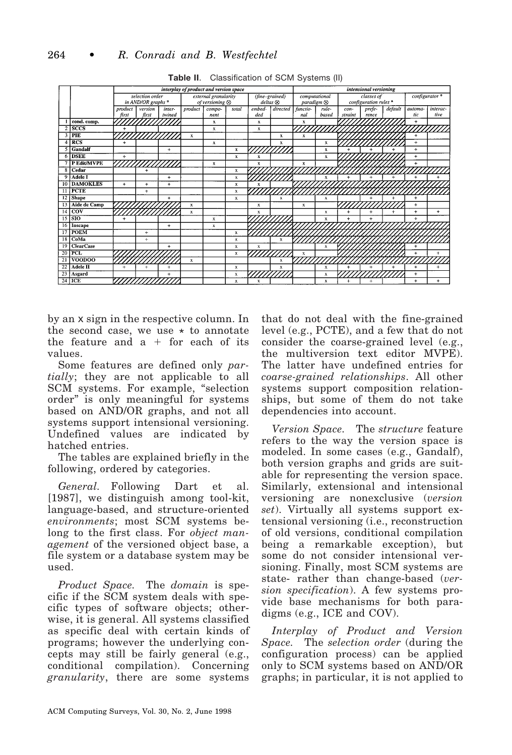|                 |                     |                  |                                       |                  | interplay of product and version space          |                           |              | intensional versioning    |                                              |                           |                           |                                     |                 |           |                |                  |
|-----------------|---------------------|------------------|---------------------------------------|------------------|-------------------------------------------------|---------------------------|--------------|---------------------------|----------------------------------------------|---------------------------|---------------------------|-------------------------------------|-----------------|-----------|----------------|------------------|
|                 |                     |                  | selection order<br>in AND/OR graphs * |                  | external granularity<br>of versioning $\otimes$ |                           |              |                           | $(\text{fine-grained})$<br>$delta$ $\otimes$ | computational<br>paradigm |                           | classes of<br>configuration rules * |                 |           | configurator * |                  |
|                 |                     | product<br>first | version<br>first                      | inter-<br>twined | product                                         | compo-<br>nent            | total        | embed-<br>ded             | directed                                     | functio-<br>nal           | rule-<br>based            | con-<br>straint                     | prefe-<br>rence | default   | automa-<br>tic | interac-<br>tive |
|                 | cond. comp.         |                  |                                       |                  |                                                 | x                         |              | x                         |                                              | x                         |                           |                                     |                 |           | $+$            |                  |
|                 | $2$ SCCS            | $\ddot{}$        |                                       |                  |                                                 | x                         |              | x                         |                                              |                           |                           |                                     |                 |           |                |                  |
| 3 <sub>1</sub>  | <b>PIE</b>          |                  |                                       |                  | $\mathbf x$                                     |                           |              |                           | $\mathbf{x}$                                 | $\boldsymbol{x}$          |                           |                                     |                 |           | $\ddot{}$      |                  |
| Δ               | <b>RCS</b>          | $+$              |                                       |                  |                                                 | x                         |              |                           | x                                            |                           | x                         |                                     |                 |           | $+$            |                  |
| 5.              | Gandalf             |                  |                                       | $+$              |                                                 |                           | x            |                           |                                              |                           | x                         | $\ddot{}$                           | $\ddot{}$       | ÷         | $+$            |                  |
| 6               | <b>DSEE</b>         | $+$              |                                       |                  |                                                 |                           | x            | x                         |                                              |                           | x                         |                                     |                 |           | $+$            |                  |
|                 | P Edit/MVPE         |                  |                                       |                  |                                                 | x                         |              | $\boldsymbol{\mathrm{x}}$ |                                              | x                         |                           |                                     |                 |           | $+$            |                  |
| 8               | Cedar               |                  | $\ddot{}$                             |                  |                                                 |                           | x            |                           |                                              |                           |                           |                                     |                 |           |                |                  |
| 9               | Adele I             |                  |                                       | $+$              |                                                 |                           | $\mathbf{x}$ |                           |                                              |                           | $\boldsymbol{\mathsf{x}}$ | $\ddotmark$                         | $\ddot{}$       | $\ddot{}$ | $+$            | ÷.               |
| 10              | <b>DAMOKLES</b>     | $+$              | $+$                                   | $+$              |                                                 |                           | x            | x                         |                                              |                           |                           |                                     |                 |           |                |                  |
|                 | $11$ PCTE           |                  | $+$                                   |                  |                                                 |                           | x            |                           |                                              |                           |                           |                                     |                 |           |                |                  |
| 12              | Shape               |                  |                                       | $\ddot{}$        |                                                 |                           | x            |                           | $\mathbf x$                                  |                           | $\bf{x}$                  |                                     | $\ddot{}$       | $+$       | $+$            |                  |
| 13              | Aide de Camp        |                  |                                       |                  | $\boldsymbol{\mathsf{x}}$                       |                           |              | x                         |                                              | $\mathbf{x}$              |                           |                                     |                 |           | $+$            |                  |
| 14              | <b>COV</b>          |                  |                                       |                  | x                                               |                           |              | X                         |                                              |                           | x                         | $\ddot{}$                           | $\div$          | $\ddot{}$ | $+$            | $+$              |
| 15              | <b>SIO</b>          | $+$              |                                       |                  |                                                 | x                         |              |                           |                                              |                           | x                         | $+$                                 | $+$             |           | $+$            |                  |
| 16              | Inscape             |                  |                                       | $+$              |                                                 | $\boldsymbol{\mathsf{x}}$ |              |                           |                                              |                           |                           |                                     |                 |           |                |                  |
| 17              | <b>POEM</b>         |                  | ÷                                     |                  |                                                 |                           | $\mathbf x$  |                           |                                              |                           |                           |                                     |                 |           |                |                  |
| 18              | CoMa                |                  | $+$                                   |                  |                                                 |                           | x            |                           | X                                            |                           |                           |                                     |                 |           |                |                  |
| 19              | <b>ClearCase</b>    |                  |                                       | ÷                |                                                 |                           | $\mathbf{x}$ | x                         |                                              |                           | x                         |                                     |                 |           | $\ddot{}$      |                  |
| 20              | <b>PCL</b>          |                  |                                       |                  |                                                 |                           | x            |                           |                                              | x                         |                           |                                     |                 |           | $\ddot{}$      | $+$              |
| $\overline{21}$ | <b>VOODOO</b>       |                  |                                       |                  | x                                               |                           |              |                           | x                                            |                           |                           |                                     |                 |           |                |                  |
| 22              | Adele <sub>II</sub> | ÷                | ÷                                     | $+$              |                                                 |                           | x            |                           | x                                            |                           | x                         | $\ddot{}$                           | $+$             | $+$       | $+$            | ÷.               |
| 23              | Asgard              |                  |                                       | ÷                |                                                 |                           | x            |                           |                                              |                           | x                         |                                     |                 |           | $\ddot{}$      |                  |
|                 | $24$   ICE          |                  |                                       |                  |                                                 |                           | x            | x                         |                                              |                           | $\mathbf{x}$              | ÷.                                  | $+$             |           | $+$            | $+$              |

**Table II**. Classification of SCM Systems (II)

by an x sign in the respective column. In the second case, we use \* to annotate the feature and  $a + for$  each of its values.

Some features are defined only *partially*; they are not applicable to all SCM systems. For example, "selection order" is only meaningful for systems based on AND/OR graphs, and not all systems support intensional versioning. Undefined values are indicated by hatched entries.

The tables are explained briefly in the following, ordered by categories.

*General.* Following Dart et al. [1987], we distinguish among tool-kit, language-based, and structure-oriented *environments*; most SCM systems belong to the first class. For *object management* of the versioned object base, a file system or a database system may be used.

*Product Space.* The *domain* is specific if the SCM system deals with specific types of software objects; otherwise, it is general. All systems classified as specific deal with certain kinds of programs; however the underlying concepts may still be fairly general (e.g., conditional compilation). Concerning *granularity*, there are some systems

that do not deal with the fine-grained level (e.g., PCTE), and a few that do not consider the coarse-grained level (e.g., the multiversion text editor MVPE). The latter have undefined entries for *coarse-grained relationships*. All other systems support composition relationships, but some of them do not take dependencies into account.

*Version Space.* The *structure* feature refers to the way the version space is modeled. In some cases (e.g., Gandalf), both version graphs and grids are suitable for representing the version space. Similarly, extensional and intensional versioning are nonexclusive (*version set*). Virtually all systems support extensional versioning (i.e., reconstruction of old versions, conditional compilation being a remarkable exception), but some do not consider intensional versioning. Finally, most SCM systems are state- rather than change-based (*version specification*). A few systems provide base mechanisms for both paradigms (e.g., ICE and COV).

*Interplay of Product and Version Space.* The *selection order* (during the configuration process) can be applied only to SCM systems based on AND/OR graphs; in particular, it is not applied to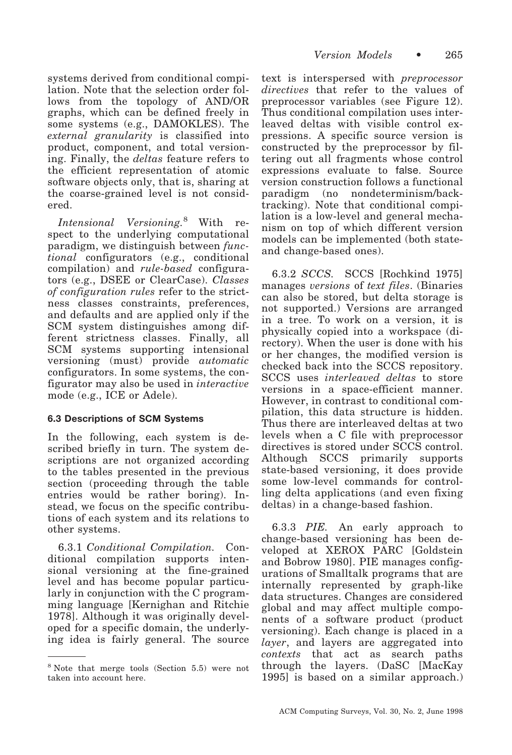systems derived from conditional compilation. Note that the selection order follows from the topology of AND/OR graphs, which can be defined freely in some systems (e.g., DAMOKLES). The *external granularity* is classified into product, component, and total versioning. Finally, the *deltas* feature refers to the efficient representation of atomic software objects only, that is, sharing at the coarse-grained level is not considered.

*Intensional Versioning.*<sup>8</sup> With respect to the underlying computational paradigm, we distinguish between *functional* configurators (e.g., conditional compilation) and *rule-based* configurators (e.g., DSEE or ClearCase). *Classes of configuration rules* refer to the strictness classes constraints, preferences, and defaults and are applied only if the SCM system distinguishes among different strictness classes. Finally, all SCM systems supporting intensional versioning (must) provide *automatic* configurators. In some systems, the configurator may also be used in *interactive* mode (e.g., ICE or Adele).

#### **6.3 Descriptions of SCM Systems**

In the following, each system is described briefly in turn. The system descriptions are not organized according to the tables presented in the previous section (proceeding through the table entries would be rather boring). Instead, we focus on the specific contributions of each system and its relations to other systems.

6.3.1 *Conditional Compilation.* Conditional compilation supports intensional versioning at the fine-grained level and has become popular particularly in conjunction with the C programming language [Kernighan and Ritchie 1978]. Although it was originally developed for a specific domain, the underlying idea is fairly general. The source

text is interspersed with *preprocessor directives* that refer to the values of preprocessor variables (see Figure 12). Thus conditional compilation uses interleaved deltas with visible control expressions. A specific source version is constructed by the preprocessor by filtering out all fragments whose control expressions evaluate to false. Source version construction follows a functional paradigm (no nondeterminism/backtracking). Note that conditional compilation is a low-level and general mechanism on top of which different version models can be implemented (both stateand change-based ones).

6.3.2 *SCCS.* SCCS [Rochkind 1975] manages *versions* of *text files*. (Binaries can also be stored, but delta storage is not supported.) Versions are arranged in a tree. To work on a version, it is physically copied into a workspace (directory). When the user is done with his or her changes, the modified version is checked back into the SCCS repository. SCCS uses *interleaved deltas* to store versions in a space-efficient manner. However, in contrast to conditional compilation, this data structure is hidden. Thus there are interleaved deltas at two levels when a C file with preprocessor directives is stored under SCCS control. Although SCCS primarily supports state-based versioning, it does provide some low-level commands for controlling delta applications (and even fixing deltas) in a change-based fashion.

6.3.3 *PIE.* An early approach to change-based versioning has been developed at XEROX PARC [Goldstein and Bobrow 1980]. PIE manages configurations of Smalltalk programs that are internally represented by graph-like data structures. Changes are considered global and may affect multiple components of a software product (product versioning). Each change is placed in a *layer*, and layers are aggregated into *contexts* that act as search paths through the layers. (DaSC [MacKay 1995] is based on a similar approach.)

<sup>8</sup> Note that merge tools (Section 5.5) were not taken into account here.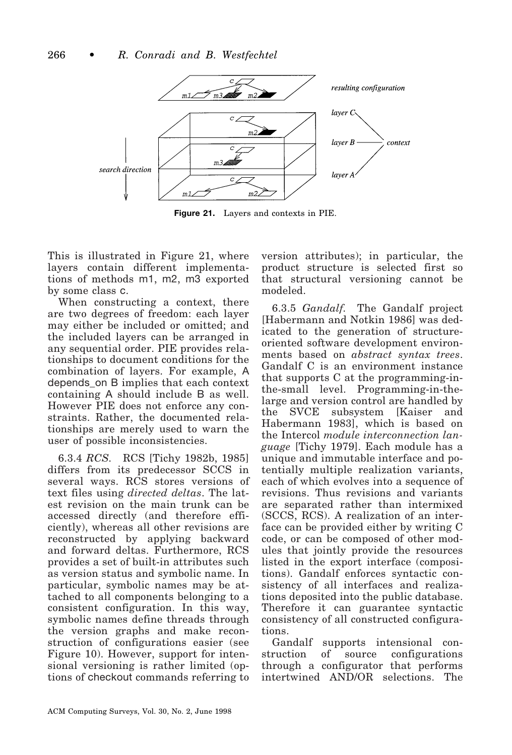

**Figure 21.** Layers and contexts in PIE.

This is illustrated in Figure 21, where layers contain different implementations of methods m1, m2, m3 exported by some class c.

When constructing a context, there are two degrees of freedom: each layer may either be included or omitted; and the included layers can be arranged in any sequential order. PIE provides relationships to document conditions for the combination of layers. For example, A depends\_on B implies that each context containing A should include B as well. However PIE does not enforce any constraints. Rather, the documented relationships are merely used to warn the user of possible inconsistencies.

6.3.4 *RCS.* RCS [Tichy 1982b, 1985] differs from its predecessor SCCS in several ways. RCS stores versions of text files using *directed deltas*. The latest revision on the main trunk can be accessed directly (and therefore efficiently), whereas all other revisions are reconstructed by applying backward and forward deltas. Furthermore, RCS provides a set of built-in attributes such as version status and symbolic name. In particular, symbolic names may be attached to all components belonging to a consistent configuration. In this way, symbolic names define threads through the version graphs and make reconstruction of configurations easier (see Figure 10). However, support for intensional versioning is rather limited (options of checkout commands referring to

version attributes); in particular, the product structure is selected first so that structural versioning cannot be modeled.

6.3.5 *Gandalf.* The Gandalf project [Habermann and Notkin 1986] was dedicated to the generation of structureoriented software development environments based on *abstract syntax trees*. Gandalf C is an environment instance that supports C at the programming-inthe-small level. Programming-in-thelarge and version control are handled by the SVCE subsystem [Kaiser and Habermann 1983], which is based on the Intercol *module interconnection language* [Tichy 1979]. Each module has a unique and immutable interface and potentially multiple realization variants, each of which evolves into a sequence of revisions. Thus revisions and variants are separated rather than intermixed (SCCS, RCS). A realization of an interface can be provided either by writing C code, or can be composed of other modules that jointly provide the resources listed in the export interface (compositions). Gandalf enforces syntactic consistency of all interfaces and realizations deposited into the public database. Therefore it can guarantee syntactic consistency of all constructed configurations.

Gandalf supports intensional construction of source configurations through a configurator that performs intertwined AND/OR selections. The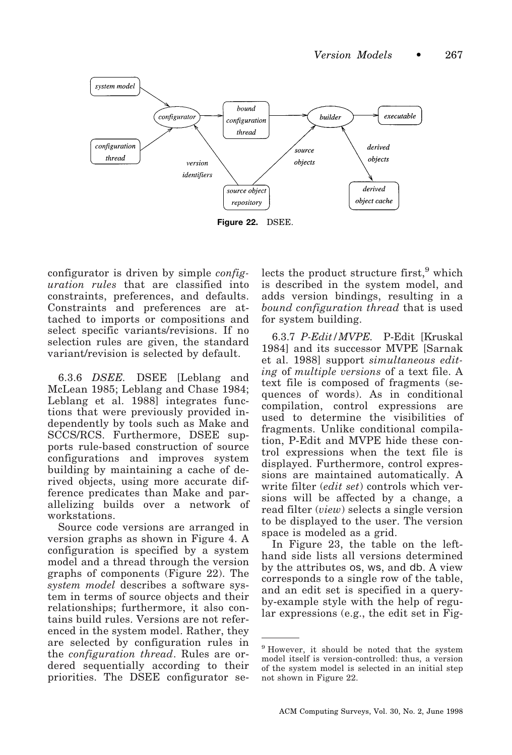

configurator is driven by simple *configuration rules* that are classified into constraints, preferences, and defaults. Constraints and preferences are attached to imports or compositions and select specific variants/revisions. If no selection rules are given, the standard variant/revision is selected by default.

6.3.6 *DSEE.* DSEE [Leblang and McLean 1985; Leblang and Chase 1984; Leblang et al. 1988] integrates functions that were previously provided independently by tools such as Make and SCCS/RCS. Furthermore, DSEE supports rule-based construction of source configurations and improves system building by maintaining a cache of derived objects, using more accurate difference predicates than Make and parallelizing builds over a network of workstations.

Source code versions are arranged in version graphs as shown in Figure 4. A configuration is specified by a system model and a thread through the version graphs of components (Figure 22). The *system model* describes a software system in terms of source objects and their relationships; furthermore, it also contains build rules. Versions are not referenced in the system model. Rather, they are selected by configuration rules in the *configuration thread*. Rules are ordered sequentially according to their priorities. The DSEE configurator selects the product structure first,  $9$  which is described in the system model, and adds version bindings, resulting in a *bound configuration thread* that is used for system building.

6.3.7 *P-Edit/MVPE.* P-Edit [Kruskal 1984] and its successor MVPE [Sarnak et al. 1988] support *simultaneous editing* of *multiple versions* of a text file. A text file is composed of fragments (sequences of words). As in conditional compilation, control expressions are used to determine the visibilities of fragments. Unlike conditional compilation, P-Edit and MVPE hide these control expressions when the text file is displayed. Furthermore, control expressions are maintained automatically. A write filter (*edit set*) controls which versions will be affected by a change, a read filter (*view*) selects a single version to be displayed to the user. The version space is modeled as a grid.

In Figure 23, the table on the lefthand side lists all versions determined by the attributes os, ws, and db. A view corresponds to a single row of the table, and an edit set is specified in a queryby-example style with the help of regular expressions (e.g., the edit set in Fig-

<sup>&</sup>lt;sup>9</sup> However, it should be noted that the system model itself is version-controlled: thus, a version of the system model is selected in an initial step not shown in Figure 22.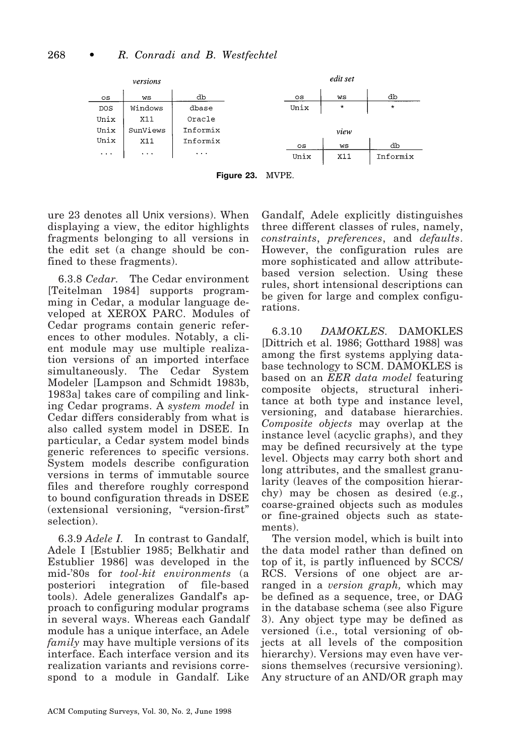

**Figure 23.** MVPE.

ure 23 denotes all Unix versions). When displaying a view, the editor highlights fragments belonging to all versions in the edit set (a change should be confined to these fragments).

6.3.8 *Cedar.* The Cedar environment [Teitelman 1984] supports programming in Cedar, a modular language developed at XEROX PARC. Modules of Cedar programs contain generic references to other modules. Notably, a client module may use multiple realization versions of an imported interface simultaneously. The Cedar System Modeler [Lampson and Schmidt 1983b, 1983a] takes care of compiling and linking Cedar programs. A *system model* in Cedar differs considerably from what is also called system model in DSEE. In particular, a Cedar system model binds generic references to specific versions. System models describe configuration versions in terms of immutable source files and therefore roughly correspond to bound configuration threads in DSEE (extensional versioning, "version-first" selection).

6.3.9 *Adele I.* In contrast to Gandalf, Adele I [Estublier 1985; Belkhatir and Estublier 1986] was developed in the mid-'80s for *tool-kit environments* (a posteriori integration of file-based tools). Adele generalizes Gandalf's approach to configuring modular programs in several ways. Whereas each Gandalf module has a unique interface, an Adele *family* may have multiple versions of its interface. Each interface version and its realization variants and revisions correspond to a module in Gandalf. Like

Gandalf, Adele explicitly distinguishes three different classes of rules, namely, *constraints*, *preferences*, and *defaults*. However, the configuration rules are more sophisticated and allow attributebased version selection. Using these rules, short intensional descriptions can be given for large and complex configurations.

6.3.10 *DAMOKLES.* DAMOKLES [Dittrich et al. 1986; Gotthard 1988] was among the first systems applying database technology to SCM. DAMOKLES is based on an *EER data model* featuring composite objects, structural inheritance at both type and instance level, versioning, and database hierarchies. *Composite objects* may overlap at the instance level (acyclic graphs), and they may be defined recursively at the type level. Objects may carry both short and long attributes, and the smallest granularity (leaves of the composition hierarchy) may be chosen as desired (e.g., coarse-grained objects such as modules or fine-grained objects such as statements).

The version model, which is built into the data model rather than defined on top of it, is partly influenced by SCCS/ RCS. Versions of one object are arranged in a *version graph,* which may be defined as a sequence, tree, or DAG in the database schema (see also Figure 3). Any object type may be defined as versioned (i.e., total versioning of objects at all levels of the composition hierarchy). Versions may even have versions themselves (recursive versioning). Any structure of an AND/OR graph may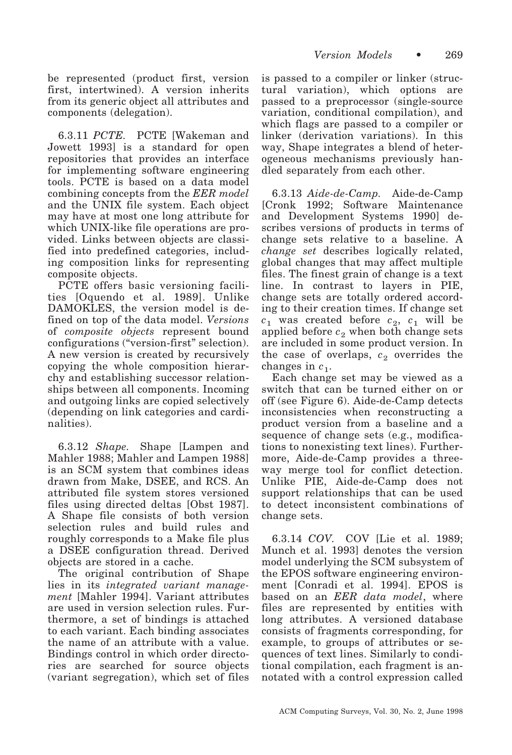be represented (product first, version first, intertwined). A version inherits from its generic object all attributes and components (delegation).

6.3.11 *PCTE.* PCTE [Wakeman and Jowett 1993] is a standard for open repositories that provides an interface for implementing software engineering tools. PCTE is based on a data model combining concepts from the *EER model* and the UNIX file system. Each object may have at most one long attribute for which UNIX-like file operations are provided. Links between objects are classified into predefined categories, including composition links for representing composite objects.

PCTE offers basic versioning facilities [Oquendo et al. 1989]. Unlike DAMOKLES, the version model is defined on top of the data model. *Versions* of *composite objects* represent bound configurations ("version-first" selection). A new version is created by recursively copying the whole composition hierarchy and establishing successor relationships between all components. Incoming and outgoing links are copied selectively (depending on link categories and cardinalities).

6.3.12 *Shape.* Shape [Lampen and Mahler 1988; Mahler and Lampen 1988] is an SCM system that combines ideas drawn from Make, DSEE, and RCS. An attributed file system stores versioned files using directed deltas [Obst 1987]. A Shape file consists of both version selection rules and build rules and roughly corresponds to a Make file plus a DSEE configuration thread. Derived objects are stored in a cache.

The original contribution of Shape lies in its *integrated variant management* [Mahler 1994]. Variant attributes are used in version selection rules. Furthermore, a set of bindings is attached to each variant. Each binding associates the name of an attribute with a value. Bindings control in which order directories are searched for source objects (variant segregation), which set of files

is passed to a compiler or linker (structural variation), which options are passed to a preprocessor (single-source variation, conditional compilation), and which flags are passed to a compiler or linker (derivation variations). In this way, Shape integrates a blend of heterogeneous mechanisms previously handled separately from each other.

6.3.13 *Aide-de-Camp.* Aide-de-Camp [Cronk 1992; Software Maintenance and Development Systems 1990] describes versions of products in terms of change sets relative to a baseline. A *change set* describes logically related, global changes that may affect multiple files. The finest grain of change is a text line. In contrast to layers in PIE, change sets are totally ordered according to their creation times. If change set  $c_1$  was created before  $c_2$ ,  $c_1$  will be applied before  $c_2$  when both change sets are included in some product version. In the case of overlaps,  $c_2$  overrides the changes in  $c_1$ .

Each change set may be viewed as a switch that can be turned either on or off (see Figure 6). Aide-de-Camp detects inconsistencies when reconstructing a product version from a baseline and a sequence of change sets (e.g., modifications to nonexisting text lines). Furthermore, Aide-de-Camp provides a threeway merge tool for conflict detection. Unlike PIE, Aide-de-Camp does not support relationships that can be used to detect inconsistent combinations of change sets.

6.3.14 *COV.* COV [Lie et al. 1989; Munch et al. 1993] denotes the version model underlying the SCM subsystem of the EPOS software engineering environment [Conradi et al. 1994]. EPOS is based on an *EER data model*, where files are represented by entities with long attributes. A versioned database consists of fragments corresponding, for example, to groups of attributes or sequences of text lines. Similarly to conditional compilation, each fragment is annotated with a control expression called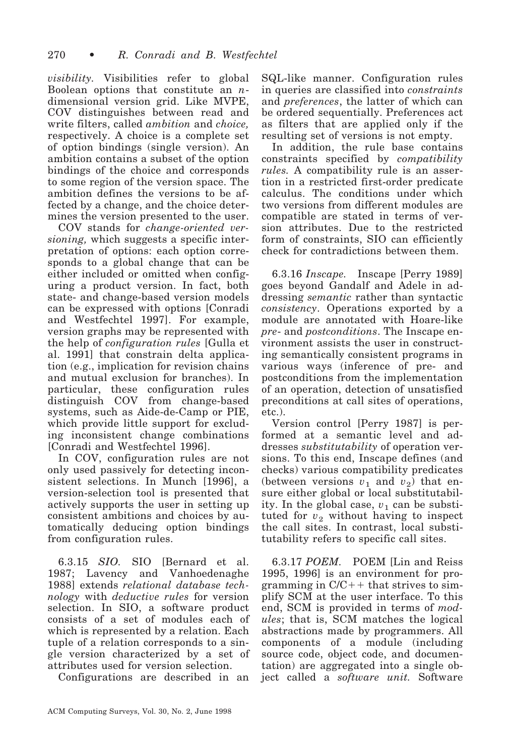*visibility.* Visibilities refer to global Boolean options that constitute an *n*dimensional version grid. Like MVPE, COV distinguishes between read and write filters, called *ambition* and *choice,* respectively. A choice is a complete set of option bindings (single version). An ambition contains a subset of the option bindings of the choice and corresponds to some region of the version space. The ambition defines the versions to be affected by a change, and the choice determines the version presented to the user.

COV stands for *change-oriented versioning,* which suggests a specific interpretation of options: each option corresponds to a global change that can be either included or omitted when configuring a product version. In fact, both state- and change-based version models can be expressed with options [Conradi and Westfechtel 1997]. For example, version graphs may be represented with the help of *configuration rules* [Gulla et al. 1991] that constrain delta application (e.g., implication for revision chains and mutual exclusion for branches). In particular, these configuration rules distinguish COV from change-based systems, such as Aide-de-Camp or PIE, which provide little support for excluding inconsistent change combinations [Conradi and Westfechtel 1996].

In COV, configuration rules are not only used passively for detecting inconsistent selections. In Munch [1996], a version-selection tool is presented that actively supports the user in setting up consistent ambitions and choices by automatically deducing option bindings from configuration rules.

6.3.15 *SIO.* SIO [Bernard et al. 1987; Lavency and Vanhoedenaghe 1988] extends *relational database technology* with *deductive rules* for version selection. In SIO, a software product consists of a set of modules each of which is represented by a relation. Each tuple of a relation corresponds to a single version characterized by a set of attributes used for version selection.

Configurations are described in an

SQL-like manner. Configuration rules in queries are classified into *constraints* and *preferences*, the latter of which can be ordered sequentially. Preferences act as filters that are applied only if the resulting set of versions is not empty.

In addition, the rule base contains constraints specified by *compatibility rules.* A compatibility rule is an assertion in a restricted first-order predicate calculus. The conditions under which two versions from different modules are compatible are stated in terms of version attributes. Due to the restricted form of constraints, SIO can efficiently check for contradictions between them.

6.3.16 *Inscape.* Inscape [Perry 1989] goes beyond Gandalf and Adele in addressing *semantic* rather than syntactic *consistency*. Operations exported by a module are annotated with Hoare-like *pre*- and *postconditions*. The Inscape environment assists the user in constructing semantically consistent programs in various ways (inference of pre- and postconditions from the implementation of an operation, detection of unsatisfied preconditions at call sites of operations, etc.).

Version control [Perry 1987] is performed at a semantic level and addresses *substitutability* of operation versions. To this end, Inscape defines (and checks) various compatibility predicates (between versions  $v_1$  and  $v_2$ ) that ensure either global or local substitutability. In the global case,  $v_1$  can be substituted for  $v_2$  without having to inspect the call sites. In contrast, local substitutability refers to specific call sites.

6.3.17 *POEM.* POEM [Lin and Reiss 1995, 1996] is an environment for programming in  $C/C++$  that strives to simplify SCM at the user interface. To this end, SCM is provided in terms of *modules*; that is, SCM matches the logical abstractions made by programmers. All components of a module (including source code, object code, and documentation) are aggregated into a single object called a *software unit.* Software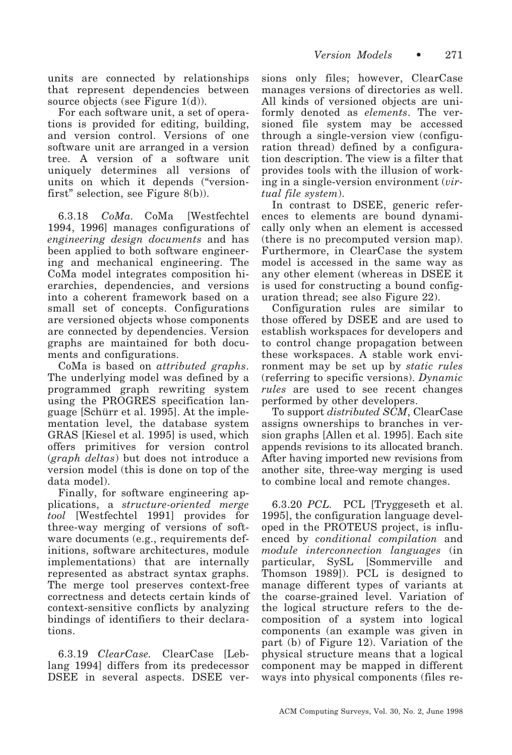units are connected by relationships that represent dependencies between source objects (see Figure 1(d)).

For each software unit, a set of operations is provided for editing, building, and version control. Versions of one software unit are arranged in a version tree. A version of a software unit uniquely determines all versions of units on which it depends ("versionfirst" selection, see Figure 8(b)).

6.3.18 *CoMa.* CoMa [Westfechtel 1994, 1996] manages configurations of *engineering design documents* and has been applied to both software engineering and mechanical engineering. The CoMa model integrates composition hierarchies, dependencies, and versions into a coherent framework based on a small set of concepts. Configurations are versioned objects whose components are connected by dependencies. Version graphs are maintained for both documents and configurations.

CoMa is based on *attributed graphs*. The underlying model was defined by a programmed graph rewriting system using the PROGRES specification language [Schürr et al. 1995]. At the implementation level, the database system GRAS [Kiesel et al. 1995] is used, which offers primitives for version control (*graph deltas*) but does not introduce a version model (this is done on top of the data model).

Finally, for software engineering applications, a *structure-oriented merge tool* [Westfechtel 1991] provides for three-way merging of versions of software documents (e.g., requirements definitions, software architectures, module implementations) that are internally represented as abstract syntax graphs. The merge tool preserves context-free correctness and detects certain kinds of context-sensitive conflicts by analyzing bindings of identifiers to their declarations.

6.3.19 *ClearCase.* ClearCase [Leblang 1994] differs from its predecessor DSEE in several aspects. DSEE versions only files; however, ClearCase manages versions of directories as well. All kinds of versioned objects are uniformly denoted as *elements*. The versioned file system may be accessed through a single-version view (configuration thread) defined by a configuration description. The view is a filter that provides tools with the illusion of working in a single-version environment (*virtual file system*).

In contrast to DSEE, generic references to elements are bound dynamically only when an element is accessed (there is no precomputed version map). Furthermore, in ClearCase the system model is accessed in the same way as any other element (whereas in DSEE it is used for constructing a bound configuration thread; see also Figure 22).

Configuration rules are similar to those offered by DSEE and are used to establish workspaces for developers and to control change propagation between these workspaces. A stable work environment may be set up by *static rules* (referring to specific versions). *Dynamic rules* are used to see recent changes performed by other developers.

To support *distributed SCM*, ClearCase assigns ownerships to branches in version graphs [Allen et al. 1995]. Each site appends revisions to its allocated branch. After having imported new revisions from another site, three-way merging is used to combine local and remote changes.

6.3.20 *PCL.* PCL [Tryggeseth et al. 1995], the configuration language developed in the PROTEUS project, is influenced by *conditional compilation* and *module interconnection languages* (in particular, SySL [Sommerville and Thomson 1989]). PCL is designed to manage different types of variants at the coarse-grained level. Variation of the logical structure refers to the decomposition of a system into logical components (an example was given in part (b) of Figure 12). Variation of the physical structure means that a logical component may be mapped in different ways into physical components (files re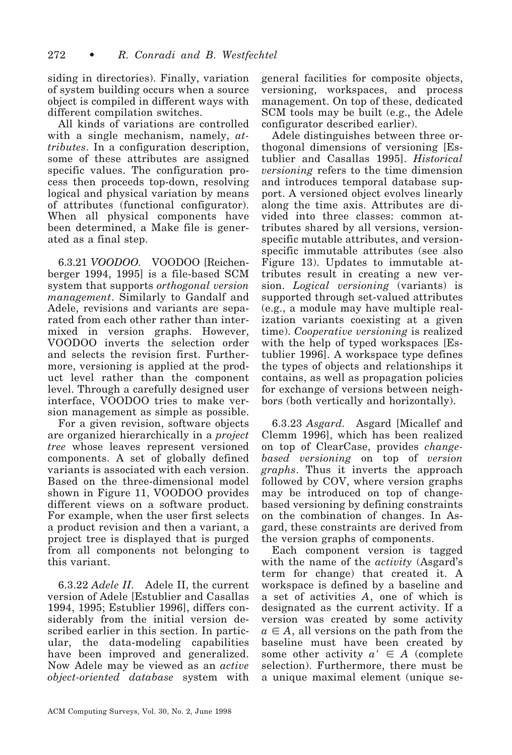siding in directories). Finally, variation of system building occurs when a source object is compiled in different ways with different compilation switches.

All kinds of variations are controlled with a single mechanism, namely, *attributes*. In a configuration description, some of these attributes are assigned specific values. The configuration process then proceeds top-down, resolving logical and physical variation by means of attributes (functional configurator). When all physical components have been determined, a Make file is generated as a final step.

6.3.21 *VOODOO.* VOODOO [Reichenberger 1994, 1995] is a file-based SCM system that supports *orthogonal version management*. Similarly to Gandalf and Adele, revisions and variants are separated from each other rather than intermixed in version graphs. However, VOODOO inverts the selection order and selects the revision first. Furthermore, versioning is applied at the product level rather than the component level. Through a carefully designed user interface, VOODOO tries to make version management as simple as possible.

For a given revision, software objects are organized hierarchically in a *project tree* whose leaves represent versioned components. A set of globally defined variants is associated with each version. Based on the three-dimensional model shown in Figure 11, VOODOO provides different views on a software product. For example, when the user first selects a product revision and then a variant, a project tree is displayed that is purged from all components not belonging to this variant.

6.3.22 *Adele II.* Adele II, the current version of Adele [Estublier and Casallas 1994, 1995; Estublier 1996], differs considerably from the initial version described earlier in this section. In particular, the data-modeling capabilities have been improved and generalized. Now Adele may be viewed as an *active object-oriented database* system with

general facilities for composite objects, versioning, workspaces, and process management. On top of these, dedicated SCM tools may be built (e.g., the Adele configurator described earlier).

Adele distinguishes between three orthogonal dimensions of versioning [Estublier and Casallas 1995]. *Historical versioning* refers to the time dimension and introduces temporal database support. A versioned object evolves linearly along the time axis. Attributes are divided into three classes: common attributes shared by all versions, versionspecific mutable attributes, and versionspecific immutable attributes (see also Figure 13). Updates to immutable attributes result in creating a new version. *Logical versioning* (variants) is supported through set-valued attributes (e.g., a module may have multiple realization variants coexisting at a given time). *Cooperative versioning* is realized with the help of typed workspaces [Estublier 1996]. A workspace type defines the types of objects and relationships it contains, as well as propagation policies for exchange of versions between neighbors (both vertically and horizontally).

6.3.23 *Asgard.* Asgard [Micallef and Clemm 1996], which has been realized on top of ClearCase, provides *changebased versioning* on top of *version graphs*. Thus it inverts the approach followed by COV, where version graphs may be introduced on top of changebased versioning by defining constraints on the combination of changes. In Asgard, these constraints are derived from the version graphs of components.

Each component version is tagged with the name of the *activity* (Asgard's term for change) that created it. A workspace is defined by a baseline and a set of activities *A*, one of which is designated as the current activity. If a version was created by some activity  $a \in A$ , all versions on the path from the baseline must have been created by some other activity  $a' \in A$  (complete selection). Furthermore, there must be a unique maximal element (unique se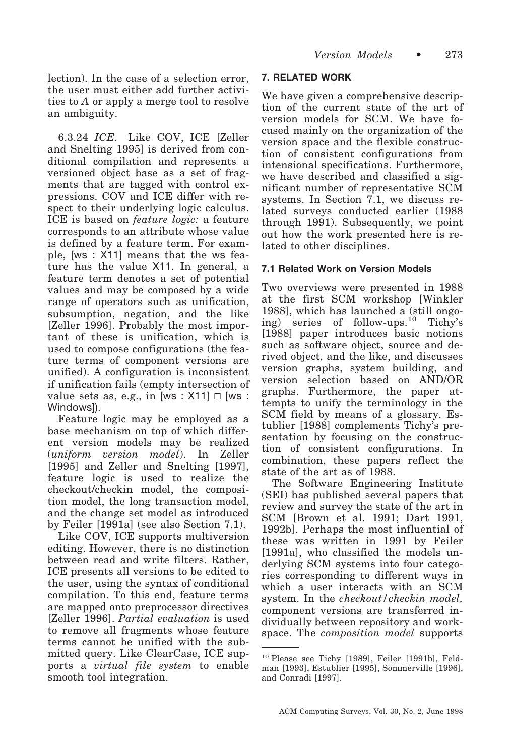lection). In the case of a selection error, the user must either add further activities to *A* or apply a merge tool to resolve an ambiguity.

6.3.24 *ICE.* Like COV, ICE [Zeller and Snelting 1995] is derived from conditional compilation and represents a versioned object base as a set of fragments that are tagged with control expressions. COV and ICE differ with respect to their underlying logic calculus. ICE is based on *feature logic:* a feature corresponds to an attribute whose value is defined by a feature term. For example, [ws : X11] means that the ws feature has the value X11. In general, a feature term denotes a set of potential values and may be composed by a wide range of operators such as unification, subsumption, negation, and the like [Zeller 1996]. Probably the most important of these is unification, which is used to compose configurations (the feature terms of component versions are unified). A configuration is inconsistent if unification fails (empty intersection of value sets as, e.g., in [ws :  $X11$ ]  $\sqcap$  [ws : Windows]).

Feature logic may be employed as a base mechanism on top of which different version models may be realized (*uniform version model*). In Zeller [1995] and Zeller and Snelting [1997], feature logic is used to realize the checkout/checkin model, the composition model, the long transaction model, and the change set model as introduced by Feiler [1991a] (see also Section 7.1).

Like COV, ICE supports multiversion editing. However, there is no distinction between read and write filters. Rather, ICE presents all versions to be edited to the user, using the syntax of conditional compilation. To this end, feature terms are mapped onto preprocessor directives [Zeller 1996]. *Partial evaluation* is used to remove all fragments whose feature terms cannot be unified with the submitted query. Like ClearCase, ICE supports a *virtual file system* to enable smooth tool integration.

#### **7. RELATED WORK**

We have given a comprehensive description of the current state of the art of version models for SCM. We have focused mainly on the organization of the version space and the flexible construction of consistent configurations from intensional specifications. Furthermore, we have described and classified a significant number of representative SCM systems. In Section 7.1, we discuss related surveys conducted earlier (1988 through 1991). Subsequently, we point out how the work presented here is related to other disciplines.

#### **7.1 Related Work on Version Models**

Two overviews were presented in 1988 at the first SCM workshop [Winkler 1988], which has launched a (still ongoing) series of follow-ups.<sup>10</sup> Tichy's [1988] paper introduces basic notions such as software object, source and derived object, and the like, and discusses version graphs, system building, and version selection based on AND/OR graphs. Furthermore, the paper attempts to unify the terminology in the SCM field by means of a glossary. Estublier [1988] complements Tichy's presentation by focusing on the construction of consistent configurations. In combination, these papers reflect the state of the art as of 1988.

The Software Engineering Institute (SEI) has published several papers that review and survey the state of the art in SCM [Brown et al. 1991; Dart 1991, 1992b]. Perhaps the most influential of these was written in 1991 by Feiler [1991a], who classified the models underlying SCM systems into four categories corresponding to different ways in which a user interacts with an SCM system. In the *checkout/checkin model,* component versions are transferred individually between repository and workspace. The *composition model* supports

<sup>10</sup> Please see Tichy [1989], Feiler [1991b], Feldman [1993], Estublier [1995], Sommerville [1996], and Conradi [1997].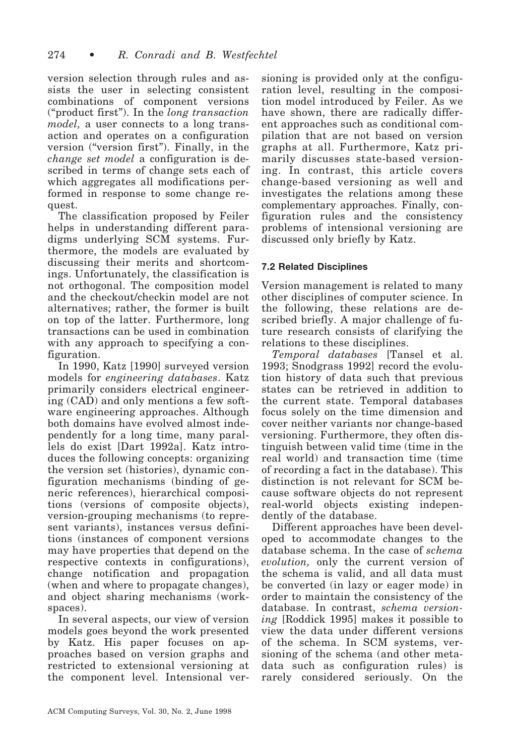version selection through rules and assists the user in selecting consistent combinations of component versions ("product first"). In the *long transaction model,* a user connects to a long transaction and operates on a configuration version ("version first"). Finally, in the *change set model* a configuration is described in terms of change sets each of which aggregates all modifications performed in response to some change request.

The classification proposed by Feiler helps in understanding different paradigms underlying SCM systems. Furthermore, the models are evaluated by discussing their merits and shortcomings. Unfortunately, the classification is not orthogonal. The composition model and the checkout/checkin model are not alternatives; rather, the former is built on top of the latter. Furthermore, long transactions can be used in combination with any approach to specifying a configuration.

In 1990, Katz [1990] surveyed version models for *engineering databases*. Katz primarily considers electrical engineering (CAD) and only mentions a few software engineering approaches. Although both domains have evolved almost independently for a long time, many parallels do exist [Dart 1992a]. Katz introduces the following concepts: organizing the version set (histories), dynamic configuration mechanisms (binding of generic references), hierarchical compositions (versions of composite objects), version-grouping mechanisms (to represent variants), instances versus definitions (instances of component versions may have properties that depend on the respective contexts in configurations), change notification and propagation (when and where to propagate changes), and object sharing mechanisms (workspaces).

In several aspects, our view of version models goes beyond the work presented by Katz. His paper focuses on approaches based on version graphs and restricted to extensional versioning at the component level. Intensional versioning is provided only at the configuration level, resulting in the composition model introduced by Feiler. As we have shown, there are radically different approaches such as conditional compilation that are not based on version graphs at all. Furthermore, Katz primarily discusses state-based versioning. In contrast, this article covers change-based versioning as well and investigates the relations among these complementary approaches. Finally, configuration rules and the consistency problems of intensional versioning are discussed only briefly by Katz.

## **7.2 Related Disciplines**

Version management is related to many other disciplines of computer science. In the following, these relations are described briefly. A major challenge of future research consists of clarifying the relations to these disciplines.

*Temporal databases* [Tansel et al. 1993; Snodgrass 1992] record the evolution history of data such that previous states can be retrieved in addition to the current state. Temporal databases focus solely on the time dimension and cover neither variants nor change-based versioning. Furthermore, they often distinguish between valid time (time in the real world) and transaction time (time of recording a fact in the database). This distinction is not relevant for SCM because software objects do not represent real-world objects existing independently of the database.

Different approaches have been developed to accommodate changes to the database schema. In the case of *schema evolution,* only the current version of the schema is valid, and all data must be converted (in lazy or eager mode) in order to maintain the consistency of the database. In contrast, *schema versioning* [Roddick 1995] makes it possible to view the data under different versions of the schema. In SCM systems, versioning of the schema (and other metadata such as configuration rules) is rarely considered seriously. On the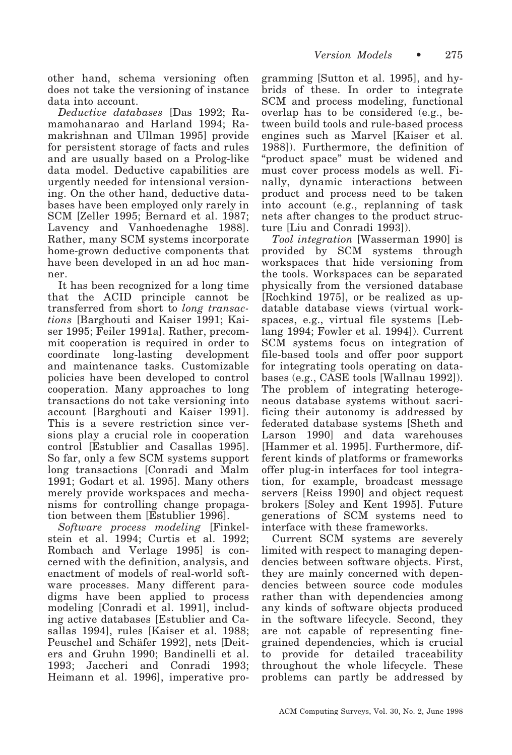other hand, schema versioning often does not take the versioning of instance data into account.

*Deductive databases* [Das 1992; Ramamohanarao and Harland 1994; Ramakrishnan and Ullman 1995] provide for persistent storage of facts and rules and are usually based on a Prolog-like data model. Deductive capabilities are urgently needed for intensional versioning. On the other hand, deductive databases have been employed only rarely in SCM [Zeller 1995; Bernard et al. 1987; Lavency and Vanhoedenaghe 1988]. Rather, many SCM systems incorporate home-grown deductive components that have been developed in an ad hoc manner.

It has been recognized for a long time that the ACID principle cannot be transferred from short to *long transactions* [Barghouti and Kaiser 1991; Kaiser 1995; Feiler 1991a]. Rather, precommit cooperation is required in order to coordinate long-lasting development and maintenance tasks. Customizable policies have been developed to control cooperation. Many approaches to long transactions do not take versioning into account [Barghouti and Kaiser 1991]. This is a severe restriction since versions play a crucial role in cooperation control [Estublier and Casallas 1995]. So far, only a few SCM systems support long transactions [Conradi and Malm 1991; Godart et al. 1995]. Many others merely provide workspaces and mechanisms for controlling change propagation between them [Estublier 1996].

*Software process modeling* [Finkelstein et al. 1994; Curtis et al. 1992; Rombach and Verlage 1995] is concerned with the definition, analysis, and enactment of models of real-world software processes. Many different paradigms have been applied to process modeling [Conradi et al. 1991], including active databases [Estublier and Casallas 1994], rules [Kaiser et al. 1988; Peuschel and Schäfer 1992], nets [Deiters and Gruhn 1990; Bandinelli et al. 1993; Jaccheri and Conradi 1993; Heimann et al. 1996], imperative programming [Sutton et al. 1995], and hybrids of these. In order to integrate SCM and process modeling, functional overlap has to be considered (e.g., between build tools and rule-based process engines such as Marvel [Kaiser et al. 1988]). Furthermore, the definition of "product space" must be widened and must cover process models as well. Finally, dynamic interactions between product and process need to be taken into account (e.g., replanning of task nets after changes to the product structure [Liu and Conradi 1993]).

*Tool integration* [Wasserman 1990] is provided by SCM systems through workspaces that hide versioning from the tools. Workspaces can be separated physically from the versioned database [Rochkind 1975], or be realized as updatable database views (virtual workspaces, e.g., virtual file systems [Leblang 1994; Fowler et al. 1994]). Current SCM systems focus on integration of file-based tools and offer poor support for integrating tools operating on databases (e.g., CASE tools [Wallnau 1992]). The problem of integrating heterogeneous database systems without sacrificing their autonomy is addressed by federated database systems [Sheth and Larson 1990] and data warehouses [Hammer et al. 1995]. Furthermore, different kinds of platforms or frameworks offer plug-in interfaces for tool integration, for example, broadcast message servers [Reiss 1990] and object request brokers [Soley and Kent 1995]. Future generations of SCM systems need to interface with these frameworks.

Current SCM systems are severely limited with respect to managing dependencies between software objects. First, they are mainly concerned with dependencies between source code modules rather than with dependencies among any kinds of software objects produced in the software lifecycle. Second, they are not capable of representing finegrained dependencies, which is crucial to provide for detailed traceability throughout the whole lifecycle. These problems can partly be addressed by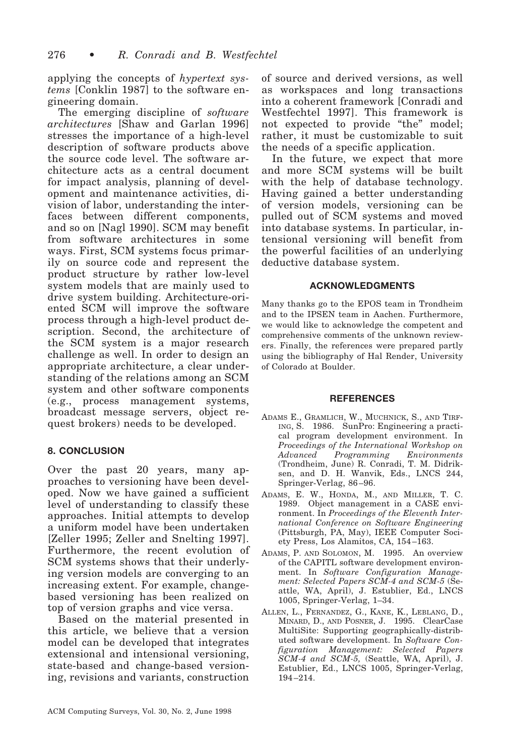applying the concepts of *hypertext systems* [Conklin 1987] to the software engineering domain.

The emerging discipline of *software architectures* [Shaw and Garlan 1996] stresses the importance of a high-level description of software products above the source code level. The software architecture acts as a central document for impact analysis, planning of development and maintenance activities, division of labor, understanding the interfaces between different components, and so on [Nagl 1990]. SCM may benefit from software architectures in some ways. First, SCM systems focus primarily on source code and represent the product structure by rather low-level system models that are mainly used to drive system building. Architecture-oriented SCM will improve the software process through a high-level product description. Second, the architecture of the SCM system is a major research challenge as well. In order to design an appropriate architecture, a clear understanding of the relations among an SCM system and other software components (e.g., process management systems, broadcast message servers, object request brokers) needs to be developed.

## **8. CONCLUSION**

Over the past 20 years, many approaches to versioning have been developed. Now we have gained a sufficient level of understanding to classify these approaches. Initial attempts to develop a uniform model have been undertaken [Zeller 1995; Zeller and Snelting 1997]. Furthermore, the recent evolution of SCM systems shows that their underlying version models are converging to an increasing extent. For example, changebased versioning has been realized on top of version graphs and vice versa.

Based on the material presented in this article, we believe that a version model can be developed that integrates extensional and intensional versioning, state-based and change-based versioning, revisions and variants, construction of source and derived versions, as well as workspaces and long transactions into a coherent framework [Conradi and Westfechtel 1997]. This framework is not expected to provide "the" model; rather, it must be customizable to suit the needs of a specific application.

In the future, we expect that more and more SCM systems will be built with the help of database technology. Having gained a better understanding of version models, versioning can be pulled out of SCM systems and moved into database systems. In particular, intensional versioning will benefit from the powerful facilities of an underlying deductive database system.

#### **ACKNOWLEDGMENTS**

Many thanks go to the EPOS team in Trondheim and to the IPSEN team in Aachen. Furthermore, we would like to acknowledge the competent and comprehensive comments of the unknown reviewers. Finally, the references were prepared partly using the bibliography of Hal Render, University of Colorado at Boulder.

#### **REFERENCES**

- ADAMS E., GRAMLICH, W., MUCHNICK, S., AND TIRF-ING, S. 1986. SunPro: Engineering a practical program development environment. In *Proceedings of the International Workshop on Advanced Programming Environments* (Trondheim, June) R. Conradi, T. M. Didriksen, and D. H. Wanvik, Eds., LNCS 244, Springer-Verlag, 86–96.
- ADAMS, E. W., HONDA, M., AND MILLER, T. C. 1989. Object management in a CASE environment. In *Proceedings of the Eleventh International Conference on Software Engineering* (Pittsburgh, PA, May), IEEE Computer Society Press, Los Alamitos, CA, 154–163.
- ADAMS, P. AND SOLOMON, M. 1995. An overview of the CAPITL software development environment. In *Software Configuration Management: Selected Papers SCM-4 and SCM-5* (Seattle, WA, April), J. Estublier, Ed., LNCS 1005, Springer-Verlag, 1–34.
- ALLEN, L., FERNANDEZ, G., KANE, K., LEBLANG, D., MINARD, D., AND POSNER, J. 1995. ClearCase MultiSite: Supporting geographically-distributed software development. In *Software Configuration Management: Selected Papers SCM-4 and SCM-5,* (Seattle, WA, April), J. Estublier, Ed., LNCS 1005, Springer-Verlag, 194–214.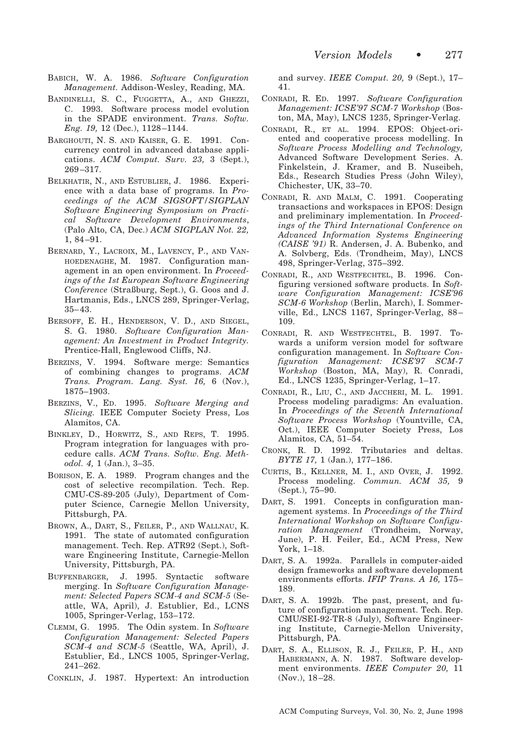- BABICH, W. A. 1986. *Software Configuration Management.* Addison-Wesley, Reading, MA.
- BANDINELLI, S. C., FUGGETTA, A., AND GHEZZI, C. 1993. Software process model evolution in the SPADE environment. *Trans. Softw. Eng. 19,* 12 (Dec.), 1128–1144.
- BARGHOUTI, N. S. AND KAISER, G. E. 1991. Concurrency control in advanced database applications. *ACM Comput. Surv. 23,* 3 (Sept.), 269–317.
- BELKHATIR, N., AND ESTUBLIER, J. 1986. Experience with a data base of programs. In *Proceedings of the ACM SIGSOFT/SIGPLAN Software Engineering Symposium on Practical Software Development Environments*, (Palo Alto, CA, Dec.) *ACM SIGPLAN Not. 22,* 1, 84–91.
- BERNARD, Y., LACROIX, M., LAVENCY, P., AND VAN-HOEDENAGHE, M. 1987. Configuration management in an open environment. In *Proceedings of the 1st European Software Engineering Conference* (Straßburg, Sept.), G. Goos and J. Hartmanis, Eds., LNCS 289, Springer-Verlag, 35–43.
- BERSOFF, E. H., HENDERSON, V. D., AND SIEGEL, S. G. 1980. *Software Configuration Management: An Investment in Product Integrity.* Prentice-Hall, Englewood Cliffs, NJ.
- BERZINS, V. 1994. Software merge: Semantics of combining changes to programs. *ACM Trans. Program. Lang. Syst. 16,* 6 (Nov.), 1875–1903.
- BERZINS, V., ED. 1995. *Software Merging and Slicing.* IEEE Computer Society Press, Los Alamitos, CA.
- BINKLEY, D., HORWITZ, S., AND REPS, T. 1995. Program integration for languages with procedure calls. *ACM Trans. Softw. Eng. Methodol. 4,* 1 (Jan.), 3–35.
- BORISON, E. A. 1989. Program changes and the cost of selective recompilation. Tech. Rep. CMU-CS-89-205 (July), Department of Computer Science, Carnegie Mellon University, Pittsburgh, PA.
- BROWN, A., DART, S., FEILER, P., AND WALLNAU, K. 1991. The state of automated configuration management. Tech. Rep. ATR92 (Sept.), Software Engineering Institute, Carnegie-Mellon University, Pittsburgh, PA.
- BUFFENBARGER, J. 1995. Syntactic software merging. In *Software Configuration Management: Selected Papers SCM-4 and SCM-5* (Seattle, WA, April), J. Estublier, Ed., LCNS 1005, Springer-Verlag, 153–172.
- CLEMM, G. 1995. The Odin system. In *Software Configuration Management: Selected Papers SCM-4 and SCM-5* (Seattle, WA, April), J. Estublier, Ed., LNCS 1005, Springer-Verlag, 241–262.
- CONKLIN, J. 1987. Hypertext: An introduction

and survey. *IEEE Comput. 20,* 9 (Sept.), 17– 41.

- CONRADI, R. ED. 1997. *Software Configuration Management: ICSE'97 SCM-7 Workshop* (Boston, MA, May), LNCS 1235, Springer-Verlag.
- CONRADI, R., ET AL. 1994. EPOS: Object-oriented and cooperative process modelling. In *Software Process Modelling and Technology,* Advanced Software Development Series. A. Finkelstein, J. Kramer, and B. Nuseibeh, Eds., Research Studies Press (John Wiley), Chichester, UK, 33–70.
- CONRADI, R. AND MALM, C. 1991. Cooperating transactions and workspaces in EPOS: Design and preliminary implementation. In *Proceedings of the Third International Conference on Advanced Information Systems Engineering (CAISE '91)* R. Andersen, J. A. Bubenko, and A. Solvberg, Eds. (Trondheim, May), LNCS 498, Springer-Verlag, 375–392.
- CONRADI, R., AND WESTFECHTEL, B. 1996. Configuring versioned software products. In *Software Configuration Management: ICSE'96 SCM-6 Workshop* (Berlin, March), I. Sommerville, Ed., LNCS 1167, Springer-Verlag, 88– 109.
- CONRADI, R. AND WESTFECHTEL, B. 1997. Towards a uniform version model for software configuration management. In *Software Configuration Management: ICSE'97 SCM-7 Workshop* (Boston, MA, May), R. Conradi, Ed., LNCS 1235, Springer-Verlag, 1–17.
- CONRADI, R., LIU, C., AND JACCHERI, M. L. 1991. Process modeling paradigms: An evaluation. In *Proceedings of the Seventh International Software Process Workshop* (Yountville, CA, Oct.), IEEE Computer Society Press, Los Alamitos, CA, 51–54.
- CRONK, R. D. 1992. Tributaries and deltas. *BYTE 17,* 1 (Jan.), 177–186.
- CURTIS, B., KELLNER, M. I., AND OVER, J. 1992. Process modeling. *Commun. ACM 35,* 9 (Sept.), 75–90.
- DART, S. 1991. Concepts in configuration management systems. In *Proceedings of the Third International Workshop on Software Configuration Management* (Trondheim, Norway, June), P. H. Feiler, Ed., ACM Press, New York, 1–18.
- DART, S. A. 1992a. Parallels in computer-aided design frameworks and software development environments efforts. *IFIP Trans. A 16,* 175– 189.
- DART, S. A. 1992b. The past, present, and future of configuration management. Tech. Rep. CMU/SEI-92-TR-8 (July), Software Engineering Institute, Carnegie-Mellon University, Pittsburgh, PA.
- DART, S. A., ELLISON, R. J., FEILER, P. H., AND HABERMANN, A. N. 1987. Software development environments. *IEEE Computer 20*, 11 (Nov.), 18–28.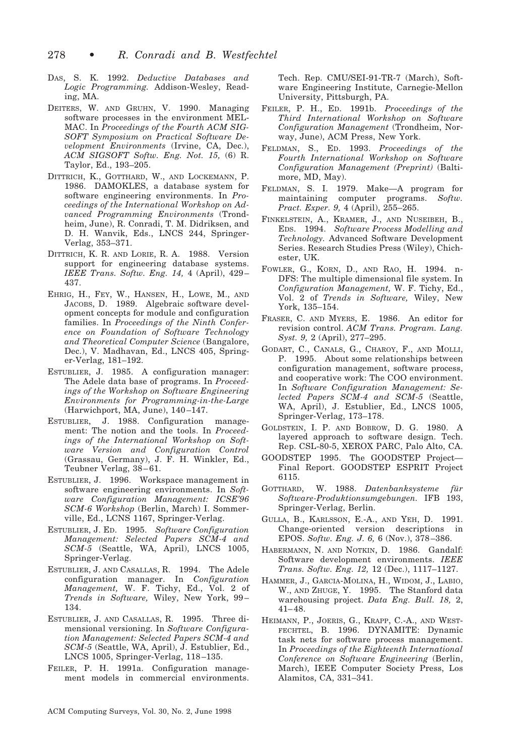- DAS, S. K. 1992. *Deductive Databases and Logic Programming.* Addison-Wesley, Reading, MA.
- DEITERS, W. AND GRUHN, V. 1990. Managing software processes in the environment MEL-MAC. In *Proceedings of the Fourth ACM SIG-SOFT Symposium on Practical Software Development Environments* (Irvine, CA, Dec.), *ACM SIGSOFT Softw. Eng. Not. 15,* (6) R. Taylor, Ed., 193–205.
- DITTRICH, K., GOTTHARD, W., AND LOCKEMANN, P. 1986. DAMOKLES, a database system for software engineering environments. In *Proceedings of the International Workshop on Advanced Programming Environments* (Trondheim, June), R. Conradi, T. M. Didriksen, and D. H. Wanvik, Eds., LNCS 244, Springer-Verlag, 353–371.
- DITTRICH, K. R. AND LORIE, R. A. 1988. Version support for engineering database systems. *IEEE Trans. Softw. Eng. 14,* 4 (April), 429– 437.
- EHRIG, H., FEY, W., HANSEN, H., LOWE, M., AND JACOBS, D. 1989. Algebraic software development concepts for module and configuration families. In *Proceedings of the Ninth Conference on Foundation of Software Technology and Theoretical Computer Science* (Bangalore, Dec.), V. Madhavan, Ed., LNCS 405, Springer-Verlag, 181–192.
- ESTUBLIER, J. 1985. A configuration manager: The Adele data base of programs. In *Proceedings of the Workshop on Software Engineering Environments for Programming-in-the-Large* (Harwichport, MA, June), 140–147.
- ESTUBLIER, J. 1988. Configuration management: The notion and the tools. In *Proceedings of the International Workshop on Software Version and Configuration Control* (Grassau, Germany), J. F. H. Winkler, Ed., Teubner Verlag, 38–61.
- ESTUBLIER, J. 1996. Workspace management in software engineering environments. In *Software Configuration Management: ICSE'96 SCM-6 Workshop* (Berlin, March) I. Sommerville, Ed., LCNS 1167, Springer-Verlag.
- ESTUBLIER, J. ED. 1995. *Software Configuration Management: Selected Papers SCM-4 and SCM-5* (Seattle, WA, April), LNCS 1005, Springer-Verlag.
- ESTUBLIER, J. AND CASALLAS, R. 1994. The Adele configuration manager. In *Configuration Management,* W. F. Tichy, Ed., Vol. 2 of *Trends in Software,* Wiley, New York, 99– 134.
- ESTUBLIER, J. AND CASALLAS, R. 1995. Three dimensional versioning. In *Software Configuration Management: Selected Papers SCM-4 and SCM-5* (Seattle, WA, April), J. Estublier, Ed., LNCS 1005, Springer-Verlag, 118–135.
- FEILER, P. H. 1991a. Configuration management models in commercial environments.

Tech. Rep. CMU/SEI-91-TR-7 (March), Software Engineering Institute, Carnegie-Mellon University, Pittsburgh, PA.

- FEILER, P. H., ED. 1991b. *Proceedings of the Third International Workshop on Software Configuration Management* (Trondheim, Norway, June), ACM Press, New York.
- FELDMAN, S., ED. 1993. *Proceedings of the Fourth International Workshop on Software Configuration Management (Preprint)* (Baltimore, MD, May).
- FELDMAN, S. I. 1979. Make—A program for maintaining computer programs. *Softw. Pract. Exper. 9,* 4 (April), 255–265.
- FINKELSTEIN, A., KRAMER, J., AND NUSEIBEH, B., EDS. 1994. *Software Process Modelling and Technology.* Advanced Software Development Series. Research Studies Press (Wiley), Chichester, UK.
- FOWLER, G., KORN, D., AND RAO, H. 1994. n-DFS: The multiple dimensional file system. In *Configuration Management,* W. F. Tichy, Ed., Vol. 2 of *Trends in Software,* Wiley, New York, 135–154.
- FRASER, C. AND MYERS, E. 1986. An editor for revision control. *ACM Trans. Program. Lang. Syst. 9,* 2 (April), 277–295.
- GODART, C., CANALS, G., CHAROY, F., AND MOLLI, P. 1995. About some relationships between configuration management, software process, and cooperative work: The COO environment. In *Software Configuration Management: Selected Papers SCM-4 and SCM-5* (Seattle, WA, April), J. Estublier, Ed., LNCS 1005, Springer-Verlag, 173–178.
- GOLDSTEIN, I. P. AND BOBROW, D. G. 1980. A layered approach to software design. Tech. Rep. CSL-80-5, XEROX PARC, Palo Alto, CA.
- GOODSTEP 1995. The GOODSTEP Project— Final Report. GOODSTEP ESPRIT Project 6115.
- GOTTHARD, W. 1988. *Datenbanksysteme für Software-Produktionsumgebungen.* IFB 193, Springer-Verlag, Berlin.
- GULLA, B., KARLSSON, E.-A., AND YEH, D. 1991. Change-oriented version descriptions in EPOS. *Softw. Eng. J. 6,* 6 (Nov.), 378–386.
- HABERMANN, N. AND NOTKIN, D. 1986. Gandalf: Software development environments. *IEEE Trans. Softw. Eng. 12,* 12 (Dec.), 1117–1127.
- HAMMER, J., GARCIA-MOLINA, H., WIDOM, J., LABIO, W., AND ZHUGE, Y. 1995. The Stanford data warehousing project. *Data Eng. Bull. 18,* 2, 41–48.
- HEIMANN, P., JOERIS, G., KRAPP, C.-A., AND WEST-FECHTEL, B. 1996. DYNAMITE: Dynamic task nets for software process management. In *Proceedings of the Eighteenth International Conference on Software Engineering* (Berlin, March), IEEE Computer Society Press, Los Alamitos, CA, 331–341.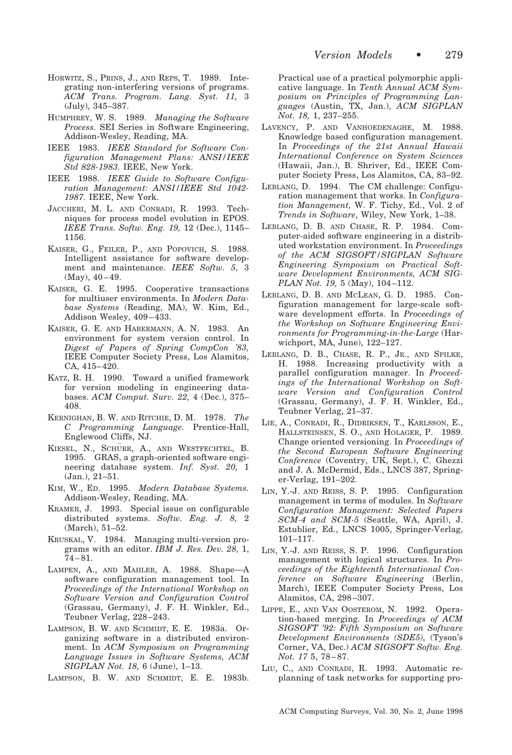- HORWITZ, S., PRINS, J., AND REPS, T. 1989. Integrating non-interfering versions of programs. *ACM Trans. Program. Lang. Syst. 11,* 3 (July), 345–387.
- HUMPHREY, W. S. 1989. *Managing the Software Process.* SEI Series in Software Engineering, Addison-Wesley, Reading, MA.
- IEEE 1983. *IEEE Standard for Software Configuration Management Plans: ANSI/IEEE Std 828-1983.* IEEE, New York.
- IEEE 1988. *IEEE Guide to Software Configuration Management: ANSI/IEEE Std 1042- 1987.* IEEE, New York.
- JACCHERI, M. L. AND CONRADI, R. 1993. Techniques for process model evolution in EPOS. *IEEE Trans. Softw. Eng. 19,* 12 (Dec.), 1145– 1156.
- KAISER, G., FEILER, P., AND POPOVICH, S. 1988. Intelligent assistance for software development and maintenance. *IEEE Softw. 5,* 3 (May), 40–49.
- KAISER, G. E. 1995. Cooperative transactions for multiuser environments. In *Modern Database Systems* (Reading, MA), W. Kim, Ed., Addison Wesley, 409–433.
- KAISER, G. E. AND HABERMANN, A. N. 1983. An environment for system version control. In *Digest of Papers of Spring CompCon '83,* IEEE Computer Society Press, Los Alamitos, CA, 415–420.
- KATZ, R. H. 1990. Toward a unified framework for version modeling in engineering databases. *ACM Comput. Surv. 22,* 4 (Dec.), 375– 408.
- KERNIGHAN, B. W. AND RITCHIE, D. M. 1978. *The C Programming Language.* Prentice-Hall, Englewood Cliffs, NJ.
- KIESEL, N., SCHÜRR, A., AND WESTFECHTEL, B. 1995. GRAS, a graph-oriented software engineering database system. *Inf. Syst. 20,* 1 (Jan.), 21–51.
- KIM, W., ED. 1995. *Modern Database Systems.* Addison-Wesley, Reading, MA.
- KRAMER, J. 1993. Special issue on configurable distributed systems. *Softw. Eng. J. 8,* 2 (March), 51–52.
- KRUSKAL, V. 1984. Managing multi-version programs with an editor. *IBM J. Res. Dev. 28,* 1, 74–81.
- LAMPEN, A., AND MAHLER, A. 1988. Shape—A software configuration management tool. In *Proceedings of the International Workshop on Software Version and Configuration Control* (Grassau, Germany), J. F. H. Winkler, Ed., Teubner Verlag, 228–243.
- LAMPSON, B. W. AND SCHMIDT, E. E. 1983a. Organizing software in a distributed environment. In *ACM Symposium on Programming Language Issues in Software Systems, ACM SIGPLAN Not. 18,* 6 (June), 1–13.
- LAMPSON, B. W. AND SCHMIDT, E. E. 1983b.

Practical use of a practical polymorphic applicative language. In *Tenth Annual ACM Symposium on Principles of Programming Languages* (Austin, TX, Jan.), *ACM SIGPLAN Not. 18,* 1, 237–255.

- LAVENCY, P. AND VANHOEDENAGHE, M. 1988. Knowledge based configuration management. In *Proceedings of the 21st Annual Hawaii International Conference on System Sciences* (Hawaii, Jan.), B. Shriver, Ed., IEEE Computer Society Press, Los Alamitos, CA, 83–92.
- LEBLANG, D. 1994. The CM challenge: Configuration management that works. In *Configuration Management,* W. F. Tichy, Ed., Vol. 2 of *Trends in Software*, Wiley, New York, 1–38.
- LEBLANG, D. B. AND CHASE, R. P. 1984. Computer-aided software engineering in a distributed workstation environment. In *Proceedings of the ACM SIGSOFT/SIGPLAN Software Engineering Symposium on Practical Software Development Environments, ACM SIG-PLAN Not. 19,* 5 (May), 104–112.
- LEBLANG, D. B. AND MCLEAN, G. D. 1985. Configuration management for large-scale software development efforts. In *Proceedings of the Workshop on Software Engineering Environments for Programming-in-the-Large* (Harwichport, MA, June), 122–127.
- LEBLANG, D. B., CHASE, R. P., JR., AND SPILKE, H. 1988. Increasing productivity with a parallel configuration manager. In *Proceedings of the International Workshop on Software Version and Configuration Control* (Grassau, Germany), J. F. H. Winkler, Ed., Teubner Verlag, 21–37.
- LIE, A., CONRADI, R., DIDRIKSEN, T., KARLSSON, E., HALLSTEINSEN, S. O., AND HOLAGER, P. 1989. Change oriented versioning. In *Proceedings of the Second European Software Engineering Conference* (Coventry, UK, Sept.), C. Ghezzi and J. A. McDermid, Eds., LNCS 387, Springer-Verlag, 191–202.
- LIN, Y.-J. AND REISS, S. P. 1995. Configuration management in terms of modules. In *Software Configuration Management: Selected Papers SCM-4 and SCM-5* (Seattle, WA, April), J. Estublier, Ed., LNCS 1005, Springer-Verlag, 101–117.
- LIN, Y.-J. AND REISS, S. P. 1996. Configuration management with logical structures. In *Proceedings of the Eighteenth International Conference on Software Engineering* (Berlin, March), IEEE Computer Society Press, Los Alamitos, CA, 298–307.
- LIPPE, E., AND VAN OOSTEROM, N. 1992. Operation-based merging. In *Proceedings of ACM SIGSOFT '92: Fifth Symposium on Software Development Environments (SDE5),* (Tyson's Corner, VA, Dec.) *ACM SIGSOFT Softw. Eng. Not. 17* 5, 78–87.
- LIU, C., AND CONRADI, R. 1993. Automatic replanning of task networks for supporting pro-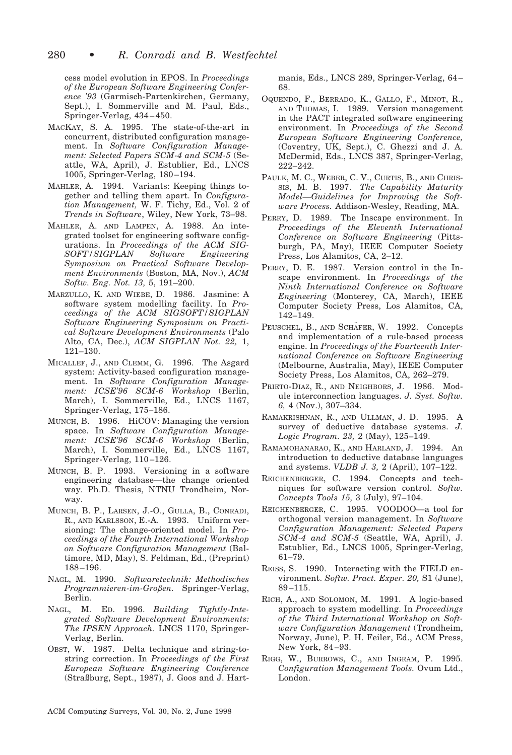cess model evolution in EPOS. In *Proceedings of the European Software Engineering Conference '93* (Garmisch-Partenkirchen, Germany, Sept.), I. Sommerville and M. Paul, Eds., Springer-Verlag, 434–450.

- MACKAY, S. A. 1995. The state-of-the-art in concurrent, distributed configuration management. In *Software Configuration Management: Selected Papers SCM-4 and SCM-5* (Seattle, WA, April), J. Estublier, Ed., LNCS 1005, Springer-Verlag, 180–194.
- MAHLER, A. 1994. Variants: Keeping things together and telling them apart. In *Configuration Management,* W. F. Tichy, Ed., Vol. 2 of *Trends in Software*, Wiley, New York, 73–98.
- MAHLER, A. AND LAMPEN, A. 1988. An integrated toolset for engineering software configurations. In *Proceedings of the ACM SIG-SOFT/SIGPLAN Software Engineering Symposium on Practical Software Development Environments* (Boston, MA, Nov.), *ACM Softw. Eng. Not. 13,* 5, 191–200.
- MARZULLO, K. AND WIEBE, D. 1986. Jasmine: A software system modelling facility. In *Proceedings of the ACM SIGSOFT/SIGPLAN Software Engineering Symposium on Practical Software Development Environments* (Palo Alto, CA, Dec.), *ACM SIGPLAN Not. 22,* 1, 121–130.
- MICALLEF, J., AND CLEMM, G. 1996. The Asgard system: Activity-based configuration management. In *Software Configuration Management: ICSE'96 SCM-6 Workshop* (Berlin, March), I. Sommerville, Ed., LNCS 1167, Springer-Verlag, 175–186.
- MUNCH, B. 1996. HiCOV: Managing the version space. In *Software Configuration Management: ICSE'96 SCM-6 Workshop* (Berlin, March), I. Sommerville, Ed., LNCS 1167, Springer-Verlag, 110–126.
- MUNCH, B. P. 1993. Versioning in a software engineering database—the change oriented way. Ph.D. Thesis, NTNU Trondheim, Norway.
- MUNCH, B. P., LARSEN, J.-O., GULLA, B., CONRADI, R., AND KARLSSON, E.-A. 1993. Uniform versioning: The change-oriented model. In *Proceedings of the Fourth International Workshop on Software Configuration Management* (Baltimore, MD, May), S. Feldman, Ed., (Preprint) 188–196.
- NAGL, M. 1990. *Softwaretechnik: Methodisches Programmieren-im-Großen.* Springer-Verlag, Berlin.
- NAGL, M. ED. 1996. *Building Tightly-Integrated Software Development Environments: The IPSEN Approach.* LNCS 1170, Springer-Verlag, Berlin.
- OBST, W. 1987. Delta technique and string-tostring correction. In *Proceedings of the First European Software Engineering Conference* (Straßburg, Sept., 1987), J. Goos and J. Hart-

manis, Eds., LNCS 289, Springer-Verlag, 64– 68.

- OQUENDO, F., BERRADO, K., GALLO, F., MINOT, R., AND THOMAS, I. 1989. Version management in the PACT integrated software engineering environment. In *Proceedings of the Second European Software Engineering Conference,* (Coventry, UK, Sept.), C. Ghezzi and J. A. McDermid, Eds., LNCS 387, Springer-Verlag, 222–242.
- PAULK, M. C., WEBER, C. V., CURTIS, B., AND CHRIS-SIS, M. B. 1997. *The Capability Maturity Model—Guidelines for Improving the Software Process.* Addison-Wesley, Reading, MA.
- PERRY, D. 1989. The Inscape environment. In *Proceedings of the Eleventh International Conference on Software Engineering* (Pittsburgh, PA, May), IEEE Computer Society Press, Los Alamitos, CA, 2–12.
- PERRY, D. E. 1987. Version control in the Inscape environment. In *Proceedings of the Ninth International Conference on Software Engineering* (Monterey, CA, March), IEEE Computer Society Press, Los Alamitos, CA, 142–149.
- PEUSCHEL, B., AND SCHAFER, W. 1992. Concepts and implementation of a rule-based process engine. In *Proceedings of the Fourteenth International Conference on Software Engineering* (Melbourne, Australia, May), IEEE Computer Society Press, Los Alamitos, CA, 262–279.
- PRIETO-DIAZ, R., AND NEIGHBORS, J. 1986. Module interconnection languages. *J. Syst. Softw. 6,* 4 (Nov.), 307–334.
- RAMAKRISHNAN, R., AND ULLMAN, J. D. 1995. A survey of deductive database systems. *J. Logic Program. 23,* 2 (May), 125–149.
- RAMAMOHANARAO, K., AND HARLAND, J. 1994. An introduction to deductive database languages and systems. *VLDB J. 3,* 2 (April), 107–122.
- REICHENBERGER, C. 1994. Concepts and techniques for software version control. *Softw. Concepts Tools 15,* 3 (July), 97–104.
- REICHENBERGER, C. 1995. VOODOO—a tool for orthogonal version management. In *Software Configuration Management: Selected Papers SCM-4 and SCM-5* (Seattle, WA, April), J. Estublier, Ed., LNCS 1005, Springer-Verlag, 61–79.
- REISS, S. 1990. Interacting with the FIELD environment. *Softw. Pract. Exper. 20,* S1 (June), 89–115.
- RICH, A., AND SOLOMON, M. 1991. A logic-based approach to system modelling. In *Proceedings of the Third International Workshop on Software Configuration Management* (Trondheim, Norway, June), P. H. Feiler, Ed., ACM Press, New York, 84–93.
- RIGG, W., BURROWS, C., AND INGRAM, P. 1995. *Configuration Management Tools.* Ovum Ltd., London.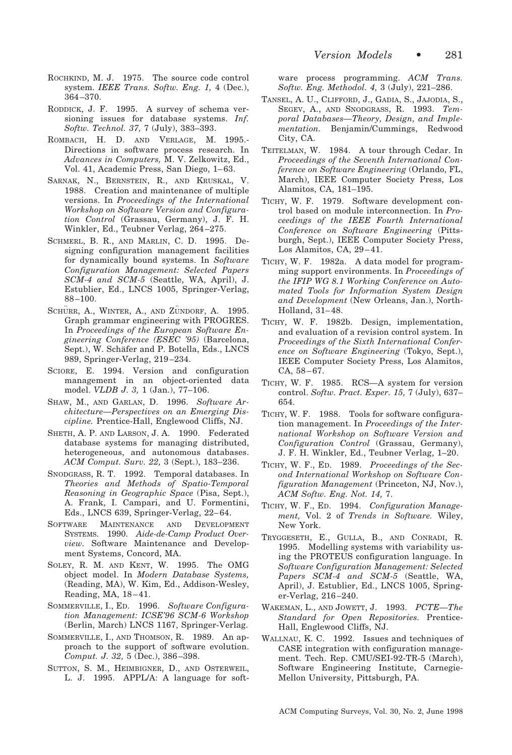- ROCHKIND, M. J. 1975. The source code control system. *IEEE Trans. Softw. Eng. 1,* 4 (Dec.), 364–370.
- RODDICK, J. F. 1995. A survey of schema versioning issues for database systems. *Inf. Softw. Technol. 37,* 7 (July), 383–393.
- ROMBACH, H. D. AND VERLAGE, M. 1995.- Directions in software process research. In *Advances in Computers,* M. V. Zelkowitz, Ed., Vol. 41, Academic Press, San Diego, 1–63.
- SARNAK, N., BERNSTEIN, R., AND KRUSKAL, V. 1988. Creation and maintenance of multiple versions. In *Proceedings of the International Workshop on Software Version and Configuration Control* (Grassau, Germany), J. F. H. Winkler, Ed., Teubner Verlag, 264–275.
- SCHMERL, B. R., AND MARLIN, C. D. 1995. Designing configuration management facilities for dynamically bound systems. In *Software Configuration Management: Selected Papers SCM-4 and SCM-5* (Seattle, WA, April), J. Estublier, Ed., LNCS 1005, Springer-Verlag, 88–100.
- SCHÜRR, A., WINTER, A., AND ZÜNDORF, A. 1995. Graph grammar engineering with PROGRES. In *Proceedings of the European Software Engineering Conference (ESEC '95)* (Barcelona, Sept.), W. Schäfer and P. Botella, Eds., LNCS 989, Springer-Verlag, 219–234.
- SCIORE, E. 1994. Version and configuration management in an object-oriented data model. *VLDB J. 3,* 1 (Jan.), 77–106.
- SHAW, M., AND GARLAN, D. 1996. *Software Architecture—Perspectives on an Emerging Discipline.* Prentice-Hall, Englewood Cliffs, NJ.
- SHETH, A. P. AND LARSON, J. A. 1990. Federated database systems for managing distributed, heterogeneous, and autonomous databases. *ACM Comput. Surv. 22,* 3 (Sept.), 183–236.
- SNODGRASS, R. T. 1992. Temporal databases. In *Theories and Methods of Spatio-Temporal Reasoning in Geographic Space* (Pisa, Sept.), A. Frank, I. Campari, and U. Formentini, Eds., LNCS 639, Springer-Verlag, 22–64.
- SOFTWARE MAINTENANCE AND DEVELOPMENT SYSTEMS. 1990. *Aide-de-Camp Product Overview.* Software Maintenance and Development Systems, Concord, MA.
- SOLEY, R. M. AND KENT, W. 1995. The OMG object model. In *Modern Database Systems,* (Reading, MA), W. Kim, Ed., Addison-Wesley, Reading, MA, 18–41.
- SOMMERVILLE, I., ED. 1996. *Software Configuration Management: ICSE'96 SCM-6 Workshop* (Berlin, March) LNCS 1167, Springer-Verlag.
- SOMMERVILLE, I., AND THOMSON, R. 1989. An approach to the support of software evolution. *Comput. J. 32,* 5 (Dec.), 386–398.
- SUTTON, S. M., HEIMBIGNER, D., AND OSTERWEIL, L. J. 1995. APPL/A: A language for soft-

ware process programming. *ACM Trans. Softw. Eng. Methodol. 4,* 3 (July), 221–286.

- TANSEL, A. U., CLIFFORD, J., GADIA, S., JAJODIA, S., SEGEV, A., AND SNODGRASS, R. 1993. *Temporal Databases—Theory, Design, and Implementation.* Benjamin/Cummings, Redwood City, CA.
- TEITELMAN, W. 1984. A tour through Cedar. In *Proceedings of the Seventh International Conference on Software Engineering* (Orlando, FL, March), IEEE Computer Society Press, Los Alamitos, CA, 181–195.
- TICHY, W. F. 1979. Software development control based on module interconnection. In *Proceedings of the IEEE Fourth International Conference on Software Engineering* (Pittsburgh, Sept.), IEEE Computer Society Press, Los Alamitos, CA, 29–41.
- TICHY, W. F. 1982a. A data model for programming support environments. In *Proceedings of the IFIP WG 8.1 Working Conference on Automated Tools for Information System Design and Development* (New Orleans, Jan.), North-Holland, 31–48.
- TICHY, W. F. 1982b. Design, implementation, and evaluation of a revision control system. In *Proceedings of the Sixth International Conference on Software Engineering* (Tokyo, Sept.), IEEE Computer Society Press, Los Alamitos, CA, 58–67.
- TICHY, W. F. 1985. RCS—A system for version control. *Softw. Pract. Exper. 15,* 7 (July), 637– 654.
- TICHY, W. F. 1988. Tools for software configuration management. In *Proceedings of the International Workshop on Software Version and Configuration Control* (Grassau, Germany), J. F. H. Winkler, Ed., Teubner Verlag, 1–20.
- TICHY, W. F., ED. 1989. *Proceedings of the Second International Workshop on Software Configuration Management* (Princeton, NJ, Nov.), *ACM Softw. Eng. Not. 14,* 7.
- TICHY, W. F., ED. 1994. *Configuration Management,* Vol. 2 of *Trends in Software.* Wiley, New York.
- TRYGGESETH, E., GULLA, B., AND CONRADI, R. 1995. Modelling systems with variability using the PROTEUS configuration language. In *Software Configuration Management: Selected Papers SCM-4 and SCM-5* (Seattle, WA, April), J. Estublier, Ed., LNCS 1005, Springer-Verlag, 216–240.
- WAKEMAN, L., AND JOWETT, J. 1993. *PCTE—The Standard for Open Repositories.* Prentice-Hall, Englewood Cliffs, NJ.
- WALLNAU, K. C. 1992. Issues and techniques of CASE integration with configuration management. Tech. Rep. CMU/SEI-92-TR-5 (March), Software Engineering Institute, Carnegie-Mellon University, Pittsburgh, PA.